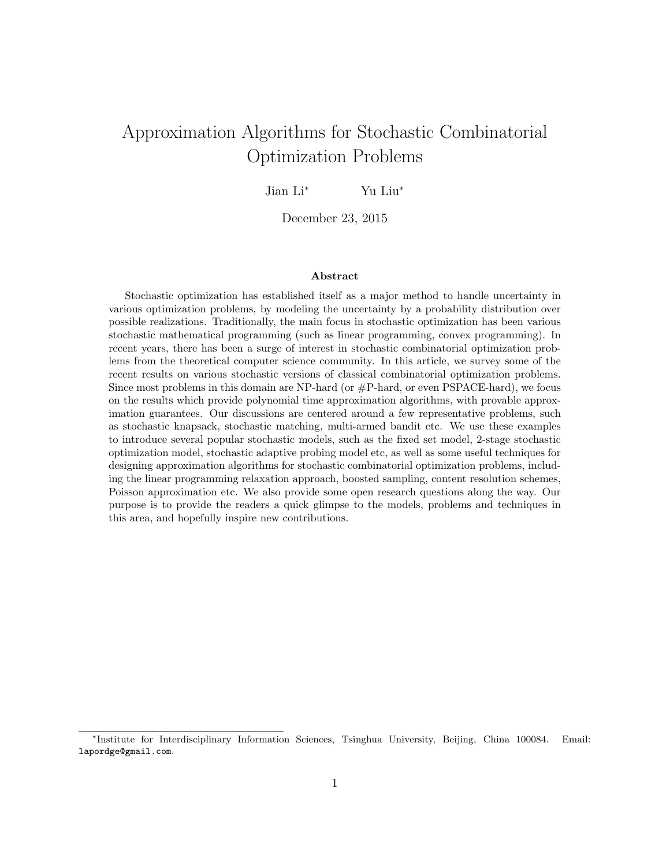# Approximation Algorithms for Stochastic Combinatorial Optimization Problems

Jian Li<sup>∗</sup> Yu Liu<sup>∗</sup>

December 23, 2015

#### Abstract

Stochastic optimization has established itself as a major method to handle uncertainty in various optimization problems, by modeling the uncertainty by a probability distribution over possible realizations. Traditionally, the main focus in stochastic optimization has been various stochastic mathematical programming (such as linear programming, convex programming). In recent years, there has been a surge of interest in stochastic combinatorial optimization problems from the theoretical computer science community. In this article, we survey some of the recent results on various stochastic versions of classical combinatorial optimization problems. Since most problems in this domain are NP-hard (or  $\#P$ -hard, or even PSPACE-hard), we focus on the results which provide polynomial time approximation algorithms, with provable approximation guarantees. Our discussions are centered around a few representative problems, such as stochastic knapsack, stochastic matching, multi-armed bandit etc. We use these examples to introduce several popular stochastic models, such as the fixed set model, 2-stage stochastic optimization model, stochastic adaptive probing model etc, as well as some useful techniques for designing approximation algorithms for stochastic combinatorial optimization problems, including the linear programming relaxation approach, boosted sampling, content resolution schemes, Poisson approximation etc. We also provide some open research questions along the way. Our purpose is to provide the readers a quick glimpse to the models, problems and techniques in this area, and hopefully inspire new contributions.

<sup>∗</sup> Institute for Interdisciplinary Information Sciences, Tsinghua University, Beijing, China 100084. Email: lapordge@gmail.com.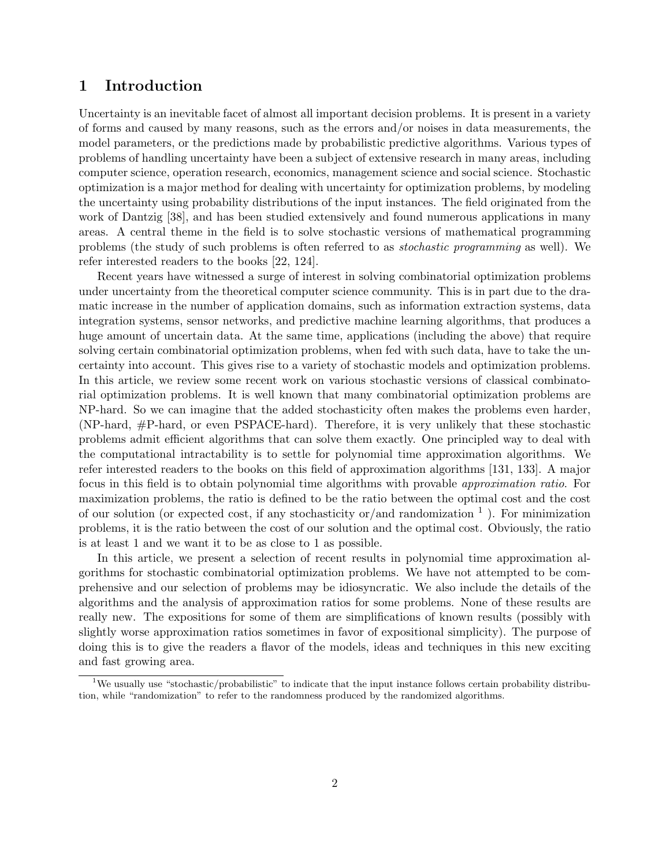# 1 Introduction

Uncertainty is an inevitable facet of almost all important decision problems. It is present in a variety of forms and caused by many reasons, such as the errors and/or noises in data measurements, the model parameters, or the predictions made by probabilistic predictive algorithms. Various types of problems of handling uncertainty have been a subject of extensive research in many areas, including computer science, operation research, economics, management science and social science. Stochastic optimization is a major method for dealing with uncertainty for optimization problems, by modeling the uncertainty using probability distributions of the input instances. The field originated from the work of Dantzig [38], and has been studied extensively and found numerous applications in many areas. A central theme in the field is to solve stochastic versions of mathematical programming problems (the study of such problems is often referred to as stochastic programming as well). We refer interested readers to the books [22, 124].

Recent years have witnessed a surge of interest in solving combinatorial optimization problems under uncertainty from the theoretical computer science community. This is in part due to the dramatic increase in the number of application domains, such as information extraction systems, data integration systems, sensor networks, and predictive machine learning algorithms, that produces a huge amount of uncertain data. At the same time, applications (including the above) that require solving certain combinatorial optimization problems, when fed with such data, have to take the uncertainty into account. This gives rise to a variety of stochastic models and optimization problems. In this article, we review some recent work on various stochastic versions of classical combinatorial optimization problems. It is well known that many combinatorial optimization problems are NP-hard. So we can imagine that the added stochasticity often makes the problems even harder, (NP-hard, #P-hard, or even PSPACE-hard). Therefore, it is very unlikely that these stochastic problems admit efficient algorithms that can solve them exactly. One principled way to deal with the computational intractability is to settle for polynomial time approximation algorithms. We refer interested readers to the books on this field of approximation algorithms [131, 133]. A major focus in this field is to obtain polynomial time algorithms with provable approximation ratio. For maximization problems, the ratio is defined to be the ratio between the optimal cost and the cost of our solution (or expected cost, if any stochasticity or/and randomization  $<sup>1</sup>$ ). For minimization</sup> problems, it is the ratio between the cost of our solution and the optimal cost. Obviously, the ratio is at least 1 and we want it to be as close to 1 as possible.

In this article, we present a selection of recent results in polynomial time approximation algorithms for stochastic combinatorial optimization problems. We have not attempted to be comprehensive and our selection of problems may be idiosyncratic. We also include the details of the algorithms and the analysis of approximation ratios for some problems. None of these results are really new. The expositions for some of them are simplifications of known results (possibly with slightly worse approximation ratios sometimes in favor of expositional simplicity). The purpose of doing this is to give the readers a flavor of the models, ideas and techniques in this new exciting and fast growing area.

<sup>1</sup>We usually use "stochastic/probabilistic" to indicate that the input instance follows certain probability distribution, while "randomization" to refer to the randomness produced by the randomized algorithms.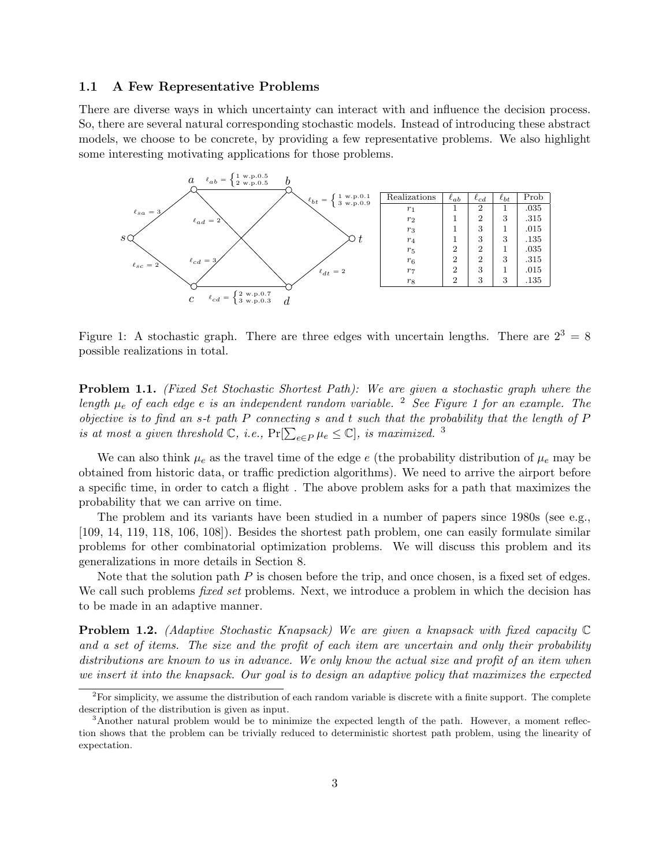#### 1.1 A Few Representative Problems

There are diverse ways in which uncertainty can interact with and influence the decision process. So, there are several natural corresponding stochastic models. Instead of introducing these abstract models, we choose to be concrete, by providing a few representative problems. We also highlight some interesting motivating applications for those problems.



Figure 1: A stochastic graph. There are three edges with uncertain lengths. There are  $2^3 = 8$ possible realizations in total.

Problem 1.1. (Fixed Set Stochastic Shortest Path): We are given a stochastic graph where the length  $\mu_e$  of each edge e is an independent random variable. <sup>2</sup> See Figure 1 for an example. The objective is to find an s-t path P connecting s and t such that the probability that the length of P is at most a given threshold  $\mathbb{C}$ , i.e.,  $Pr[\sum_{e \in P} \mu_e \leq \mathbb{C}]$ , is maximized. <sup>3</sup>

We can also think  $\mu_e$  as the travel time of the edge e (the probability distribution of  $\mu_e$  may be obtained from historic data, or traffic prediction algorithms). We need to arrive the airport before a specific time, in order to catch a flight . The above problem asks for a path that maximizes the probability that we can arrive on time.

The problem and its variants have been studied in a number of papers since 1980s (see e.g., [109, 14, 119, 118, 106, 108]). Besides the shortest path problem, one can easily formulate similar problems for other combinatorial optimization problems. We will discuss this problem and its generalizations in more details in Section 8.

Note that the solution path  $P$  is chosen before the trip, and once chosen, is a fixed set of edges. We call such problems *fixed set* problems. Next, we introduce a problem in which the decision has to be made in an adaptive manner.

Problem 1.2. (Adaptive Stochastic Knapsack) We are given a knapsack with fixed capacity C and a set of items. The size and the profit of each item are uncertain and only their probability distributions are known to us in advance. We only know the actual size and profit of an item when we insert it into the knapsack. Our goal is to design an adaptive policy that maximizes the expected

 ${}^{2}$ For simplicity, we assume the distribution of each random variable is discrete with a finite support. The complete description of the distribution is given as input.

<sup>&</sup>lt;sup>3</sup>Another natural problem would be to minimize the expected length of the path. However, a moment reflection shows that the problem can be trivially reduced to deterministic shortest path problem, using the linearity of expectation.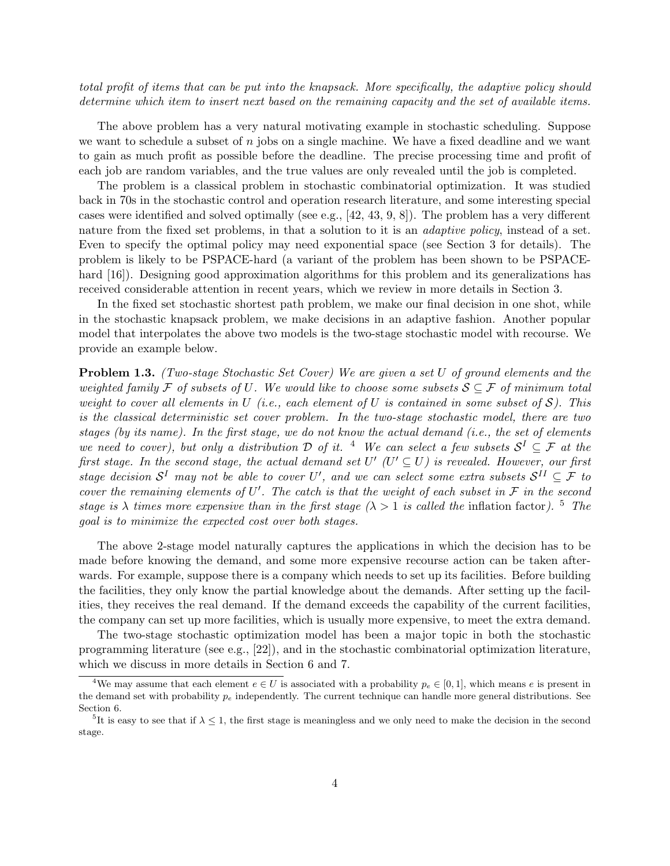total profit of items that can be put into the knapsack. More specifically, the adaptive policy should determine which item to insert next based on the remaining capacity and the set of available items.

The above problem has a very natural motivating example in stochastic scheduling. Suppose we want to schedule a subset of  $n$  jobs on a single machine. We have a fixed deadline and we want to gain as much profit as possible before the deadline. The precise processing time and profit of each job are random variables, and the true values are only revealed until the job is completed.

The problem is a classical problem in stochastic combinatorial optimization. It was studied back in 70s in the stochastic control and operation research literature, and some interesting special cases were identified and solved optimally (see e.g., [42, 43, 9, 8]). The problem has a very different nature from the fixed set problems, in that a solution to it is an *adaptive policy*, instead of a set. Even to specify the optimal policy may need exponential space (see Section 3 for details). The problem is likely to be PSPACE-hard (a variant of the problem has been shown to be PSPACEhard [16]). Designing good approximation algorithms for this problem and its generalizations has received considerable attention in recent years, which we review in more details in Section 3.

In the fixed set stochastic shortest path problem, we make our final decision in one shot, while in the stochastic knapsack problem, we make decisions in an adaptive fashion. Another popular model that interpolates the above two models is the two-stage stochastic model with recourse. We provide an example below.

**Problem 1.3.** (Two-stage Stochastic Set Cover) We are given a set U of ground elements and the weighted family F of subsets of U. We would like to choose some subsets  $S \subseteq \mathcal{F}$  of minimum total weight to cover all elements in U (i.e., each element of U is contained in some subset of  $S$ ). This is the classical deterministic set cover problem. In the two-stage stochastic model, there are two stages (by its name). In the first stage, we do not know the actual demand (i.e., the set of elements we need to cover), but only a distribution D of it. <sup>4</sup> We can select a few subsets  $S^I \subseteq \mathcal{F}$  at the first stage. In the second stage, the actual demand set  $U'$  ( $U' \subseteq U$ ) is revealed. However, our first stage decision  $S^I$  may not be able to cover U', and we can select some extra subsets  $S^{II} \subseteq \mathcal{F}$  to cover the remaining elements of  $U'$ . The catch is that the weight of each subset in  $\mathcal F$  in the second stage is  $\lambda$  times more expensive than in the first stage  $(\lambda > 1$  is called the inflation factor). <sup>5</sup> The goal is to minimize the expected cost over both stages.

The above 2-stage model naturally captures the applications in which the decision has to be made before knowing the demand, and some more expensive recourse action can be taken afterwards. For example, suppose there is a company which needs to set up its facilities. Before building the facilities, they only know the partial knowledge about the demands. After setting up the facilities, they receives the real demand. If the demand exceeds the capability of the current facilities, the company can set up more facilities, which is usually more expensive, to meet the extra demand.

The two-stage stochastic optimization model has been a major topic in both the stochastic programming literature (see e.g., [22]), and in the stochastic combinatorial optimization literature, which we discuss in more details in Section 6 and 7.

<sup>&</sup>lt;sup>4</sup>We may assume that each element  $e \in U$  is associated with a probability  $p_e \in [0,1]$ , which means e is present in the demand set with probability  $p_e$  independently. The current technique can handle more general distributions. See Section 6.

<sup>&</sup>lt;sup>5</sup>It is easy to see that if  $\lambda \leq 1$ , the first stage is meaningless and we only need to make the decision in the second stage.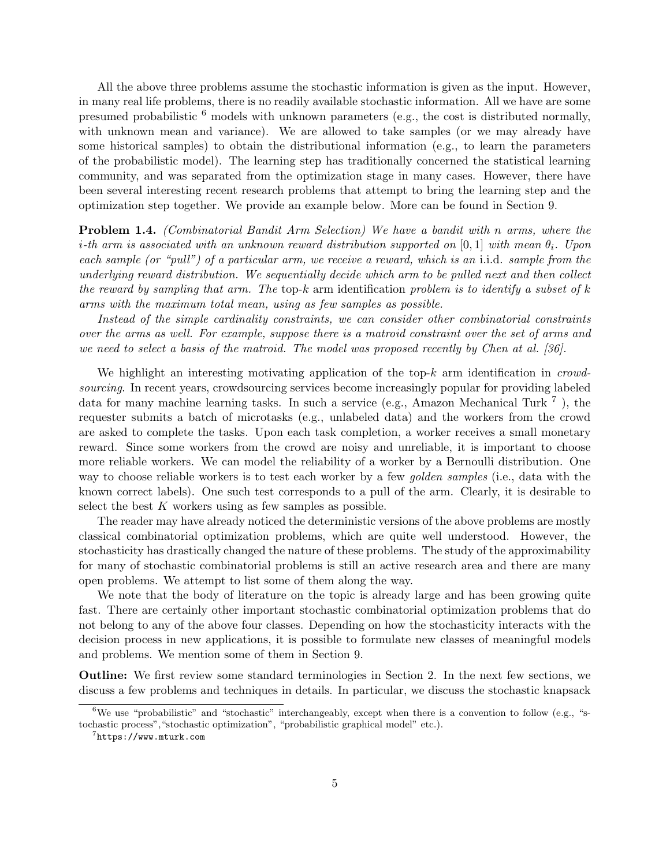All the above three problems assume the stochastic information is given as the input. However, in many real life problems, there is no readily available stochastic information. All we have are some presumed probabilistic  $<sup>6</sup>$  models with unknown parameters (e.g., the cost is distributed normally,</sup> with unknown mean and variance). We are allowed to take samples (or we may already have some historical samples) to obtain the distributional information (e.g., to learn the parameters of the probabilistic model). The learning step has traditionally concerned the statistical learning community, and was separated from the optimization stage in many cases. However, there have been several interesting recent research problems that attempt to bring the learning step and the optimization step together. We provide an example below. More can be found in Section 9.

Problem 1.4. (Combinatorial Bandit Arm Selection) We have a bandit with n arms, where the i-th arm is associated with an unknown reward distribution supported on [0, 1] with mean  $\theta_i$ . Upon each sample (or "pull") of a particular arm, we receive a reward, which is an i.i.d. sample from the underlying reward distribution. We sequentially decide which arm to be pulled next and then collect the reward by sampling that arm. The top-k arm identification problem is to identify a subset of  $k$ arms with the maximum total mean, using as few samples as possible.

Instead of the simple cardinality constraints, we can consider other combinatorial constraints over the arms as well. For example, suppose there is a matroid constraint over the set of arms and we need to select a basis of the matroid. The model was proposed recently by Chen at al. [36].

We highlight an interesting motivating application of the top-k arm identification in *crowd*sourcing. In recent years, crowdsourcing services become increasingly popular for providing labeled data for many machine learning tasks. In such a service (e.g., Amazon Mechanical Turk<sup>7</sup>), the requester submits a batch of microtasks (e.g., unlabeled data) and the workers from the crowd are asked to complete the tasks. Upon each task completion, a worker receives a small monetary reward. Since some workers from the crowd are noisy and unreliable, it is important to choose more reliable workers. We can model the reliability of a worker by a Bernoulli distribution. One way to choose reliable workers is to test each worker by a few *golden samples* (i.e., data with the known correct labels). One such test corresponds to a pull of the arm. Clearly, it is desirable to select the best  $K$  workers using as few samples as possible.

The reader may have already noticed the deterministic versions of the above problems are mostly classical combinatorial optimization problems, which are quite well understood. However, the stochasticity has drastically changed the nature of these problems. The study of the approximability for many of stochastic combinatorial problems is still an active research area and there are many open problems. We attempt to list some of them along the way.

We note that the body of literature on the topic is already large and has been growing quite fast. There are certainly other important stochastic combinatorial optimization problems that do not belong to any of the above four classes. Depending on how the stochasticity interacts with the decision process in new applications, it is possible to formulate new classes of meaningful models and problems. We mention some of them in Section 9.

Outline: We first review some standard terminologies in Section 2. In the next few sections, we discuss a few problems and techniques in details. In particular, we discuss the stochastic knapsack

<sup>&</sup>lt;sup>6</sup>We use "probabilistic" and "stochastic" interchangeably, except when there is a convention to follow (e.g., "stochastic process","stochastic optimization", "probabilistic graphical model" etc.).

<sup>7</sup> https://www.mturk.com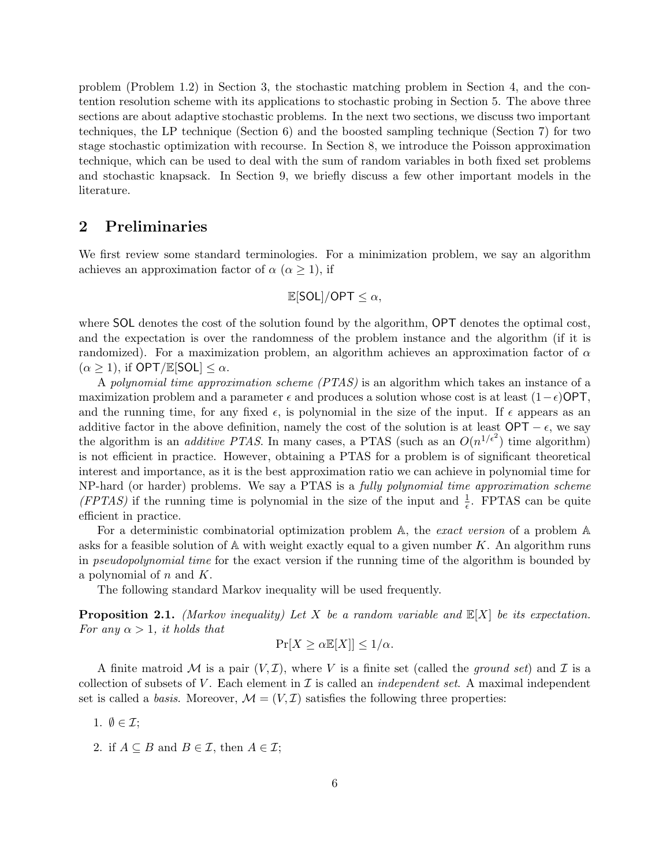problem (Problem 1.2) in Section 3, the stochastic matching problem in Section 4, and the contention resolution scheme with its applications to stochastic probing in Section 5. The above three sections are about adaptive stochastic problems. In the next two sections, we discuss two important techniques, the LP technique (Section 6) and the boosted sampling technique (Section 7) for two stage stochastic optimization with recourse. In Section 8, we introduce the Poisson approximation technique, which can be used to deal with the sum of random variables in both fixed set problems and stochastic knapsack. In Section 9, we briefly discuss a few other important models in the literature.

### 2 Preliminaries

We first review some standard terminologies. For a minimization problem, we say an algorithm achieves an approximation factor of  $\alpha$  ( $\alpha \geq 1$ ), if

$$
\mathbb{E}[SOL]/OPT \leq \alpha,
$$

where SOL denotes the cost of the solution found by the algorithm, OPT denotes the optimal cost, and the expectation is over the randomness of the problem instance and the algorithm (if it is randomized). For a maximization problem, an algorithm achieves an approximation factor of  $\alpha$  $(\alpha > 1)$ , if OPT/E[SOL]  $< \alpha$ .

A polynomial time approximation scheme (PTAS) is an algorithm which takes an instance of a maximization problem and a parameter  $\epsilon$  and produces a solution whose cost is at least  $(1-\epsilon)$ OPT, and the running time, for any fixed  $\epsilon$ , is polynomial in the size of the input. If  $\epsilon$  appears as an additive factor in the above definition, namely the cost of the solution is at least  $OPT - \epsilon$ , we say the algorithm is an *additive PTAS*. In many cases, a PTAS (such as an  $O(n^{1/\epsilon^2})$  time algorithm) is not efficient in practice. However, obtaining a PTAS for a problem is of significant theoretical interest and importance, as it is the best approximation ratio we can achieve in polynomial time for NP-hard (or harder) problems. We say a PTAS is a fully polynomial time approximation scheme (FPTAS) if the running time is polynomial in the size of the input and  $\frac{1}{\epsilon}$ . FPTAS can be quite efficient in practice.

For a deterministic combinatorial optimization problem A, the *exact version* of a problem A asks for a feasible solution of  $A$  with weight exactly equal to a given number K. An algorithm runs in pseudopolynomial time for the exact version if the running time of the algorithm is bounded by a polynomial of  $n$  and  $K$ .

The following standard Markov inequality will be used frequently.

**Proposition 2.1.** (Markov inequality) Let X be a random variable and  $\mathbb{E}[X]$  be its expectation. For any  $\alpha > 1$ , it holds that

$$
\Pr[X \ge \alpha \mathbb{E}[X]] \le 1/\alpha.
$$

A finite matroid M is a pair  $(V,\mathcal{I})$ , where V is a finite set (called the *ground set*) and T is a collection of subsets of V. Each element in  $\mathcal I$  is called an *independent set*. A maximal independent set is called a basis. Moreover,  $\mathcal{M} = (V, \mathcal{I})$  satisfies the following three properties:

1.  $\emptyset \in \mathcal{I}$ ;

2. if  $A \subseteq B$  and  $B \in \mathcal{I}$ , then  $A \in \mathcal{I}$ ;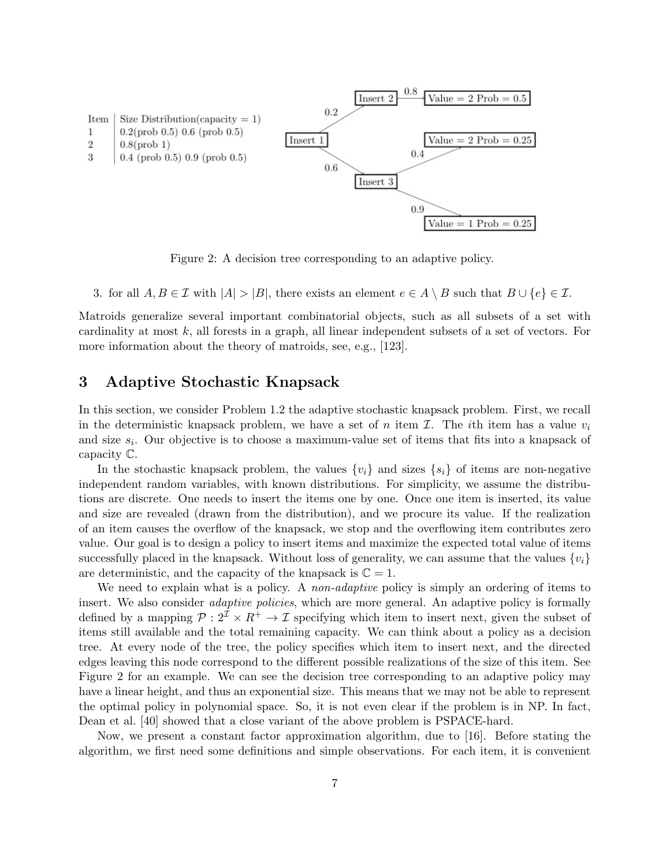

Figure 2: A decision tree corresponding to an adaptive policy.

3. for all  $A, B \in \mathcal{I}$  with  $|A| > |B|$ , there exists an element  $e \in A \setminus B$  such that  $B \cup \{e\} \in \mathcal{I}$ .

Matroids generalize several important combinatorial objects, such as all subsets of a set with cardinality at most  $k$ , all forests in a graph, all linear independent subsets of a set of vectors. For more information about the theory of matroids, see, e.g., [123].

### 3 Adaptive Stochastic Knapsack

In this section, we consider Problem 1.2 the adaptive stochastic knapsack problem. First, we recall in the deterministic knapsack problem, we have a set of n item I. The ith item has a value  $v_i$ and size  $s_i$ . Our objective is to choose a maximum-value set of items that fits into a knapsack of capacity C.

In the stochastic knapsack problem, the values  $\{v_i\}$  and sizes  $\{s_i\}$  of items are non-negative independent random variables, with known distributions. For simplicity, we assume the distributions are discrete. One needs to insert the items one by one. Once one item is inserted, its value and size are revealed (drawn from the distribution), and we procure its value. If the realization of an item causes the overflow of the knapsack, we stop and the overflowing item contributes zero value. Our goal is to design a policy to insert items and maximize the expected total value of items successfully placed in the knapsack. Without loss of generality, we can assume that the values  $\{v_i\}$ are deterministic, and the capacity of the knapsack is  $\mathbb{C} = 1$ .

We need to explain what is a policy. A *non-adaptive* policy is simply an ordering of items to insert. We also consider *adaptive policies*, which are more general. An adaptive policy is formally defined by a mapping  $\mathcal{P}: 2^{\mathcal{I}} \times R^+ \to \mathcal{I}$  specifying which item to insert next, given the subset of items still available and the total remaining capacity. We can think about a policy as a decision tree. At every node of the tree, the policy specifies which item to insert next, and the directed edges leaving this node correspond to the different possible realizations of the size of this item. See Figure 2 for an example. We can see the decision tree corresponding to an adaptive policy may have a linear height, and thus an exponential size. This means that we may not be able to represent the optimal policy in polynomial space. So, it is not even clear if the problem is in NP. In fact, Dean et al. [40] showed that a close variant of the above problem is PSPACE-hard.

Now, we present a constant factor approximation algorithm, due to [16]. Before stating the algorithm, we first need some definitions and simple observations. For each item, it is convenient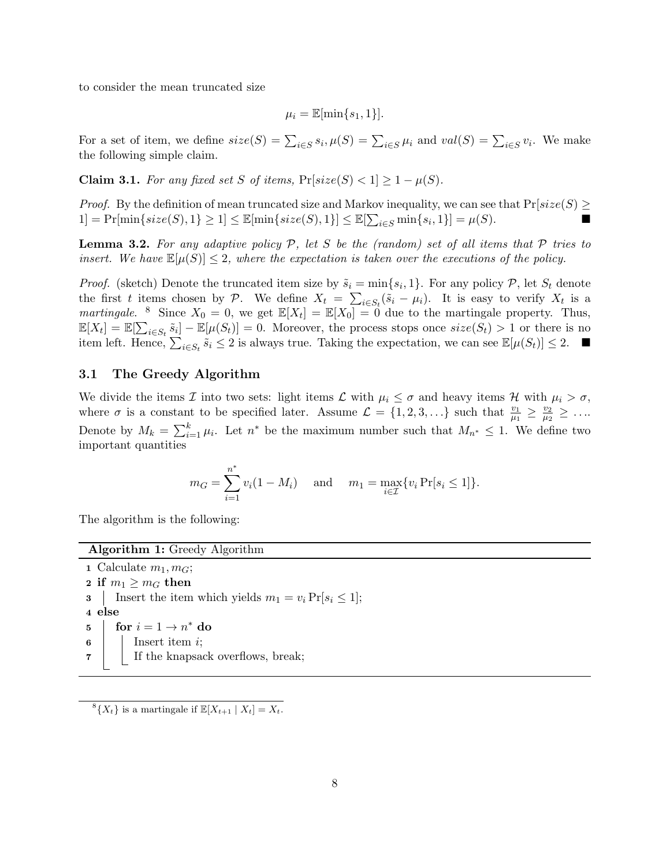to consider the mean truncated size

$$
\mu_i = \mathbb{E}[\min\{s_1, 1\}].
$$

For a set of item, we define  $size(S) = \sum_{i \in S} s_i, \mu(S) = \sum_{i \in S} \mu_i$  and  $val(S) = \sum_{i \in S} v_i$ . We make the following simple claim.

Claim 3.1. For any fixed set S of items,  $Pr[size(S) < 1] \ge 1 - \mu(S)$ .

*Proof.* By the definition of mean truncated size and Markov inequality, we can see that  $Pr[size(S) \geq$ 1] = Pr[min{size(S), 1} ≥ 1] ≤  $\mathbb{E}[\min\{size(S), 1\}]$  ≤  $\mathbb{E}[\sum_{i \in S} \min\{s_i, 1\}]$  =  $\mu(S)$ .

**Lemma 3.2.** For any adaptive policy  $P$ , let S be the (random) set of all items that  $P$  tries to insert. We have  $\mathbb{E}[\mu(S)] \leq 2$ , where the expectation is taken over the executions of the policy.

*Proof.* (sketch) Denote the truncated item size by  $\tilde{s}_i = \min\{s_i, 1\}$ . For any policy  $P$ , let  $S_t$  denote the first t items chosen by P. We define  $X_t = \sum_{i \in S_t} (\tilde{s}_i - \mu_i)$ . It is easy to verify  $X_t$  is a *martingale.* <sup>8</sup> Since  $X_0 = 0$ , we get  $\mathbb{E}[X_t] = \mathbb{E}[X_0] = 0$  due to the martingale property. Thus,  $\mathbb{E}[X_t] = \mathbb{E}[\sum_{i \in S_t} \tilde{s}_i] - \mathbb{E}[\mu(S_t)] = 0$ . Moreover, the process stops once  $size(S_t) > 1$  or there is no item left. Hence,  $\sum_{i \in S_t} \tilde{s}_i \leq 2$  is always true. Taking the expectation, we can see  $\mathbb{E}[\mu(S_t)] \leq 2$ .

#### 3.1 The Greedy Algorithm

We divide the items I into two sets: light items  $\mathcal L$  with  $\mu_i \leq \sigma$  and heavy items H with  $\mu_i > \sigma$ , where  $\sigma$  is a constant to be specified later. Assume  $\mathcal{L} = \{1, 2, 3, ...\}$  such that  $\frac{v_1}{\mu_1} \geq \frac{v_2}{\mu_2}$  $\frac{v_2}{\mu_2} \geq \ldots$ Denote by  $M_k = \sum_{i=1}^k \mu_i$ . Let  $n^*$  be the maximum number such that  $M_{n^*} \leq 1$ . We define two important quantities

$$
m_G = \sum_{i=1}^{n^*} v_i (1 - M_i)
$$
 and  $m_1 = \max_{i \in \mathcal{I}} \{v_i \Pr[s_i \leq 1]\}.$ 

The algorithm is the following:

#### Algorithm 1: Greedy Algorithm

1 Calculate  $m_1, m_G$ ; 2 if  $m_1 \geq m_G$  then 3 | Insert the item which yields  $m_1 = v_i \Pr[s_i \leq 1];$ 4 else 5  $\int$  for  $i = 1 \rightarrow n^*$  do  $\mathbf{6}$  | Insert item *i*; 7 | If the knapsack overflows, break;

 $^{8}$ {X<sub>t</sub>} is a martingale if  $\mathbb{E}[X_{t+1} | X_t] = X_t$ .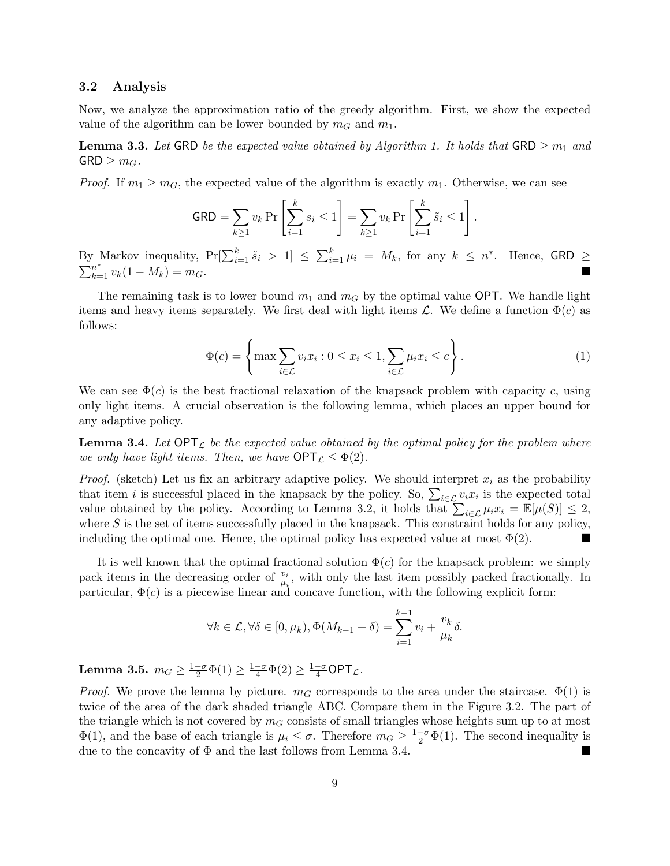#### 3.2 Analysis

Now, we analyze the approximation ratio of the greedy algorithm. First, we show the expected value of the algorithm can be lower bounded by  $m<sub>G</sub>$  and  $m<sub>1</sub>$ .

**Lemma 3.3.** Let GRD be the expected value obtained by Algorithm 1. It holds that GRD  $\geq m_1$  and  $\mathsf{GRD} \geq m_G$ .

*Proof.* If  $m_1 \geq m_G$ , the expected value of the algorithm is exactly  $m_1$ . Otherwise, we can see

$$
\text{GRD} = \sum_{k \ge 1} v_k \Pr\left[\sum_{i=1}^k s_i \le 1\right] = \sum_{k \ge 1} v_k \Pr\left[\sum_{i=1}^k \tilde{s}_i \le 1\right].
$$

By Markov inequality,  $Pr[\sum_{i=1}^{k} \tilde{s}_i > 1] \leq \sum_{i=1}^{k} \mu_i = M_k$ , for any  $k \leq n^*$ . Hence, GRD  $\geq$  $\sum_{k=1}^{n^*} v_k(1-M_k) = m_G.$ 

The remaining task is to lower bound  $m_1$  and  $m_G$  by the optimal value OPT. We handle light items and heavy items separately. We first deal with light items  $\mathcal{L}$ . We define a function  $\Phi(c)$  as follows:

$$
\Phi(c) = \left\{ \max \sum_{i \in \mathcal{L}} v_i x_i : 0 \le x_i \le 1, \sum_{i \in \mathcal{L}} \mu_i x_i \le c \right\}.
$$
 (1)

We can see  $\Phi(c)$  is the best fractional relaxation of the knapsack problem with capacity c, using only light items. A crucial observation is the following lemma, which places an upper bound for any adaptive policy.

**Lemma 3.4.** Let  $\text{OPT}_{\mathcal{L}}$  be the expected value obtained by the optimal policy for the problem where we only have light items. Then, we have  $\mathsf{OPT}_\mathcal{L} \leq \Phi(2)$ .

*Proof.* (sketch) Let us fix an arbitrary adaptive policy. We should interpret  $x_i$  as the probability that item *i* is successful placed in the knapsack by the policy. So,  $\sum_{i\in\mathcal{L}} v_i x_i$  is the expected total value obtained by the policy. According to Lemma 3.2, it holds that  $\sum_{i \in \mathcal{L}} \mu_i x_i = \mathbb{E}[\mu(S)] \leq 2$ , where  $S$  is the set of items successfully placed in the knapsack. This constraint holds for any policy, including the optimal one. Hence, the optimal policy has expected value at most  $\Phi(2)$ .

It is well known that the optimal fractional solution  $\Phi(c)$  for the knapsack problem: we simply pack items in the decreasing order of  $\frac{v_i}{\mu_i}$ , with only the last item possibly packed fractionally. In particular,  $\Phi(c)$  is a piecewise linear and concave function, with the following explicit form:

$$
\forall k \in \mathcal{L}, \forall \delta \in [0, \mu_k), \Phi(M_{k-1} + \delta) = \sum_{i=1}^{k-1} v_i + \frac{v_k}{\mu_k} \delta.
$$

Lemma 3.5.  $m_G \geq \frac{1-\sigma}{2}\Phi(1) \geq \frac{1-\sigma}{4}\Phi(2) \geq \frac{1-\sigma}{4}\mathsf{OPT}_\mathcal{L}$ .

*Proof.* We prove the lemma by picture.  $m<sub>G</sub>$  corresponds to the area under the staircase.  $\Phi(1)$  is twice of the area of the dark shaded triangle ABC. Compare them in the Figure 3.2. The part of the triangle which is not covered by  $m<sub>G</sub>$  consists of small triangles whose heights sum up to at most  $\Phi(1)$ , and the base of each triangle is  $\mu_i \leq \sigma$ . Therefore  $m_G \geq \frac{1-\sigma}{2} \Phi(1)$ . The second inequality is due to the concavity of  $\Phi$  and the last follows from Lemma 3.4.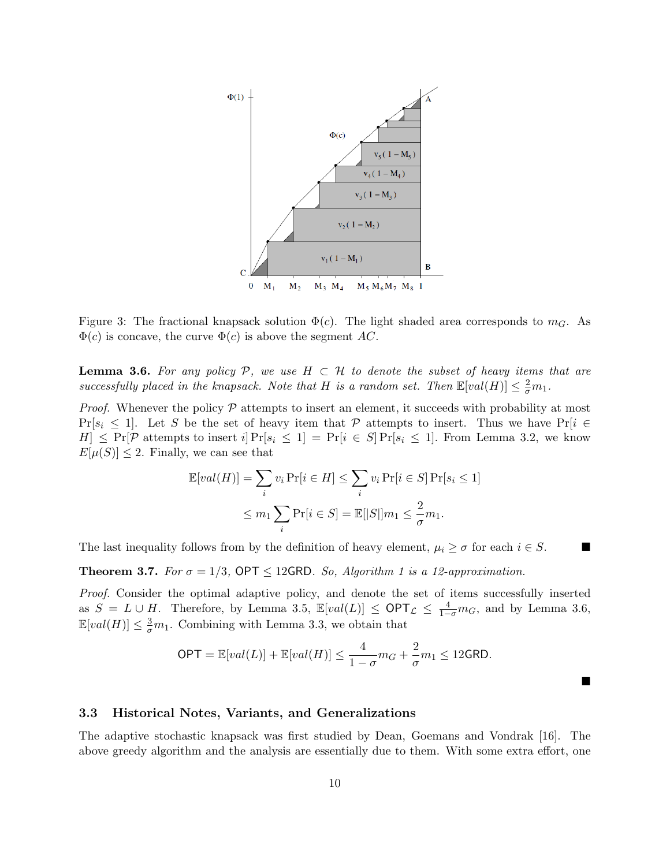

Figure 3: The fractional knapsack solution  $\Phi(c)$ . The light shaded area corresponds to  $m<sub>G</sub>$ . As  $\Phi(c)$  is concave, the curve  $\Phi(c)$  is above the segment AC.

**Lemma 3.6.** For any policy P, we use  $H \subset \mathcal{H}$  to denote the subset of heavy items that are successfully placed in the knapsack. Note that H is a random set. Then  $\mathbb{E}[val(H)] \leq \frac{2}{\sigma}m_1$ .

*Proof.* Whenever the policy  $P$  attempts to insert an element, it succeeds with probability at most  $Pr[s_i \leq 1]$ . Let S be the set of heavy item that P attempts to insert. Thus we have  $Pr[i \in \mathbb{Z}]$  $H] \leq \Pr[\mathcal{P} \text{ attempts to insert } i] \Pr[s_i \leq 1] = \Pr[i \in S] \Pr[s_i \leq 1]$ . From Lemma 3.2, we know  $E[\mu(S)] \leq 2$ . Finally, we can see that

$$
\mathbb{E}[val(H)] = \sum_{i} v_i \Pr[i \in H] \le \sum_{i} v_i \Pr[i \in S] \Pr[s_i \le 1]
$$
  

$$
\le m_1 \sum_{i} \Pr[i \in S] = \mathbb{E}[|S|] m_1 \le \frac{2}{\sigma} m_1.
$$

The last inequality follows from by the definition of heavy element,  $\mu_i \geq \sigma$  for each  $i \in S$ .

**Theorem 3.7.** For  $\sigma = 1/3$ , OPT  $\leq$  12GRD. So, Algorithm 1 is a 12-approximation.

Proof. Consider the optimal adaptive policy, and denote the set of items successfully inserted as  $S = L \cup H$ . Therefore, by Lemma 3.5,  $\mathbb{E}[val(L)] \le \mathsf{OPT}_{\mathcal{L}} \le \frac{4}{1-\sigma}m_G$ , and by Lemma 3.6,  $\mathbb{E}[val(H)] \leq \frac{3}{\sigma}m_1$ . Combining with Lemma 3.3, we obtain that

$$
\mathsf{OPT} = \mathbb{E}[val(L)] + \mathbb{E}[val(H)] \le \frac{4}{1-\sigma}m_G + \frac{2}{\sigma}m_1 \le 12\mathsf{GRD}.
$$

 $\blacksquare$ 

#### 3.3 Historical Notes, Variants, and Generalizations

The adaptive stochastic knapsack was first studied by Dean, Goemans and Vondrak [16]. The above greedy algorithm and the analysis are essentially due to them. With some extra effort, one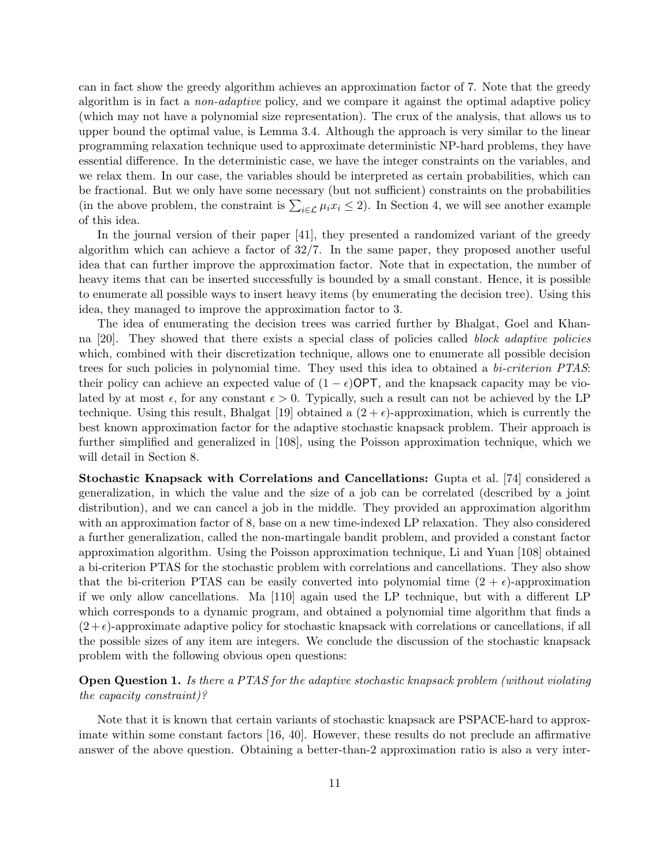can in fact show the greedy algorithm achieves an approximation factor of 7. Note that the greedy algorithm is in fact a non-adaptive policy, and we compare it against the optimal adaptive policy (which may not have a polynomial size representation). The crux of the analysis, that allows us to upper bound the optimal value, is Lemma 3.4. Although the approach is very similar to the linear programming relaxation technique used to approximate deterministic NP-hard problems, they have essential difference. In the deterministic case, we have the integer constraints on the variables, and we relax them. In our case, the variables should be interpreted as certain probabilities, which can be fractional. But we only have some necessary (but not sufficient) constraints on the probabilities (in the above problem, the constraint is  $\sum_{i \in \mathcal{L}} \mu_i x_i \leq 2$ ). In Section 4, we will see another example of this idea.

In the journal version of their paper [41], they presented a randomized variant of the greedy algorithm which can achieve a factor of 32/7. In the same paper, they proposed another useful idea that can further improve the approximation factor. Note that in expectation, the number of heavy items that can be inserted successfully is bounded by a small constant. Hence, it is possible to enumerate all possible ways to insert heavy items (by enumerating the decision tree). Using this idea, they managed to improve the approximation factor to 3.

The idea of enumerating the decision trees was carried further by Bhalgat, Goel and Khanna [20]. They showed that there exists a special class of policies called block adaptive policies which, combined with their discretization technique, allows one to enumerate all possible decision trees for such policies in polynomial time. They used this idea to obtained a *bi-criterion PTAS*: their policy can achieve an expected value of  $(1 - \epsilon)$ OPT, and the knapsack capacity may be violated by at most  $\epsilon$ , for any constant  $\epsilon > 0$ . Typically, such a result can not be achieved by the LP technique. Using this result, Bhalgat [19] obtained a  $(2 + \epsilon)$ -approximation, which is currently the best known approximation factor for the adaptive stochastic knapsack problem. Their approach is further simplified and generalized in [108], using the Poisson approximation technique, which we will detail in Section 8.

Stochastic Knapsack with Correlations and Cancellations: Gupta et al. [74] considered a generalization, in which the value and the size of a job can be correlated (described by a joint distribution), and we can cancel a job in the middle. They provided an approximation algorithm with an approximation factor of 8, base on a new time-indexed LP relaxation. They also considered a further generalization, called the non-martingale bandit problem, and provided a constant factor approximation algorithm. Using the Poisson approximation technique, Li and Yuan [108] obtained a bi-criterion PTAS for the stochastic problem with correlations and cancellations. They also show that the bi-criterion PTAS can be easily converted into polynomial time  $(2 + \epsilon)$ -approximation if we only allow cancellations. Ma [110] again used the LP technique, but with a different LP which corresponds to a dynamic program, and obtained a polynomial time algorithm that finds a  $(2 + \epsilon)$ -approximate adaptive policy for stochastic knapsack with correlations or cancellations, if all the possible sizes of any item are integers. We conclude the discussion of the stochastic knapsack problem with the following obvious open questions:

Open Question 1. Is there a PTAS for the adaptive stochastic knapsack problem (without violating the capacity constraint)?

Note that it is known that certain variants of stochastic knapsack are PSPACE-hard to approximate within some constant factors [16, 40]. However, these results do not preclude an affirmative answer of the above question. Obtaining a better-than-2 approximation ratio is also a very inter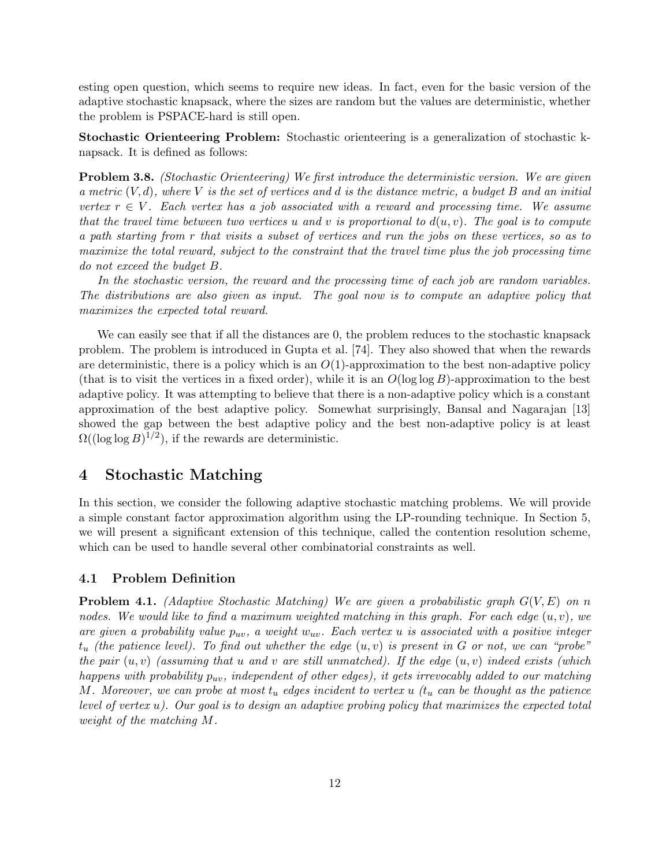esting open question, which seems to require new ideas. In fact, even for the basic version of the adaptive stochastic knapsack, where the sizes are random but the values are deterministic, whether the problem is PSPACE-hard is still open.

Stochastic Orienteering Problem: Stochastic orienteering is a generalization of stochastic knapsack. It is defined as follows:

**Problem 3.8.** (Stochastic Orienteering) We first introduce the deterministic version. We are given a metric  $(V, d)$ , where V is the set of vertices and d is the distance metric, a budget B and an initial vertex  $r \in V$ . Each vertex has a job associated with a reward and processing time. We assume that the travel time between two vertices u and v is proportional to  $d(u, v)$ . The goal is to compute a path starting from r that visits a subset of vertices and run the jobs on these vertices, so as to maximize the total reward, subject to the constraint that the travel time plus the job processing time do not exceed the budget B.

In the stochastic version, the reward and the processing time of each job are random variables. The distributions are also given as input. The goal now is to compute an adaptive policy that maximizes the expected total reward.

We can easily see that if all the distances are 0, the problem reduces to the stochastic knapsack problem. The problem is introduced in Gupta et al. [74]. They also showed that when the rewards are deterministic, there is a policy which is an  $O(1)$ -approximation to the best non-adaptive policy (that is to visit the vertices in a fixed order), while it is an  $O(\log \log B)$ -approximation to the best adaptive policy. It was attempting to believe that there is a non-adaptive policy which is a constant approximation of the best adaptive policy. Somewhat surprisingly, Bansal and Nagarajan [13] showed the gap between the best adaptive policy and the best non-adaptive policy is at least  $\Omega((\log \log B)^{1/2})$ , if the rewards are deterministic.

# 4 Stochastic Matching

In this section, we consider the following adaptive stochastic matching problems. We will provide a simple constant factor approximation algorithm using the LP-rounding technique. In Section 5, we will present a significant extension of this technique, called the contention resolution scheme, which can be used to handle several other combinatorial constraints as well.

#### 4.1 Problem Definition

**Problem 4.1.** (Adaptive Stochastic Matching) We are given a probabilistic graph  $G(V, E)$  on n nodes. We would like to find a maximum weighted matching in this graph. For each edge  $(u, v)$ , we are given a probability value  $p_{uv}$ , a weight  $w_{uv}$ . Each vertex u is associated with a positive integer  $t_u$  (the patience level). To find out whether the edge  $(u, v)$  is present in G or not, we can "probe" the pair  $(u, v)$  (assuming that u and v are still unmatched). If the edge  $(u, v)$  indeed exists (which happens with probability  $p_{uv}$ , independent of other edges), it gets irrevocably added to our matching M. Moreover, we can probe at most  $t_u$  edges incident to vertex u  $(t_u$  can be thought as the patience level of vertex u). Our goal is to design an adaptive probing policy that maximizes the expected total weight of the matching M.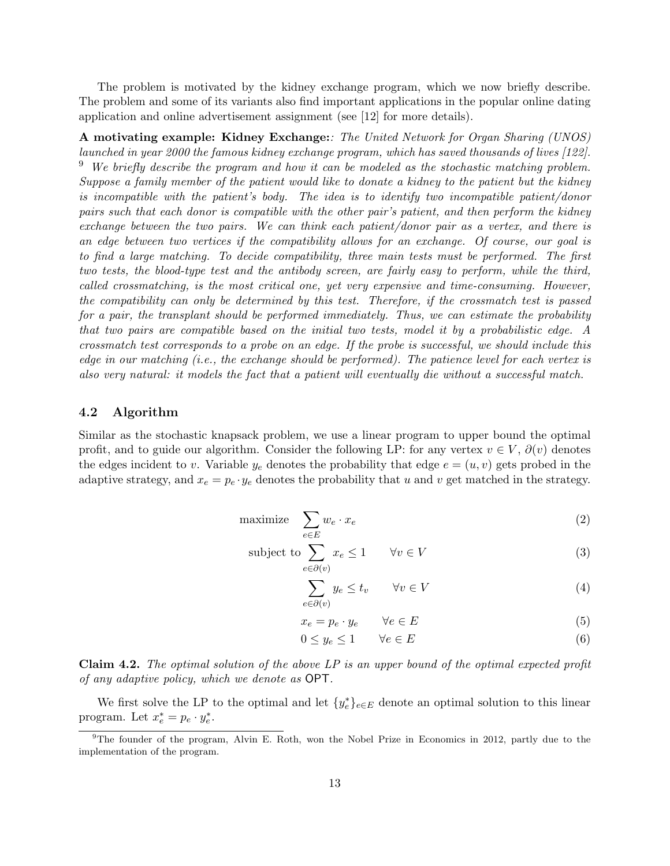The problem is motivated by the kidney exchange program, which we now briefly describe. The problem and some of its variants also find important applications in the popular online dating application and online advertisement assignment (see [12] for more details).

A motivating example: Kidney Exchange:: The United Network for Organ Sharing (UNOS) launched in year 2000 the famous kidney exchange program, which has saved thousands of lives [122].  $9\,$  We briefly describe the program and how it can be modeled as the stochastic matching problem. Suppose a family member of the patient would like to donate a kidney to the patient but the kidney is incompatible with the patient's body. The idea is to identify two incompatible patient/donor pairs such that each donor is compatible with the other pair's patient, and then perform the kidney exchange between the two pairs. We can think each patient/donor pair as a vertex, and there is an edge between two vertices if the compatibility allows for an exchange. Of course, our goal is to find a large matching. To decide compatibility, three main tests must be performed. The first two tests, the blood-type test and the antibody screen, are fairly easy to perform, while the third, called crossmatching, is the most critical one, yet very expensive and time-consuming. However, the compatibility can only be determined by this test. Therefore, if the crossmatch test is passed for a pair, the transplant should be performed immediately. Thus, we can estimate the probability that two pairs are compatible based on the initial two tests, model it by a probabilistic edge. A crossmatch test corresponds to a probe on an edge. If the probe is successful, we should include this edge in our matching  $(i.e., the exchange should be performed).$  The patience level for each vertex is also very natural: it models the fact that a patient will eventually die without a successful match.

#### 4.2 Algorithm

Similar as the stochastic knapsack problem, we use a linear program to upper bound the optimal profit, and to guide our algorithm. Consider the following LP: for any vertex  $v \in V$ ,  $\partial(v)$  denotes the edges incident to v. Variable  $y_e$  denotes the probability that edge  $e = (u, v)$  gets probed in the adaptive strategy, and  $x_e = p_e \cdot y_e$  denotes the probability that u and v get matched in the strategy.

$$
\text{maximize} \quad \sum_{e \in E} w_e \cdot x_e \tag{2}
$$

subject to 
$$
\sum_{e \in \partial(v)} x_e \le 1 \qquad \forall v \in V
$$
 (3)

$$
\sum_{e \in \partial(v)} y_e \le t_v \qquad \forall v \in V \tag{4}
$$

$$
x_e = p_e \cdot y_e \qquad \forall e \in E \tag{5}
$$

$$
0 \le y_e \le 1 \qquad \forall e \in E \tag{6}
$$

Claim 4.2. The optimal solution of the above LP is an upper bound of the optimal expected profit of any adaptive policy, which we denote as OPT.

We first solve the LP to the optimal and let  $\{y_e^*\}_{e \in E}$  denote an optimal solution to this linear program. Let  $x_e^* = p_e \cdot y_e^*$ .

 $9$ The founder of the program, Alvin E. Roth, won the Nobel Prize in Economics in 2012, partly due to the implementation of the program.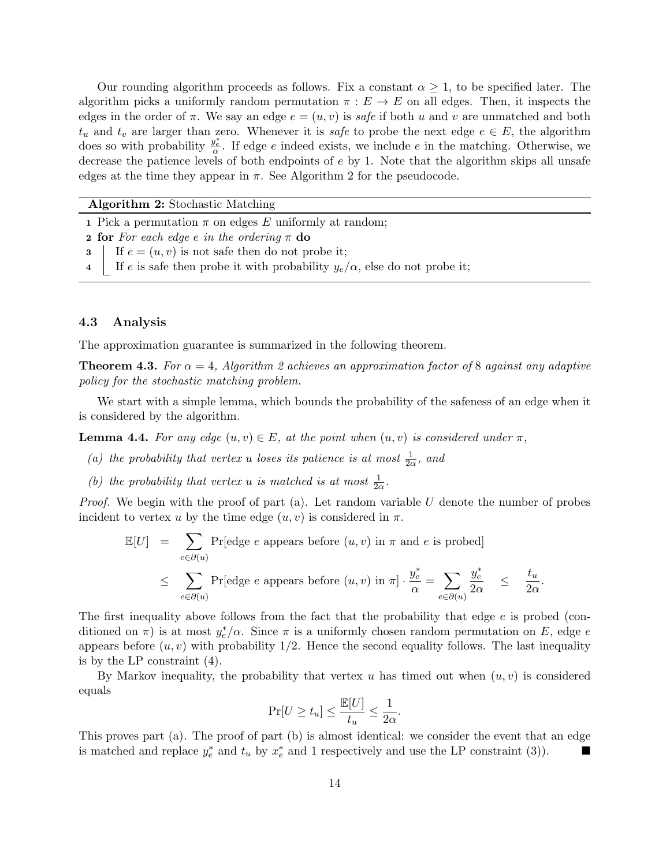Our rounding algorithm proceeds as follows. Fix a constant  $\alpha \geq 1$ , to be specified later. The algorithm picks a uniformly random permutation  $\pi : E \to E$  on all edges. Then, it inspects the edges in the order of  $\pi$ . We say an edge  $e = (u, v)$  is safe if both u and v are unmatched and both  $t_u$  and  $t_v$  are larger than zero. Whenever it is safe to probe the next edge  $e \in E$ , the algorithm does so with probability  $\frac{y_e^*}{\alpha}$ . If edge e indeed exists, we include e in the matching. Otherwise, we decrease the patience levels of both endpoints of e by 1. Note that the algorithm skips all unsafe edges at the time they appear in  $\pi$ . See Algorithm 2 for the pseudocode.

Algorithm 2: Stochastic Matching

1 Pick a permutation  $\pi$  on edges E uniformly at random;

**2 for** For each edge e in the ordering  $\pi$  do

- 3 If  $e = (u, v)$  is not safe then do not probe it;
- 4 If e is safe then probe it with probability  $y_e/\alpha$ , else do not probe it;

#### 4.3 Analysis

The approximation guarantee is summarized in the following theorem.

**Theorem 4.3.** For  $\alpha = 4$ , Algorithm 2 achieves an approximation factor of 8 against any adaptive policy for the stochastic matching problem.

We start with a simple lemma, which bounds the probability of the safeness of an edge when it is considered by the algorithm.

**Lemma 4.4.** For any edge  $(u, v) \in E$ , at the point when  $(u, v)$  is considered under  $\pi$ ,

- (a) the probability that vertex u loses its patience is at most  $\frac{1}{2\alpha}$ , and
- (b) the probability that vertex u is matched is at most  $\frac{1}{2\alpha}$ .

*Proof.* We begin with the proof of part (a). Let random variable U denote the number of probes incident to vertex u by the time edge  $(u, v)$  is considered in  $\pi$ .

$$
\mathbb{E}[U] = \sum_{e \in \partial(u)} \Pr[\text{edge } e \text{ appears before } (u, v) \text{ in } \pi \text{ and } e \text{ is probed}]
$$
  

$$
\leq \sum_{e \in \partial(u)} \Pr[\text{edge } e \text{ appears before } (u, v) \text{ in } \pi] \cdot \frac{y_e^*}{\alpha} = \sum_{e \in \partial(u)} \frac{y_e^*}{2\alpha} \leq \frac{t_u}{2\alpha}
$$

.

The first inequality above follows from the fact that the probability that edge  $e$  is probed (conditioned on  $\pi$ ) is at most  $y_e^*/\alpha$ . Since  $\pi$  is a uniformly chosen random permutation on E, edge e appears before  $(u, v)$  with probability 1/2. Hence the second equality follows. The last inequality is by the LP constraint (4).

By Markov inequality, the probability that vertex u has timed out when  $(u, v)$  is considered equals

$$
\Pr[U \geq t_u] \leq \frac{\mathbb{E}[U]}{t_u} \leq \frac{1}{2\alpha}.
$$

This proves part (a). The proof of part (b) is almost identical: we consider the event that an edge is matched and replace  $y_e^*$  and  $t_u$  by  $x_e^*$  and 1 respectively and use the LP constraint (3)). ■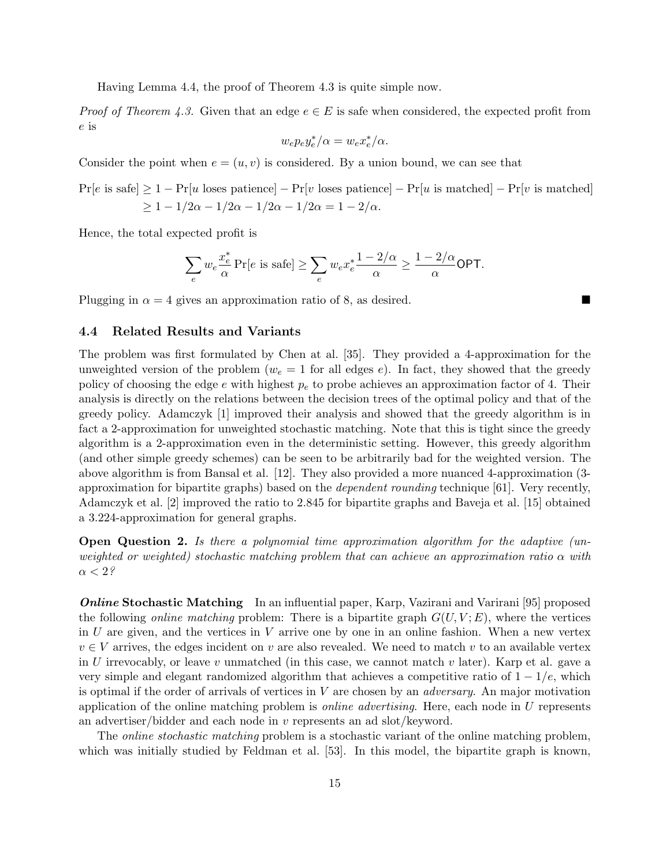Having Lemma 4.4, the proof of Theorem 4.3 is quite simple now.

*Proof of Theorem 4.3.* Given that an edge  $e \in E$  is safe when considered, the expected profit from e is

$$
w_e p_e y_e^* / \alpha = w_e x_e^* / \alpha.
$$

Consider the point when  $e = (u, v)$  is considered. By a union bound, we can see that

$$
Pr[e \text{ is safe}] \ge 1 - Pr[u \text{ loses patience}] - Pr[v \text{ loses patience}] - Pr[u \text{ is matched}] - Pr[v \text{ is matched}]
$$

$$
\ge 1 - 1/2\alpha - 1/2\alpha - 1/2\alpha - 1/2\alpha = 1 - 2/\alpha.
$$

Hence, the total expected profit is

$$
\sum_{e} w_e \frac{x_e^*}{\alpha} \Pr[e \text{ is safe}] \ge \sum_{e} w_e x_e^* \frac{1 - 2/\alpha}{\alpha} \ge \frac{1 - 2/\alpha}{\alpha} \textsf{OPT}.
$$

Plugging in  $\alpha = 4$  gives an approximation ratio of 8, as desired.

#### 4.4 Related Results and Variants

The problem was first formulated by Chen at al. [35]. They provided a 4-approximation for the unweighted version of the problem ( $w_e = 1$  for all edges e). In fact, they showed that the greedy policy of choosing the edge e with highest  $p_e$  to probe achieves an approximation factor of 4. Their analysis is directly on the relations between the decision trees of the optimal policy and that of the greedy policy. Adamczyk [1] improved their analysis and showed that the greedy algorithm is in fact a 2-approximation for unweighted stochastic matching. Note that this is tight since the greedy algorithm is a 2-approximation even in the deterministic setting. However, this greedy algorithm (and other simple greedy schemes) can be seen to be arbitrarily bad for the weighted version. The above algorithm is from Bansal et al. [12]. They also provided a more nuanced 4-approximation (3 approximation for bipartite graphs) based on the dependent rounding technique [61]. Very recently, Adamczyk et al. [2] improved the ratio to 2.845 for bipartite graphs and Baveja et al. [15] obtained a 3.224-approximation for general graphs.

**Open Question 2.** Is there a polynomial time approximation algorithm for the adaptive (unweighted or weighted) stochastic matching problem that can achieve an approximation ratio  $\alpha$  with  $\alpha < 2$ ?

**Online Stochastic Matching** In an influential paper, Karp, Vazirani and Varirani [95] proposed the following *online matching* problem: There is a bipartite graph  $G(U, V; E)$ , where the vertices in  $U$  are given, and the vertices in  $V$  arrive one by one in an online fashion. When a new vertex  $v \in V$  arrives, the edges incident on v are also revealed. We need to match v to an available vertex in U irrevocably, or leave v unmatched (in this case, we cannot match v later). Karp et al. gave a very simple and elegant randomized algorithm that achieves a competitive ratio of  $1 - 1/e$ , which is optimal if the order of arrivals of vertices in  $V$  are chosen by an *adversary*. An major motivation application of the online matching problem is *online advertising*. Here, each node in  $U$  represents an advertiser/bidder and each node in  $v$  represents an ad slot/keyword.

The *online stochastic matching* problem is a stochastic variant of the online matching problem, which was initially studied by Feldman et al. [53]. In this model, the bipartite graph is known,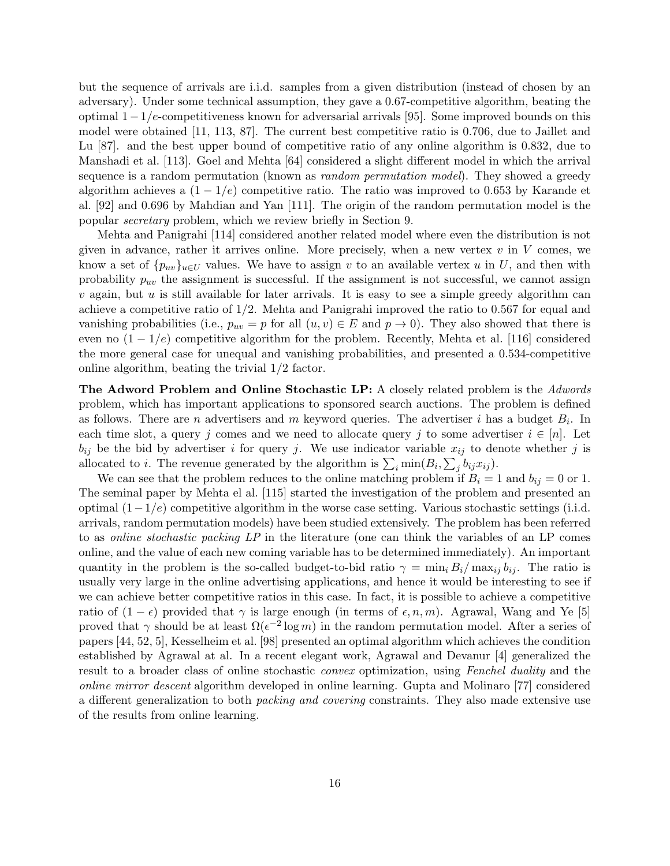but the sequence of arrivals are i.i.d. samples from a given distribution (instead of chosen by an adversary). Under some technical assumption, they gave a 0.67-competitive algorithm, beating the optimal 1−1/e-competitiveness known for adversarial arrivals [95]. Some improved bounds on this model were obtained [11, 113, 87]. The current best competitive ratio is 0.706, due to Jaillet and Lu [87]. and the best upper bound of competitive ratio of any online algorithm is 0.832, due to Manshadi et al. [113]. Goel and Mehta [64] considered a slight different model in which the arrival sequence is a random permutation (known as random permutation model). They showed a greedy algorithm achieves a  $(1 - 1/e)$  competitive ratio. The ratio was improved to 0.653 by Karande et al. [92] and 0.696 by Mahdian and Yan [111]. The origin of the random permutation model is the popular secretary problem, which we review briefly in Section 9.

Mehta and Panigrahi [114] considered another related model where even the distribution is not given in advance, rather it arrives online. More precisely, when a new vertex  $v$  in  $V$  comes, we know a set of  $\{p_{uv}\}_{u\in U}$  values. We have to assign v to an available vertex u in U, and then with probability  $p_{uv}$  the assignment is successful. If the assignment is not successful, we cannot assign  $v$  again, but  $u$  is still available for later arrivals. It is easy to see a simple greedy algorithm can achieve a competitive ratio of  $1/2$ . Mehta and Panigrahi improved the ratio to 0.567 for equal and vanishing probabilities (i.e.,  $p_{uv} = p$  for all  $(u, v) \in E$  and  $p \to 0$ ). They also showed that there is even no  $(1 - 1/e)$  competitive algorithm for the problem. Recently, Mehta et al. [116] considered the more general case for unequal and vanishing probabilities, and presented a 0.534-competitive online algorithm, beating the trivial 1/2 factor.

The Adword Problem and Online Stochastic LP: A closely related problem is the Adwords problem, which has important applications to sponsored search auctions. The problem is defined as follows. There are n advertisers and m keyword queries. The advertiser i has a budget  $B_i$ . In each time slot, a query j comes and we need to allocate query j to some advertiser  $i \in [n]$ . Let  $b_{ij}$  be the bid by advertiser i for query j. We use indicator variable  $x_{ij}$  to denote whether j is allocated to *i*. The revenue generated by the algorithm is  $\sum_i \min(B_i, \sum_j b_{ij} x_{ij})$ .

We can see that the problem reduces to the online matching problem if  $B_i = 1$  and  $b_{ij} = 0$  or 1. The seminal paper by Mehta el al. [115] started the investigation of the problem and presented an optimal  $(1-1/e)$  competitive algorithm in the worse case setting. Various stochastic settings (i.i.d. arrivals, random permutation models) have been studied extensively. The problem has been referred to as online stochastic packing LP in the literature (one can think the variables of an LP comes online, and the value of each new coming variable has to be determined immediately). An important quantity in the problem is the so-called budget-to-bid ratio  $\gamma = \min_i B_i / \max_{i,j} b_{ij}$ . The ratio is usually very large in the online advertising applications, and hence it would be interesting to see if we can achieve better competitive ratios in this case. In fact, it is possible to achieve a competitive ratio of  $(1 - \epsilon)$  provided that  $\gamma$  is large enough (in terms of  $\epsilon, n, m$ ). Agrawal, Wang and Ye [5] proved that  $\gamma$  should be at least  $\Omega(\epsilon^{-2} \log m)$  in the random permutation model. After a series of papers [44, 52, 5], Kesselheim et al. [98] presented an optimal algorithm which achieves the condition established by Agrawal at al. In a recent elegant work, Agrawal and Devanur [4] generalized the result to a broader class of online stochastic *convex* optimization, using *Fenchel duality* and the online mirror descent algorithm developed in online learning. Gupta and Molinaro [77] considered a different generalization to both packing and covering constraints. They also made extensive use of the results from online learning.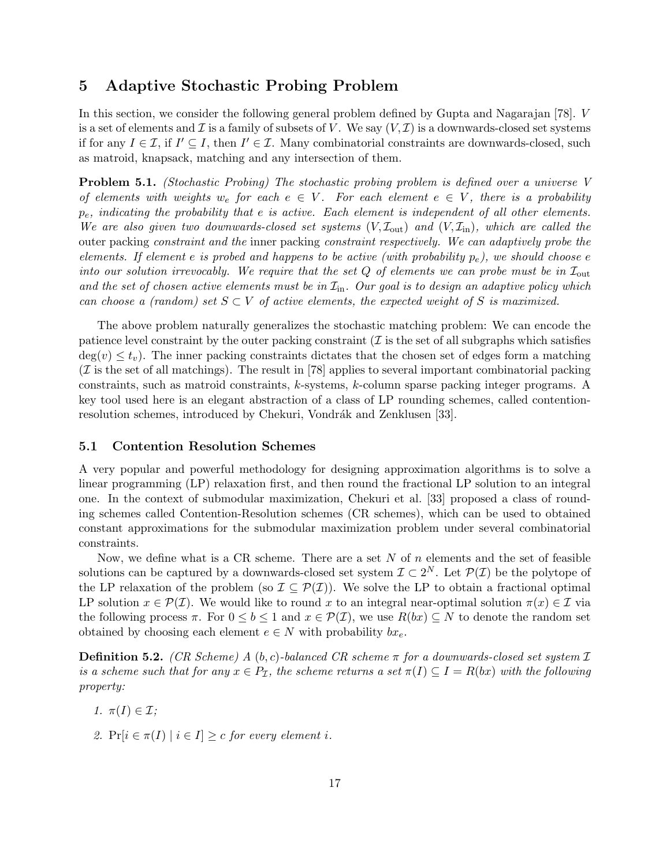# 5 Adaptive Stochastic Probing Problem

In this section, we consider the following general problem defined by Gupta and Nagarajan [78]. V is a set of elements and  $\mathcal I$  is a family of subsets of V. We say  $(V,\mathcal I)$  is a downwards-closed set systems if for any  $I \in \mathcal{I}$ , if  $I' \subseteq I$ , then  $I' \in \mathcal{I}$ . Many combinatorial constraints are downwards-closed, such as matroid, knapsack, matching and any intersection of them.

Problem 5.1. (Stochastic Probing) The stochastic probing problem is defined over a universe V of elements with weights w<sub>e</sub> for each  $e \in V$ . For each element  $e \in V$ , there is a probability  $p_e$ , indicating the probability that e is active. Each element is independent of all other elements. We are also given two downwards-closed set systems  $(V, \mathcal{I}_{out})$  and  $(V, \mathcal{I}_{in})$ , which are called the outer packing constraint and the inner packing constraint respectively. We can adaptively probe the elements. If element e is probed and happens to be active (with probability  $p_e$ ), we should choose e into our solution irrevocably. We require that the set Q of elements we can probe must be in  $\mathcal{I}_{\text{out}}$ and the set of chosen active elements must be in  $\mathcal{I}_{in}$ . Our goal is to design an adaptive policy which can choose a (random) set  $S \subset V$  of active elements, the expected weight of S is maximized.

The above problem naturally generalizes the stochastic matching problem: We can encode the patience level constraint by the outer packing constraint  $(\mathcal{I}% _{1},\mathcal{I}_{2})$  is the set of all subgraphs which satisfies  $deg(v) \leq t_v$ ). The inner packing constraints dictates that the chosen set of edges form a matching  $(\mathcal{I})$  is the set of all matchings). The result in [78] applies to several important combinatorial packing constraints, such as matroid constraints, k-systems, k-column sparse packing integer programs. A key tool used here is an elegant abstraction of a class of LP rounding schemes, called contentionresolution schemes, introduced by Chekuri, Vondrák and Zenklusen [33].

#### 5.1 Contention Resolution Schemes

A very popular and powerful methodology for designing approximation algorithms is to solve a linear programming (LP) relaxation first, and then round the fractional LP solution to an integral one. In the context of submodular maximization, Chekuri et al. [33] proposed a class of rounding schemes called Contention-Resolution schemes (CR schemes), which can be used to obtained constant approximations for the submodular maximization problem under several combinatorial constraints.

Now, we define what is a CR scheme. There are a set  $N$  of  $n$  elements and the set of feasible solutions can be captured by a downwards-closed set system  $\mathcal{I} \subset 2^N$ . Let  $\mathcal{P}(\mathcal{I})$  be the polytope of the LP relaxation of the problem (so  $\mathcal{I} \subseteq \mathcal{P}(\mathcal{I})$ ). We solve the LP to obtain a fractional optimal LP solution  $x \in \mathcal{P}(\mathcal{I})$ . We would like to round x to an integral near-optimal solution  $\pi(x) \in \mathcal{I}$  via the following process  $\pi$ . For  $0 \leq b \leq 1$  and  $x \in \mathcal{P}(\mathcal{I})$ , we use  $R(bx) \subseteq N$  to denote the random set obtained by choosing each element  $e \in N$  with probability  $bx_e$ .

**Definition 5.2.** (CR Scheme) A (b, c)-balanced CR scheme  $\pi$  for a downwards-closed set system I is a scheme such that for any  $x \in P_I$ , the scheme returns a set  $\pi(I) \subseteq I = R(bx)$  with the following property:

- 1.  $\pi(I) \in \mathcal{I}$ ;
- 2.  $Pr[i \in \pi(I) \mid i \in I] \geq c$  for every element i.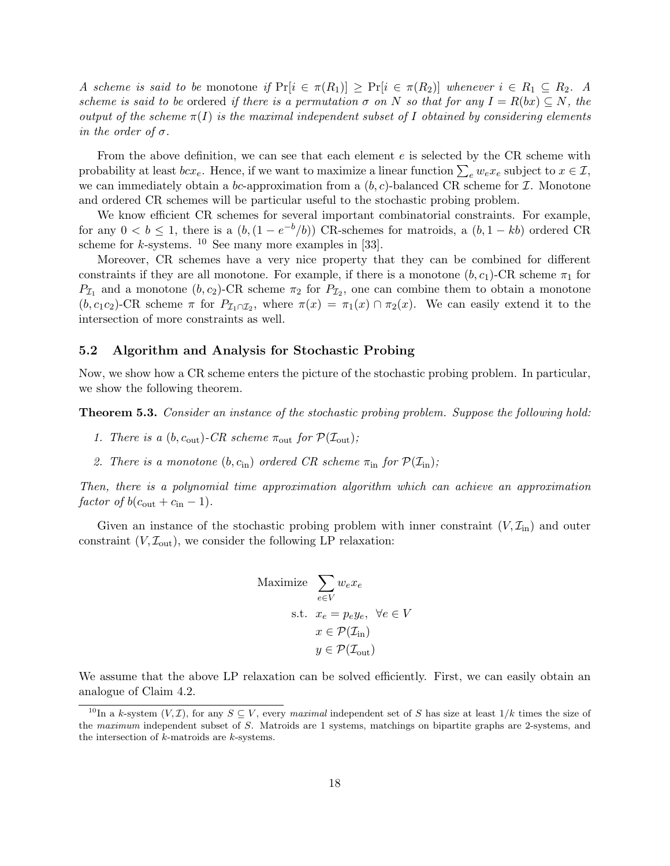A scheme is said to be monotone if  $Pr[i \in \pi(R_1)] \geq Pr[i \in \pi(R_2)]$  whenever  $i \in R_1 \subseteq R_2$ . A scheme is said to be ordered if there is a permutation  $\sigma$  on N so that for any  $I = R(bx) \subseteq N$ , the output of the scheme  $\pi(I)$  is the maximal independent subset of I obtained by considering elements in the order of  $\sigma$ .

From the above definition, we can see that each element  $e$  is selected by the CR scheme with probability at least  $bcx_e$ . Hence, if we want to maximize a linear function  $\sum_e w_e x_e$  subject to  $x \in \mathcal{I}$ , we can immediately obtain a bc-approximation from a  $(b, c)$ -balanced CR scheme for  $\mathcal I$ . Monotone and ordered CR schemes will be particular useful to the stochastic probing problem.

We know efficient CR schemes for several important combinatorial constraints. For example, for any  $0 < b \le 1$ , there is a  $(b, (1 - e^{-b}/b))$  CR-schemes for matroids, a  $(b, 1 - kb)$  ordered CR scheme for  $k$ -systems. <sup>10</sup> See many more examples in [33].

Moreover, CR schemes have a very nice property that they can be combined for different constraints if they are all monotone. For example, if there is a monotone  $(b, c_1)$ -CR scheme  $\pi_1$  for  $P_{\mathcal{I}_1}$  and a monotone  $(b, c_2)$ -CR scheme  $\pi_2$  for  $P_{\mathcal{I}_2}$ , one can combine them to obtain a monotone  $(b, c_1c_2)$ -CR scheme  $\pi$  for  $P_{\mathcal{I}_1 \cap \mathcal{I}_2}$ , where  $\pi(x) = \pi_1(x) \cap \pi_2(x)$ . We can easily extend it to the intersection of more constraints as well.

#### 5.2 Algorithm and Analysis for Stochastic Probing

Now, we show how a CR scheme enters the picture of the stochastic probing problem. In particular, we show the following theorem.

Theorem 5.3. Consider an instance of the stochastic probing problem. Suppose the following hold:

- 1. There is a  $(b, c_{\text{out}})$ -CR scheme  $\pi_{\text{out}}$  for  $\mathcal{P}(\mathcal{I}_{\text{out}})$ ;
- 2. There is a monotone  $(b, c_{\text{in}})$  ordered CR scheme  $\pi_{\text{in}}$  for  $\mathcal{P}(\mathcal{I}_{\text{in}})$ ;

Then, there is a polynomial time approximation algorithm which can achieve an approximation factor of  $b(c_{\text{out}} + c_{\text{in}} - 1)$ .

Given an instance of the stochastic probing problem with inner constraint  $(V, \mathcal{I}_{\text{in}})$  and outer constraint  $(V, \mathcal{I}_{out})$ , we consider the following LP relaxation:

Maximize 
$$
\sum_{e \in V} w_e x_e
$$
  
s.t. 
$$
x_e = p_e y_e, \forall e \in V
$$

$$
x \in \mathcal{P}(\mathcal{I}_{\text{in}})
$$

$$
y \in \mathcal{P}(\mathcal{I}_{\text{out}})
$$

We assume that the above LP relaxation can be solved efficiently. First, we can easily obtain an analogue of Claim 4.2.

<sup>&</sup>lt;sup>10</sup>In a k-system  $(V,\mathcal{I})$ , for any  $S \subseteq V$ , every maximal independent set of S has size at least  $1/k$  times the size of the maximum independent subset of S. Matroids are 1 systems, matchings on bipartite graphs are 2-systems, and the intersection of k-matroids are k-systems.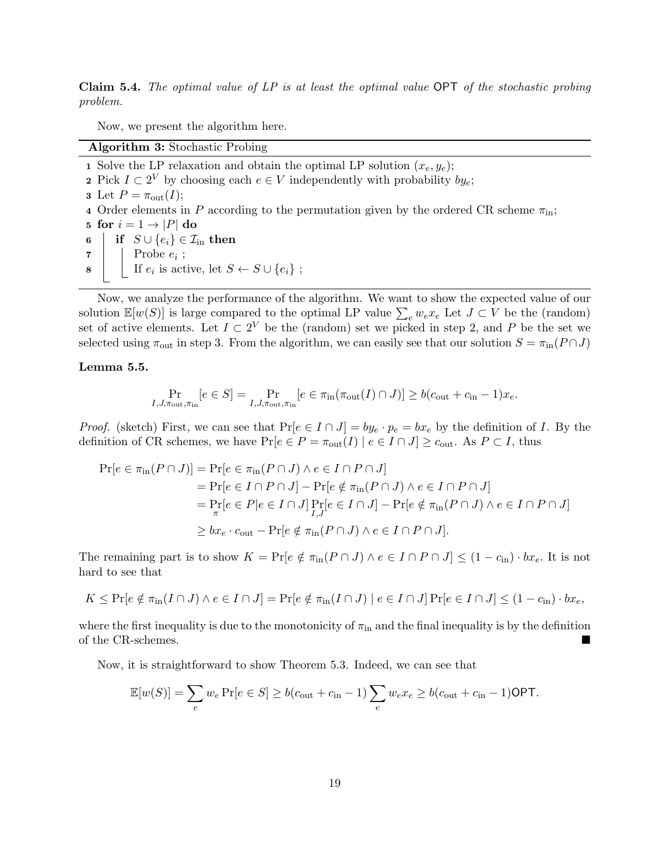**Claim 5.4.** The optimal value of LP is at least the optimal value  $OPT$  of the stochastic probing problem.

Now, we present the algorithm here.

Algorithm 3: Stochastic Probing 1 Solve the LP relaxation and obtain the optimal LP solution  $(x_e, y_e)$ ; 2 Pick  $I \subset 2^V$  by choosing each  $e \in V$  independently with probability  $by_e$ ; **3** Let  $P = \pi_{\text{out}}(I);$ 4 Order elements in P according to the permutation given by the ordered CR scheme  $\pi_{\text{in}}$ ; 5 for  $i = 1 \rightarrow |P|$  do 6 if  $S \cup \{e_i\} \in \mathcal{I}_{\text{in}}$  then  $7 \mid \cdot \mid \text{Probe } e_i ;$ 8 | If  $e_i$  is active, let  $S \leftarrow S \cup \{e_i\}$ ;

Now, we analyze the performance of the algorithm. We want to show the expected value of our solution  $\mathbb{E}[w(S)]$  is large compared to the optimal LP value  $\sum_{e} w_e x_e$  Let  $J \subset V$  be the (random) set of active elements. Let  $I \subset 2^V$  be the (random) set we picked in step 2, and P be the set we selected using  $\pi_{\text{out}}$  in step 3. From the algorithm, we can easily see that our solution  $S = \pi_{\text{in}}(P \cap J)$ 

#### Lemma 5.5.

$$
\Pr_{I,J,\pi_{\text{out}},\pi_{\text{in}}} [e \in S] = \Pr_{I,J,\pi_{\text{out}},\pi_{\text{in}}}[e \in \pi_{\text{in}}(\pi_{\text{out}}(I) \cap J)] \geq b(c_{\text{out}} + c_{\text{in}} - 1)x_e.
$$

*Proof.* (sketch) First, we can see that  $Pr[e \in I \cap J] = by_e \cdot p_e = bx_e$  by the definition of I. By the definition of CR schemes, we have  $Pr[e \in P = \pi_{out}(I) \mid e \in I \cap J] \geq c_{out}$ . As  $P \subset I$ , thus

$$
\Pr[e \in \pi_{\text{in}}(P \cap J)] = \Pr[e \in \pi_{\text{in}}(P \cap J) \land e \in I \cap P \cap J]
$$
  
\n
$$
= \Pr[e \in I \cap P \cap J] - \Pr[e \notin \pi_{\text{in}}(P \cap J) \land e \in I \cap P \cap J]
$$
  
\n
$$
= \Pr[e \in P | e \in I \cap J] \Pr[e \in I \cap J] - \Pr[e \notin \pi_{\text{in}}(P \cap J) \land e \in I \cap P \cap J]
$$
  
\n
$$
\geq bx_e \cdot c_{\text{out}} - \Pr[e \notin \pi_{\text{in}}(P \cap J) \land e \in I \cap P \cap J].
$$

The remaining part is to show  $K = Pr[e \notin \pi_{in}(P \cap J) \land e \in I \cap P \cap J] \leq (1 - c_{in}) \cdot bx_e$ . It is not hard to see that

$$
K \leq \Pr[e \notin \pi_{\text{in}}(I \cap J) \land e \in I \cap J] = \Pr[e \notin \pi_{\text{in}}(I \cap J) \mid e \in I \cap J] \Pr[e \in I \cap J] \leq (1 - c_{\text{in}}) \cdot bx_e,
$$

where the first inequality is due to the monotonicity of  $\pi_{in}$  and the final inequality is by the definition of the CR-schemes.

Now, it is straightforward to show Theorem 5.3. Indeed, we can see that

$$
\mathbb{E}[w(S)] = \sum_{e} w_e \Pr[e \in S] \geq b(c_{\text{out}} + c_{\text{in}} - 1) \sum_{e} w_e x_e \geq b(c_{\text{out}} + c_{\text{in}} - 1)\textsf{OPT}.
$$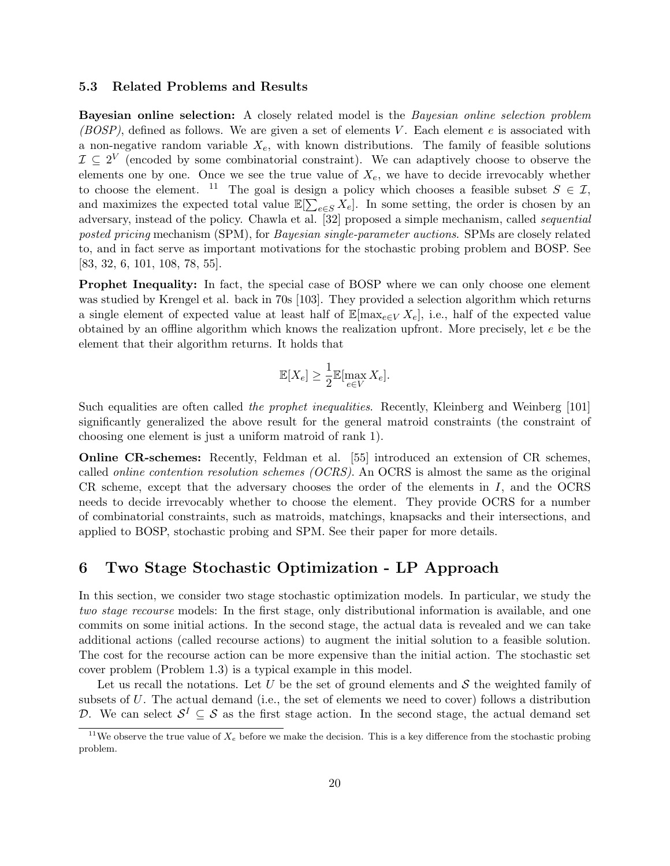#### 5.3 Related Problems and Results

Bayesian online selection: A closely related model is the Bayesian online selection problem  $(BOSP)$ , defined as follows. We are given a set of elements V. Each element e is associated with a non-negative random variable  $X_e$ , with known distributions. The family of feasible solutions  $\mathcal{I} \subseteq 2^V$  (encoded by some combinatorial constraint). We can adaptively choose to observe the elements one by one. Once we see the true value of  $X_e$ , we have to decide irrevocably whether to choose the element. <sup>11</sup> The goal is design a policy which chooses a feasible subset  $S \in \mathcal{I}$ , and maximizes the expected total value  $\mathbb{E}[\sum_{e \in S} X_e]$ . In some setting, the order is chosen by an adversary, instead of the policy. Chawla et al. [32] proposed a simple mechanism, called sequential posted pricing mechanism (SPM), for Bayesian single-parameter auctions. SPMs are closely related to, and in fact serve as important motivations for the stochastic probing problem and BOSP. See [83, 32, 6, 101, 108, 78, 55].

Prophet Inequality: In fact, the special case of BOSP where we can only choose one element was studied by Krengel et al. back in 70s [103]. They provided a selection algorithm which returns a single element of expected value at least half of  $\mathbb{E}[\max_{e \in V} X_e]$ , i.e., half of the expected value obtained by an offline algorithm which knows the realization upfront. More precisely, let e be the element that their algorithm returns. It holds that

$$
\mathbb{E}[X_e] \ge \frac{1}{2} \mathbb{E}[\max_{e \in V} X_e].
$$

Such equalities are often called the prophet inequalities. Recently, Kleinberg and Weinberg [101] significantly generalized the above result for the general matroid constraints (the constraint of choosing one element is just a uniform matroid of rank 1).

Online CR-schemes: Recently, Feldman et al. [55] introduced an extension of CR schemes, called online contention resolution schemes (OCRS). An OCRS is almost the same as the original CR scheme, except that the adversary chooses the order of the elements in I, and the OCRS needs to decide irrevocably whether to choose the element. They provide OCRS for a number of combinatorial constraints, such as matroids, matchings, knapsacks and their intersections, and applied to BOSP, stochastic probing and SPM. See their paper for more details.

### 6 Two Stage Stochastic Optimization - LP Approach

In this section, we consider two stage stochastic optimization models. In particular, we study the two stage recourse models: In the first stage, only distributional information is available, and one commits on some initial actions. In the second stage, the actual data is revealed and we can take additional actions (called recourse actions) to augment the initial solution to a feasible solution. The cost for the recourse action can be more expensive than the initial action. The stochastic set cover problem (Problem 1.3) is a typical example in this model.

Let us recall the notations. Let U be the set of ground elements and  $\mathcal S$  the weighted family of subsets of U. The actual demand (i.e., the set of elements we need to cover) follows a distribution D. We can select  $\mathcal{S}^I \subseteq \mathcal{S}$  as the first stage action. In the second stage, the actual demand set

<sup>&</sup>lt;sup>11</sup>We observe the true value of  $X_e$  before we make the decision. This is a key difference from the stochastic probing problem.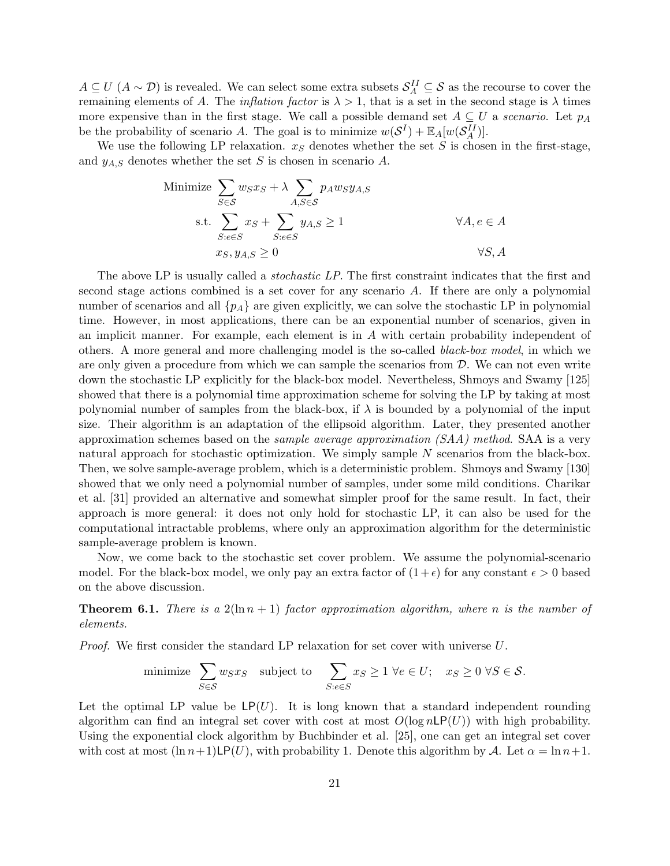$A \subseteq U$   $(A \sim \mathcal{D})$  is revealed. We can select some extra subsets  $\mathcal{S}_A^{II} \subseteq \mathcal{S}$  as the recourse to cover the remaining elements of A. The *inflation factor* is  $\lambda > 1$ , that is a set in the second stage is  $\lambda$  times more expensive than in the first stage. We call a possible demand set  $A \subseteq U$  a scenario. Let  $p_A$ be the probability of scenario A. The goal is to minimize  $w(S^I) + \mathbb{E}_A[w(S_A^{II})]$ .

We use the following LP relaxation.  $x_S$  denotes whether the set S is chosen in the first-stage, and  $y_{A,S}$  denotes whether the set S is chosen in scenario A.

Minimize 
$$
\sum_{S \in \mathcal{S}} w_S x_S + \lambda \sum_{A,S \in \mathcal{S}} p_A w_S y_{A,S}
$$
  
s.t.  $\sum_{S: e \in S} x_S + \sum_{S: e \in S} y_{A,S} \ge 1$   $\forall A, e \in A$   
 $x_S, y_{A,S} \ge 0$   $\forall S, A$ 

The above LP is usually called a *stochastic LP*. The first constraint indicates that the first and second stage actions combined is a set cover for any scenario A. If there are only a polynomial number of scenarios and all  $\{p_A\}$  are given explicitly, we can solve the stochastic LP in polynomial time. However, in most applications, there can be an exponential number of scenarios, given in an implicit manner. For example, each element is in A with certain probability independent of others. A more general and more challenging model is the so-called black-box model, in which we are only given a procedure from which we can sample the scenarios from  $D$ . We can not even write down the stochastic LP explicitly for the black-box model. Nevertheless, Shmoys and Swamy [125] showed that there is a polynomial time approximation scheme for solving the LP by taking at most polynomial number of samples from the black-box, if  $\lambda$  is bounded by a polynomial of the input size. Their algorithm is an adaptation of the ellipsoid algorithm. Later, they presented another approximation schemes based on the sample average approximation (SAA) method. SAA is a very natural approach for stochastic optimization. We simply sample N scenarios from the black-box. Then, we solve sample-average problem, which is a deterministic problem. Shmoys and Swamy [130] showed that we only need a polynomial number of samples, under some mild conditions. Charikar et al. [31] provided an alternative and somewhat simpler proof for the same result. In fact, their approach is more general: it does not only hold for stochastic LP, it can also be used for the computational intractable problems, where only an approximation algorithm for the deterministic sample-average problem is known.

Now, we come back to the stochastic set cover problem. We assume the polynomial-scenario model. For the black-box model, we only pay an extra factor of  $(1+\epsilon)$  for any constant  $\epsilon > 0$  based on the above discussion.

**Theorem 6.1.** There is a  $2(\ln n + 1)$  factor approximation algorithm, where n is the number of elements.

*Proof.* We first consider the standard LP relaxation for set cover with universe  $U$ .

minimize 
$$
\sum_{S \in \mathcal{S}} w_S x_S
$$
 subject to  $\sum_{S: e \in S} x_S \ge 1 \ \forall e \in U; \quad x_S \ge 0 \ \forall S \in \mathcal{S}.$ 

Let the optimal LP value be  $\mathsf{LP}(U)$ . It is long known that a standard independent rounding algorithm can find an integral set cover with cost at most  $O(\log n\mathsf{LP}(U))$  with high probability. Using the exponential clock algorithm by Buchbinder et al. [25], one can get an integral set cover with cost at most  $(\ln n+1)\text{LP}(U)$ , with probability 1. Denote this algorithm by A. Let  $\alpha = \ln n+1$ .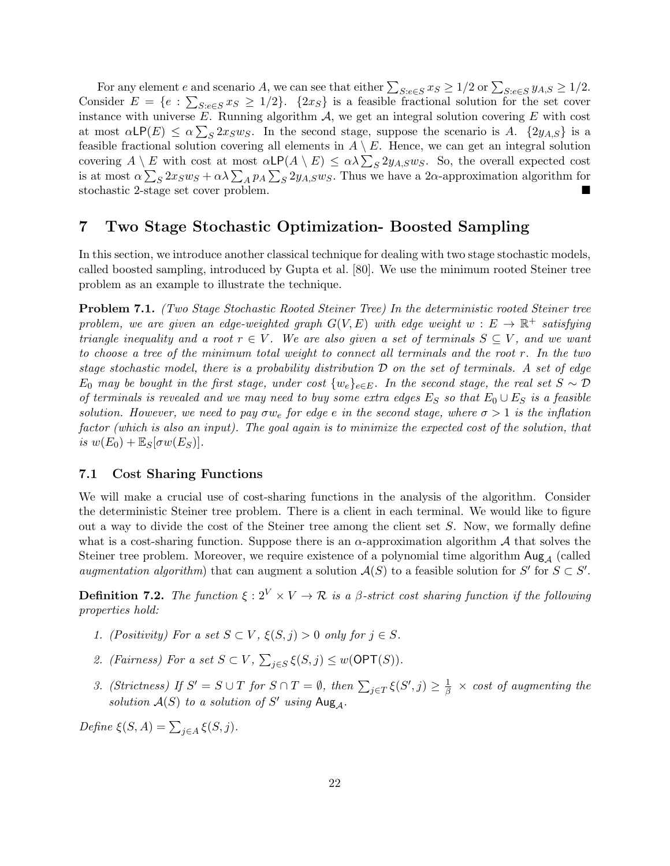For any element e and scenario A, we can see that either  $\sum_{S: e \in S} x_S \ge 1/2$  or  $\sum_{S: e \in S} y_{A,S} \ge 1/2$ . Consider  $E = \{e : \sum_{S: e \in S} x_S \ge 1/2\}$ .  $\{2x_S\}$  is a feasible fractional solution for the set cover instance with universe  $E$ . Running algorithm  $A$ , we get an integral solution covering  $E$  with cost at most  $\alpha \mathsf{LP}(E) \leq \alpha \sum_{S} 2x_S w_S$ . In the second stage, suppose the scenario is A.  $\{2y_{A,S}\}\$ is a feasible fractional solution covering all elements in  $A \setminus E$ . Hence, we can get an integral solution covering  $A \setminus E$  with cost at most  $\alpha \mathsf{LP}(A \setminus E) \leq \alpha \lambda \sum_{S} 2y_{A,S}w_S$ . So, the overall expected cost is at most  $\alpha \sum_S 2x_S w_S + \alpha \lambda \sum_A p_A \sum_S 2y_{A,S} w_S$ . Thus we have a 2 $\alpha$ -approximation algorithm for stochastic 2-stage set cover problem.

# 7 Two Stage Stochastic Optimization- Boosted Sampling

In this section, we introduce another classical technique for dealing with two stage stochastic models, called boosted sampling, introduced by Gupta et al. [80]. We use the minimum rooted Steiner tree problem as an example to illustrate the technique.

Problem 7.1. (Two Stage Stochastic Rooted Steiner Tree) In the deterministic rooted Steiner tree problem, we are given an edge-weighted graph  $G(V, E)$  with edge weight  $w : E \to \mathbb{R}^+$  satisfying triangle inequality and a root  $r \in V$ . We are also given a set of terminals  $S \subseteq V$ , and we want to choose a tree of the minimum total weight to connect all terminals and the root r. In the two stage stochastic model, there is a probability distribution D on the set of terminals. A set of edge  $E_0$  may be bought in the first stage, under cost  $\{w_e\}_{e \in E}$ . In the second stage, the real set  $S \sim \mathcal{D}$ of terminals is revealed and we may need to buy some extra edges  $E_S$  so that  $E_0 \cup E_S$  is a feasible solution. However, we need to pay  $\sigma w_e$  for edge e in the second stage, where  $\sigma > 1$  is the inflation factor (which is also an input). The goal again is to minimize the expected cost of the solution, that is  $w(E_0) + \mathbb{E}_S[\sigma w(E_S)].$ 

#### 7.1 Cost Sharing Functions

We will make a crucial use of cost-sharing functions in the analysis of the algorithm. Consider the deterministic Steiner tree problem. There is a client in each terminal. We would like to figure out a way to divide the cost of the Steiner tree among the client set S. Now, we formally define what is a cost-sharing function. Suppose there is an  $\alpha$ -approximation algorithm A that solves the Steiner tree problem. Moreover, we require existence of a polynomial time algorithm  $\text{Aug}_{A}$  (called augmentation algorithm) that can augment a solution  $\mathcal{A}(S)$  to a feasible solution for S' for  $S \subset S'$ .

**Definition 7.2.** The function  $\xi : 2^V \times V \to \mathcal{R}$  is a  $\beta$ -strict cost sharing function if the following properties hold:

- 1. (Positivity) For a set  $S \subset V$ ,  $\xi(S, j) > 0$  only for  $j \in S$ .
- 2. (Fairness) For a set  $S \subset V$ ,  $\sum_{j \in S} \xi(S, j) \leq w(\mathsf{OPT}(S)).$
- 3. (Strictness) If  $S' = S \cup T$  for  $S \cap T = \emptyset$ , then  $\sum_{j \in T} \xi(S', j) \geq \frac{1}{\beta} \times \text{cost of augmenting the}$ solution  $A(S)$  to a solution of S' using  $Aug_{A}$ .

Define  $\xi(S, A) = \sum_{j \in A} \xi(S, j).$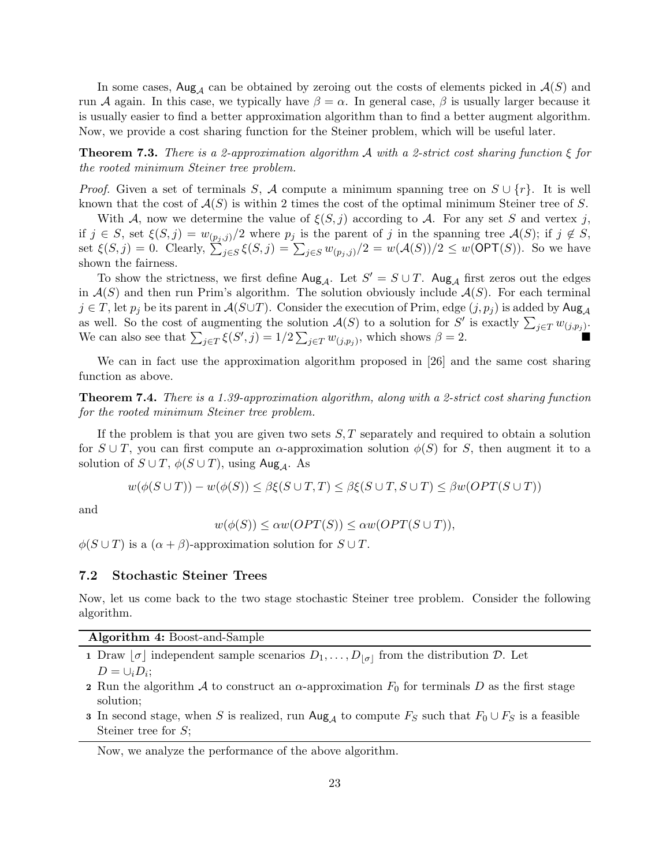In some cases,  $\text{Aug}_{\mathcal{A}}$  can be obtained by zeroing out the costs of elements picked in  $\mathcal{A}(S)$  and run A again. In this case, we typically have  $\beta = \alpha$ . In general case,  $\beta$  is usually larger because it is usually easier to find a better approximation algorithm than to find a better augment algorithm. Now, we provide a cost sharing function for the Steiner problem, which will be useful later.

**Theorem 7.3.** There is a 2-approximation algorithm A with a 2-strict cost sharing function  $\xi$  for the rooted minimum Steiner tree problem.

*Proof.* Given a set of terminals S, A compute a minimum spanning tree on  $S \cup \{r\}$ . It is well known that the cost of  $A(S)$  is within 2 times the cost of the optimal minimum Steiner tree of S.

With A, now we determine the value of  $\xi(S, j)$  according to A. For any set S and vertex j, if  $j \in S$ , set  $\xi(S, j) = w_{(p_j, j)} / 2$  where  $p_j$  is the parent of j in the spanning tree  $\mathcal{A}(S)$ ; if  $j \notin S$ , set  $\xi(S, j) = 0$ . Clearly,  $\sum_{j \in S}^{\infty} \xi(S, j) = \sum_{j \in S} w_{(p_j, j)}/2 = w(\mathcal{A}(S))/2 \leq w(\mathsf{OPT}(S))$ . So we have shown the fairness.

To show the strictness, we first define  $\mathsf{Aug}_{\mathcal{A}}$ . Let  $S' = S \cup T$ . Aug<sub>A</sub> first zeros out the edges in  $\mathcal{A}(S)$  and then run Prim's algorithm. The solution obviously include  $\mathcal{A}(S)$ . For each terminal  $j \in T$ , let  $p_j$  be its parent in  $\mathcal{A}(S \cup T)$ . Consider the execution of Prim, edge  $(j, p_j)$  is added by Aug<sub>A</sub> as well. So the cost of augmenting the solution  $\mathcal{A}(S)$  to a solution for S' is exactly  $\sum_{j\in T} w_{(j,p_j)}$ . We can also see that  $\sum_{j\in T} \xi(S',j) = 1/2 \sum_{j\in T} w_{(j,p_j)}$ , which shows  $\beta = 2$ .

We can in fact use the approximation algorithm proposed in [26] and the same cost sharing function as above.

Theorem 7.4. There is a 1.39-approximation algorithm, along with a 2-strict cost sharing function for the rooted minimum Steiner tree problem.

If the problem is that you are given two sets  $S, T$  separately and required to obtain a solution for  $S \cup T$ , you can first compute an  $\alpha$ -approximation solution  $\phi(S)$  for S, then augment it to a solution of  $S \cup T$ ,  $\phi(S \cup T)$ , using Aug<sub>A</sub>. As

$$
w(\phi(S \cup T)) - w(\phi(S)) \le \beta \xi(S \cup T, T) \le \beta \xi(S \cup T, S \cup T) \le \beta w(OPT(S \cup T))
$$

and

 $w(\phi(S)) \leq \alpha w(OPT(S)) \leq \alpha w(OPT(S \cup T)),$ 

 $\phi(S \cup T)$  is a  $(\alpha + \beta)$ -approximation solution for  $S \cup T$ .

#### 7.2 Stochastic Steiner Trees

Now, let us come back to the two stage stochastic Steiner tree problem. Consider the following algorithm.

Algorithm 4: Boost-and-Sample

- 1 Draw  $\lfloor \sigma \rfloor$  independent sample scenarios  $D_1, \ldots, D_{\lfloor \sigma \rfloor}$  from the distribution  $\mathcal{D}$ . Let  $D=\cup_i D_i;$
- 2 Run the algorithm A to construct an  $\alpha$ -approximation  $F_0$  for terminals D as the first stage solution;
- **3** In second stage, when S is realized, run  $\text{Aug}_{\mathcal{A}}$  to compute  $F_S$  such that  $F_0 \cup F_S$  is a feasible Steiner tree for S;

Now, we analyze the performance of the above algorithm.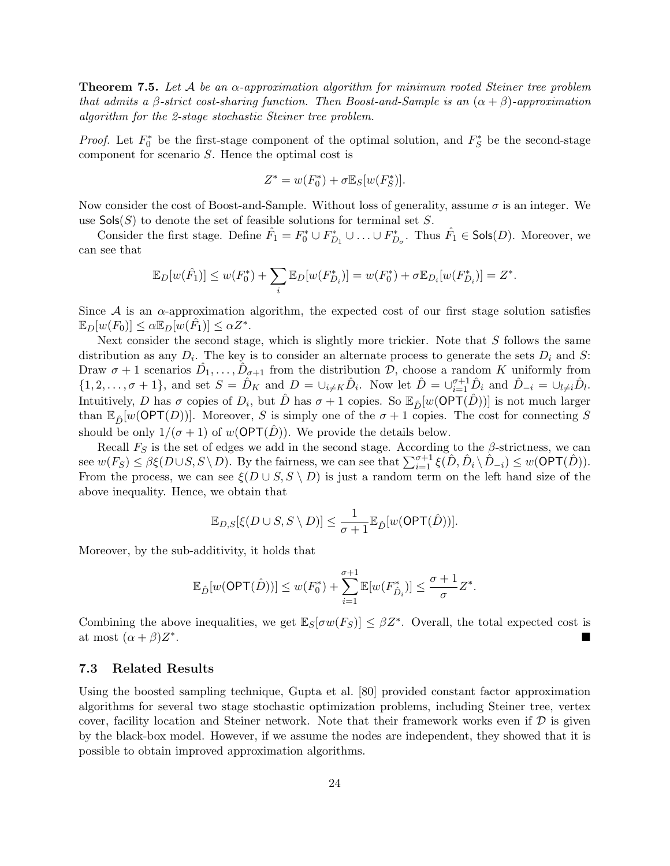**Theorem 7.5.** Let A be an  $\alpha$ -approximation algorithm for minimum rooted Steiner tree problem that admits a  $\beta$ -strict cost-sharing function. Then Boost-and-Sample is an  $(\alpha + \beta)$ -approximation algorithm for the 2-stage stochastic Steiner tree problem.

*Proof.* Let  $F_0^*$  be the first-stage component of the optimal solution, and  $F_S^*$  be the second-stage component for scenario S. Hence the optimal cost is

$$
Z^* = w(F_0^*) + \sigma \mathbb{E}_S[w(F_S^*)].
$$

Now consider the cost of Boost-and-Sample. Without loss of generality, assume  $\sigma$  is an integer. We use  $\mathsf{Sols}(S)$  to denote the set of feasible solutions for terminal set S.

Consider the first stage. Define  $\hat{F}_1 = F_0^* \cup F_{D_1}^* \cup \ldots \cup F_{D_\sigma}^*$ . Thus  $\hat{F}_1 \in \mathsf{Sols}(D)$ . Moreover, we can see that

$$
\mathbb{E}_D[w(\hat{F}_1)] \le w(F_0^*) + \sum_i \mathbb{E}_D[w(F_{D_i}^*)] = w(F_0^*) + \sigma \mathbb{E}_{D_i}[w(F_{D_i}^*)] = Z^*.
$$

Since  $A$  is an  $\alpha$ -approximation algorithm, the expected cost of our first stage solution satisfies  $\mathbb{E}_D[w(F_0)] \leq \alpha \mathbb{E}_D[w(\hat{F}_1)] \leq \alpha Z^*$ .

Next consider the second stage, which is slightly more trickier. Note that  $S$  follows the same distribution as any  $D_i$ . The key is to consider an alternate process to generate the sets  $D_i$  and S: Draw  $\sigma+1$  scenarios  $\hat{D}_1,\ldots,\hat{D}_{\sigma+1}$  from the distribution  $\mathcal{D}$ , choose a random K uniformly from  $\{1, 2, \ldots, \sigma + 1\}$ , and set  $S = \hat{D}_K$  and  $D = \bigcup_{i \neq K} \hat{D}_i$ . Now let  $\hat{D} = \bigcup_{i=1}^{\sigma+1} \hat{D}_i$  and  $\hat{D}_{-i} = \bigcup_{l \neq i} \hat{D}_l$ . Intuitively, D has  $\sigma$  copies of  $D_i$ , but  $\hat{D}$  has  $\sigma + 1$  copies. So  $\mathbb{E}_{\hat{D}}[w(\mathsf{OPT}(\hat{D}))]$  is not much larger than  $\mathbb{E}_{\hat{D}}[w(\mathsf{OPT}(D))]$ . Moreover, S is simply one of the  $\sigma+1$  copies. The cost for connecting S should be only  $1/(\sigma+1)$  of  $w(\mathsf{OPT}(\hat{D}))$ . We provide the details below.

Recall  $F_S$  is the set of edges we add in the second stage. According to the  $\beta$ -strictness, we can see  $w(F_S) \leq \beta \xi(D \cup S, S \setminus D)$ . By the fairness, we can see that  $\sum_{i=1}^{\sigma+1} \xi(\hat{D}, \hat{D}_i \setminus \hat{D}_{-i}) \leq w(\mathsf{OPT}(\hat{D}))$ . From the process, we can see  $\xi(D\cup S, S\setminus D)$  is just a random term on the left hand size of the above inequality. Hence, we obtain that

$$
\mathbb{E}_{D,S}[\xi(D\cup S,S\setminus D)] \leq \frac{1}{\sigma+1} \mathbb{E}_{\hat{D}}[w(\mathsf{OPT}(\hat{D}))].
$$

Moreover, by the sub-additivity, it holds that

$$
\mathbb{E}_{\hat{D}}[w(\mathsf{OPT}(\hat{D}))]\le w(F_0^*)+\sum_{i=1}^{\sigma+1}\mathbb{E}[w(F_{\hat{D}_i}^*)]\le \frac{\sigma+1}{\sigma}Z^*.
$$

Combining the above inequalities, we get  $\mathbb{E}_S[\sigma w(F_S)] \leq \beta Z^*$ . Overall, the total expected cost is at most  $(\alpha + \beta)Z^*$ . In the second contract of the second contract of the second contract of the second contract of the second co<br>In the second contract of the second contract of the second contract of the second contract of the second cont

#### 7.3 Related Results

Using the boosted sampling technique, Gupta et al. [80] provided constant factor approximation algorithms for several two stage stochastic optimization problems, including Steiner tree, vertex cover, facility location and Steiner network. Note that their framework works even if  $D$  is given by the black-box model. However, if we assume the nodes are independent, they showed that it is possible to obtain improved approximation algorithms.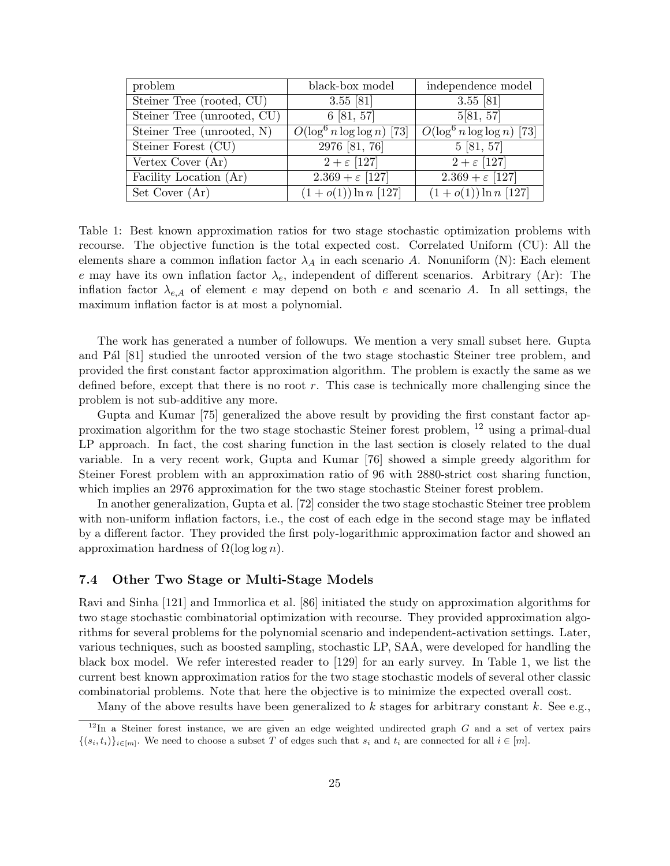| problem                     | black-box model                                                      | independence model          |
|-----------------------------|----------------------------------------------------------------------|-----------------------------|
| Steiner Tree (rooted, CU)   | $3.55$ [81]                                                          | $3.55$ [81]                 |
| Steiner Tree (unrooted, CU) | 6[81, 57]                                                            | 5[81, 57]                   |
| Steiner Tree (unrooted, N)  | $O(\log^6 n \log \log n)$ [73] $\sqrt{O(\log^6 n \log \log n)}$ [73] |                             |
| Steiner Forest (CU)         | 2976 [81, 76]                                                        | 5[81, 57]                   |
| Vertex Cover (Ar)           | $2+\varepsilon$ [127]                                                | $2+\varepsilon$ [127]       |
| Facility Location (Ar)      | $2.369 + \varepsilon$ [127]                                          | $2.369 + \varepsilon$ [127] |
| Set Cover $(Ar)$            | $(1+o(1)) \ln n$ [127]                                               | $(1+o(1)) \ln n$ [127]      |

Table 1: Best known approximation ratios for two stage stochastic optimization problems with recourse. The objective function is the total expected cost. Correlated Uniform (CU): All the elements share a common inflation factor  $\lambda_A$  in each scenario A. Nonuniform (N): Each element e may have its own inflation factor  $\lambda_e$ , independent of different scenarios. Arbitrary (Ar): The inflation factor  $\lambda_{e,A}$  of element e may depend on both e and scenario A. In all settings, the maximum inflation factor is at most a polynomial.

The work has generated a number of followups. We mention a very small subset here. Gupta and P $\acute{a}$ l [81] studied the unrooted version of the two stage stochastic Steiner tree problem, and provided the first constant factor approximation algorithm. The problem is exactly the same as we defined before, except that there is no root  $r$ . This case is technically more challenging since the problem is not sub-additive any more.

Gupta and Kumar [75] generalized the above result by providing the first constant factor approximation algorithm for the two stage stochastic Steiner forest problem, <sup>12</sup> using a primal-dual LP approach. In fact, the cost sharing function in the last section is closely related to the dual variable. In a very recent work, Gupta and Kumar [76] showed a simple greedy algorithm for Steiner Forest problem with an approximation ratio of 96 with 2880-strict cost sharing function, which implies an 2976 approximation for the two stage stochastic Steiner forest problem.

In another generalization, Gupta et al. [72] consider the two stage stochastic Steiner tree problem with non-uniform inflation factors, i.e., the cost of each edge in the second stage may be inflated by a different factor. They provided the first poly-logarithmic approximation factor and showed an approximation hardness of  $Ω(log log n)$ .

#### 7.4 Other Two Stage or Multi-Stage Models

Ravi and Sinha [121] and Immorlica et al. [86] initiated the study on approximation algorithms for two stage stochastic combinatorial optimization with recourse. They provided approximation algorithms for several problems for the polynomial scenario and independent-activation settings. Later, various techniques, such as boosted sampling, stochastic LP, SAA, were developed for handling the black box model. We refer interested reader to [129] for an early survey. In Table 1, we list the current best known approximation ratios for the two stage stochastic models of several other classic combinatorial problems. Note that here the objective is to minimize the expected overall cost.

Many of the above results have been generalized to k stages for arbitrary constant k. See e.g.,

 $12$ In a Steiner forest instance, we are given an edge weighted undirected graph G and a set of vertex pairs  $\{(s_i, t_i)\}_{i \in [m]}$ . We need to choose a subset T of edges such that  $s_i$  and  $t_i$  are connected for all  $i \in [m]$ .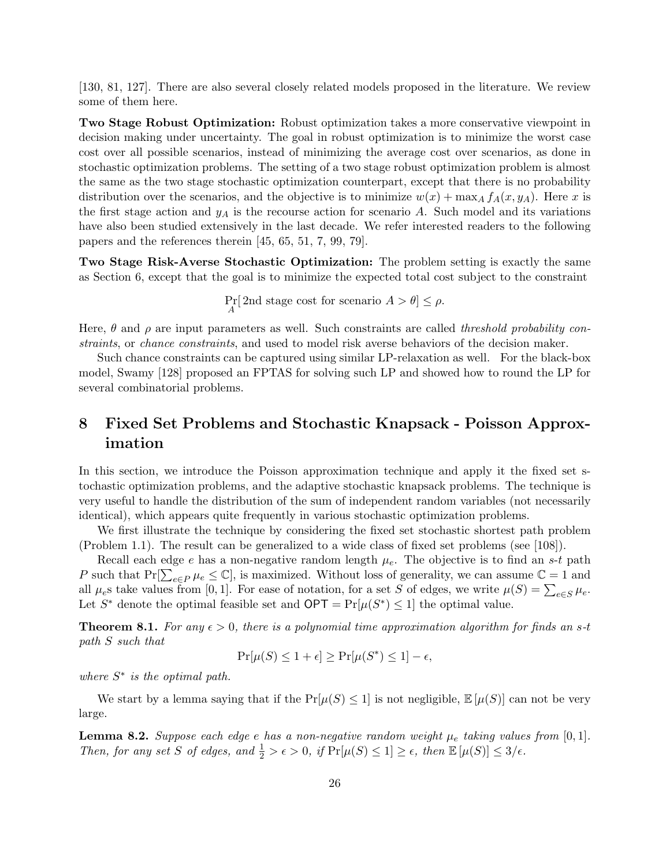[130, 81, 127]. There are also several closely related models proposed in the literature. We review some of them here.

Two Stage Robust Optimization: Robust optimization takes a more conservative viewpoint in decision making under uncertainty. The goal in robust optimization is to minimize the worst case cost over all possible scenarios, instead of minimizing the average cost over scenarios, as done in stochastic optimization problems. The setting of a two stage robust optimization problem is almost the same as the two stage stochastic optimization counterpart, except that there is no probability distribution over the scenarios, and the objective is to minimize  $w(x) + \max_A f_A(x, y_A)$ . Here x is the first stage action and  $y_A$  is the recourse action for scenario A. Such model and its variations have also been studied extensively in the last decade. We refer interested readers to the following papers and the references therein [45, 65, 51, 7, 99, 79].

Two Stage Risk-Averse Stochastic Optimization: The problem setting is exactly the same as Section 6, except that the goal is to minimize the expected total cost subject to the constraint

 $Pr_A[2nd \text{ stage cost for scenario } A > \theta] \leq \rho.$ 

Here,  $\theta$  and  $\rho$  are input parameters as well. Such constraints are called threshold probability constraints, or chance constraints, and used to model risk averse behaviors of the decision maker.

Such chance constraints can be captured using similar LP-relaxation as well. For the black-box model, Swamy [128] proposed an FPTAS for solving such LP and showed how to round the LP for several combinatorial problems.

# 8 Fixed Set Problems and Stochastic Knapsack - Poisson Approximation

In this section, we introduce the Poisson approximation technique and apply it the fixed set stochastic optimization problems, and the adaptive stochastic knapsack problems. The technique is very useful to handle the distribution of the sum of independent random variables (not necessarily identical), which appears quite frequently in various stochastic optimization problems.

We first illustrate the technique by considering the fixed set stochastic shortest path problem (Problem 1.1). The result can be generalized to a wide class of fixed set problems (see [108]).

Recall each edge e has a non-negative random length  $\mu_e$ . The objective is to find an s-t path P such that  $Pr[\sum_{e \in P} \mu_e \leq \mathbb{C}]$ , is maximized. Without loss of generality, we can assume  $\mathbb{C} = 1$  and all  $\mu_e$ s take values from [0, 1]. For ease of notation, for a set S of edges, we write  $\mu(S) = \sum_{e \in S} \mu_e$ . Let S<sup>\*</sup> denote the optimal feasible set and  $\mathsf{OPT} = \Pr[\mu(S^*) \leq 1]$  the optimal value.

**Theorem 8.1.** For any  $\epsilon > 0$ , there is a polynomial time approximation algorithm for finds an s-t path S such that

$$
\Pr[\mu(S) \le 1 + \epsilon] \ge \Pr[\mu(S^*) \le 1] - \epsilon,
$$

where  $S^*$  is the optimal path.

We start by a lemma saying that if the  $Pr[\mu(S) \leq 1]$  is not negligible,  $\mathbb{E}[\mu(S)]$  can not be very large.

**Lemma 8.2.** Suppose each edge e has a non-negative random weight  $\mu_e$  taking values from [0, 1]. Then, for any set S of edges, and  $\frac{1}{2} > \epsilon > 0$ , if  $Pr[\mu(S) \leq 1] \geq \epsilon$ , then  $\mathbb{E}[\mu(S)] \leq 3/\epsilon$ .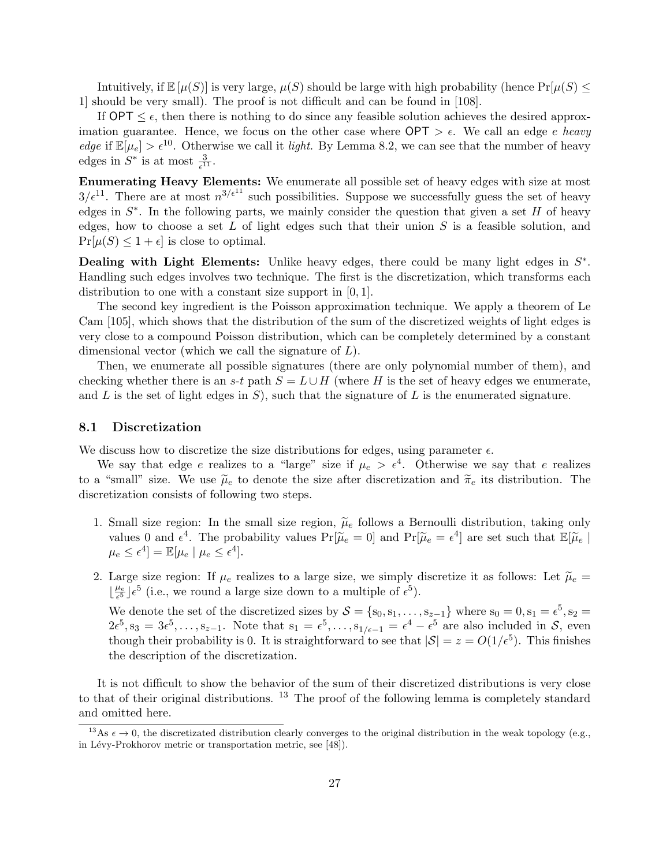Intuitively, if  $\mathbb{E}[\mu(S)]$  is very large,  $\mu(S)$  should be large with high probability (hence  $\Pr[\mu(S) \leq$ 1] should be very small). The proof is not difficult and can be found in [108].

If  $\mathsf{OPT} \leq \epsilon$ , then there is nothing to do since any feasible solution achieves the desired approximation guarantee. Hence, we focus on the other case where  $\text{OPT} > \epsilon$ . We call an edge e heavy *edge* if  $\mathbb{E}[\mu_e] > \epsilon^{10}$ . Otherwise we call it *light*. By Lemma 8.2, we can see that the number of heavy edges in  $S^*$  is at most  $\frac{3}{e^{11}}$ .

Enumerating Heavy Elements: We enumerate all possible set of heavy edges with size at most  $3/\epsilon^{11}$ . There are at most  $n^{3/\epsilon^{11}}$  such possibilities. Suppose we successfully guess the set of heavy edges in  $S^*$ . In the following parts, we mainly consider the question that given a set  $H$  of heavy edges, how to choose a set  $L$  of light edges such that their union  $S$  is a feasible solution, and  $Pr[\mu(S) \leq 1 + \epsilon]$  is close to optimal.

Dealing with Light Elements: Unlike heavy edges, there could be many light edges in  $S^*$ . Handling such edges involves two technique. The first is the discretization, which transforms each distribution to one with a constant size support in [0, 1].

The second key ingredient is the Poisson approximation technique. We apply a theorem of Le Cam [105], which shows that the distribution of the sum of the discretized weights of light edges is very close to a compound Poisson distribution, which can be completely determined by a constant dimensional vector (which we call the signature of  $L$ ).

Then, we enumerate all possible signatures (there are only polynomial number of them), and checking whether there is an s-t path  $S = L \cup H$  (where H is the set of heavy edges we enumerate, and  $L$  is the set of light edges in  $S$ ), such that the signature of  $L$  is the enumerated signature.

#### 8.1 Discretization

We discuss how to discretize the size distributions for edges, using parameter  $\epsilon$ .

We say that edge e realizes to a "large" size if  $\mu_e > \epsilon^4$ . Otherwise we say that e realizes to a "small" size. We use  $\tilde{\mu}_e$  to denote the size after discretization and  $\tilde{\pi}_e$  its distribution. The discretization consists of following two steps.

- 1. Small size region: In the small size region,  $\tilde{\mu}_e$  follows a Bernoulli distribution, taking only values 0 and  $\epsilon^4$ . The probability values  $Pr[\tilde{\mu}_e = 0]$  and  $Pr[\tilde{\mu}_e = \epsilon^4]$  are set such that  $\mathbb{E}[\tilde{\mu}_e]$  $\mu_e \leq \epsilon^4$ ] =  $\mathbb{E}[\mu_e \mid \mu_e \leq \epsilon^4]$ .
- 2. Large size region: If  $\mu_e$  realizes to a large size, we simply discretize it as follows: Let  $\tilde{\mu}_e$  =  $\frac{\mu_e}{25}$  $\frac{\mu_e}{\epsilon^5}$  | $\epsilon^5$  (i.e., we round a large size down to a multiple of  $\epsilon^5$ ).

We denote the set of the discretized sizes by  $S = \{s_0, s_1, \ldots, s_{z-1}\}\$  where  $s_0 = 0, s_1 = \epsilon^5, s_2 = \epsilon^5$  $2\epsilon^5$ ,  $s_3 = 3\epsilon^5$ , ...,  $s_{z-1}$ . Note that  $s_1 = \epsilon^5$ , ...,  $s_{1/\epsilon-1} = \epsilon^4 - \epsilon^5$  are also included in S, even though their probability is 0. It is straightforward to see that  $|S| = z = O(1/\epsilon^5)$ . This finishes the description of the discretization.

It is not difficult to show the behavior of the sum of their discretized distributions is very close to that of their original distributions.  $13$  The proof of the following lemma is completely standard and omitted here.

<sup>&</sup>lt;sup>13</sup>As  $\epsilon \to 0$ , the discretizated distribution clearly converges to the original distribution in the weak topology (e.g., in Lévy-Prokhorov metric or transportation metric, see [48]).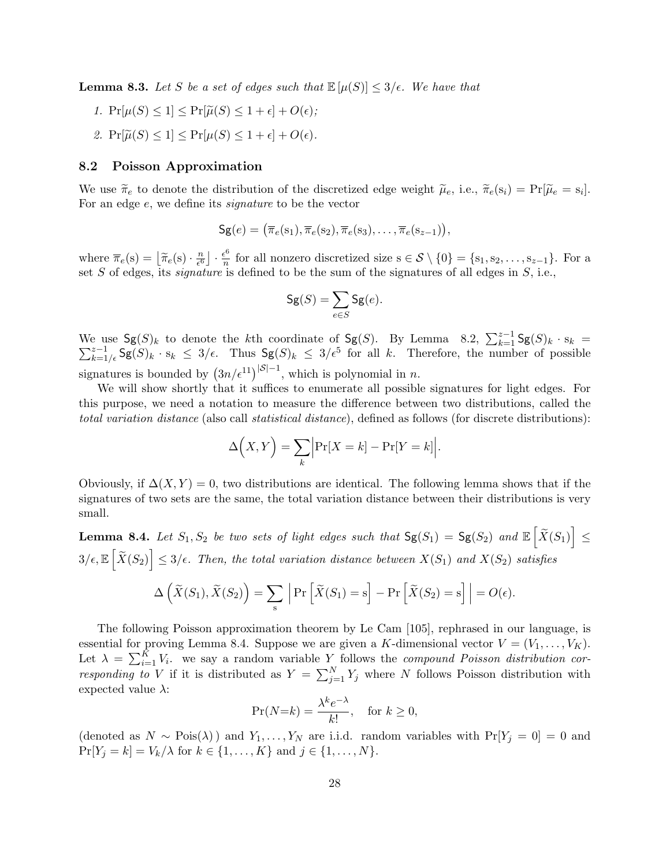**Lemma 8.3.** Let S be a set of edges such that  $\mathbb{E}[\mu(S)] \leq 3/\epsilon$ . We have that

- 1.  $Pr[\mu(S) \leq 1] \leq Pr[\widetilde{\mu}(S) \leq 1 + \epsilon] + O(\epsilon);$
- 2.  $\Pr[\widetilde{\mu}(S) \leq 1] \leq \Pr[\mu(S) \leq 1 + \epsilon] + O(\epsilon).$

#### 8.2 Poisson Approximation

We use  $\widetilde{\pi}_e$  to denote the distribution of the discretized edge weight  $\widetilde{\mu}_e$ , i.e.,  $\widetilde{\pi}_e(s_i) = Pr[\widetilde{\mu}_e = s_i].$ For an edge e, we define its signature to be the vector

$$
\mathsf{Sg}(e) = (\overline{\pi}_e(\mathsf{s}_1), \overline{\pi}_e(\mathsf{s}_2), \overline{\pi}_e(\mathsf{s}_3), \ldots, \overline{\pi}_e(\mathsf{s}_{z-1})),
$$

where  $\overline{\pi}_e(s) = \left[\widetilde{\pi}_e(s) \cdot \frac{n}{\epsilon^6}\right]$  $\frac{n}{\epsilon^6}$ ]  $\cdot \frac{\epsilon^6}{n}$  $\frac{e^{\alpha}}{n}$  for all nonzero discretized size  $s \in S \setminus \{0\} = \{s_1, s_2, \ldots, s_{z-1}\}.$  For a set S of edges, its *signature* is defined to be the sum of the signatures of all edges in  $S$ , i.e.,

$$
\mathsf{Sg}(S) = \sum_{e \in S} \mathsf{Sg}(e).
$$

We use  $\mathsf{Sg}(S)_k$  to denote the kth coordinate of  $\mathsf{Sg}(S)$ . By Lemma 8.2,  $\sum_{k=1}^{z-1}$ <br> $\sum_{k=1}^{z-1}$ ,  $\mathsf{Sg}(S)_k \cdot s_k < 3/\epsilon$ . Thus  $\mathsf{Sg}(S)_k < 3/\epsilon^5$  for all k. Therefore, the number e use  $\mathsf{Sg}(S)_k$  to denote the kth coordinate of  $\mathsf{Sg}(S)$ . By Lemma 8.2,  $\sum_{k=1}^{z-1} \mathsf{Sg}(S)_k \cdot s_k =$ <br> $\sum_{k=1}^{z-1} \mathsf{Sg}(S)_k \cdot s_k \leq 3/\epsilon$ . Thus  $\mathsf{Sg}(S)_k \leq 3/\epsilon^5$  for all k. Therefore, the number of possible signatures is bounded by  $(3n/\epsilon^{11})^{|S|-1}$ , which is polynomial in n.

We will show shortly that it suffices to enumerate all possible signatures for light edges. For this purpose, we need a notation to measure the difference between two distributions, called the total variation distance (also call statistical distance), defined as follows (for discrete distributions):

$$
\Delta\Big(X,Y\Big) = \sum_{k} \Big| \Pr[X=k] - \Pr[Y=k] \Big|.
$$

Obviously, if  $\Delta(X, Y) = 0$ , two distributions are identical. The following lemma shows that if the signatures of two sets are the same, the total variation distance between their distributions is very small.

**Lemma 8.4.** Let  $S_1, S_2$  be two sets of light edges such that  $\mathsf{Sg}(S_1) = \mathsf{Sg}(S_2)$  and  $\mathbb{E} \left[ \widetilde{X}(S_1) \right] \leq$  $3/\epsilon, \mathbb{E}\left[\widetilde{X}(S_2)\right] \leq 3/\epsilon$ . Then, the total variation distance between  $X(S_1)$  and  $X(S_2)$  satisfies

$$
\Delta\left(\widetilde{X}(S_1),\widetilde{X}(S_2)\right) = \sum_{s} \left| \Pr\left[\widetilde{X}(S_1) = s \right] - \Pr\left[\widetilde{X}(S_2) = s\right] \right| = O(\epsilon).
$$

The following Poisson approximation theorem by Le Cam [105], rephrased in our language, is essential for proving Lemma 8.4. Suppose we are given a K-dimensional vector  $V = (V_1, \ldots, V_K)$ . Let  $\lambda = \sum_{i=1}^{K} V_i$ . we say a random variable Y follows the compound Poisson distribution corresponding to V if it is distributed as  $Y = \sum_{j=1}^{N} Y_j$  where N follows Poisson distribution with expected value  $\lambda$ :

$$
\Pr(N=k) = \frac{\lambda^k e^{-\lambda}}{k!}, \quad \text{for } k \ge 0,
$$

(denoted as  $N \sim \text{Pois}(\lambda)$ ) and  $Y_1, \ldots, Y_N$  are i.i.d. random variables with  $\text{Pr}[Y_j = 0] = 0$  and  $Pr[Y_j = k] = V_k / \lambda$  for  $k \in \{1, ..., K\}$  and  $j \in \{1, ..., N\}$ .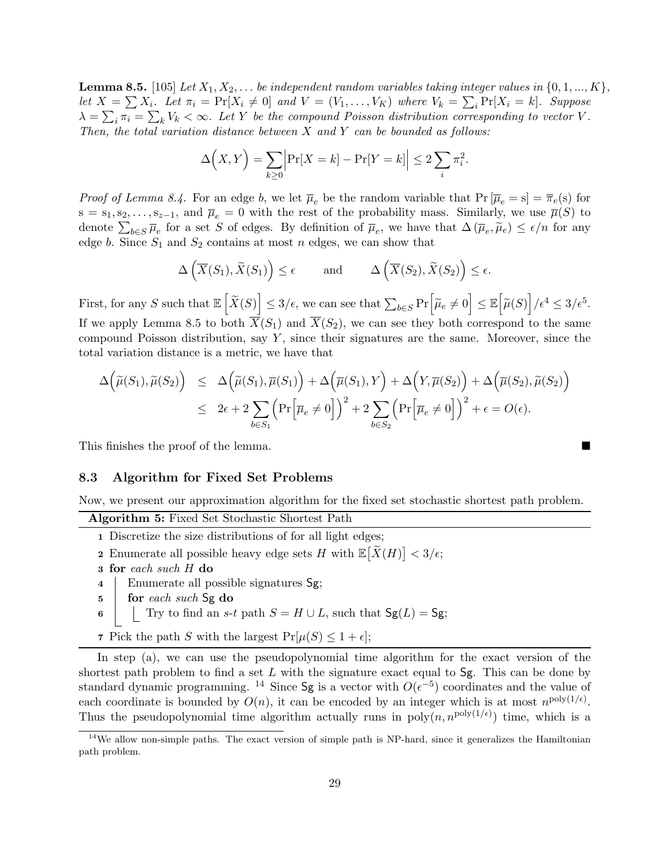**Lemma 8.5.** [105] Let  $X_1, X_2, \ldots$  be independent random variables taking integer values in  $\{0, 1, ..., K\}$ , let  $X = \sum X_i$ . Let  $\pi_i = \Pr[X_i \neq 0]$  and  $V = (V_1, \ldots, V_K)$  where  $V_k = \sum_i \Pr[X_i = k]$ . Suppose  $\lambda = \sum_i \pi_i = \sum_k V_k < \infty$ . Let Y be the compound Poisson distribution corresponding to vector V. Then, the total variation distance between  $X$  and  $Y$  can be bounded as follows:

$$
\Delta\Big(X,Y\Big) = \sum_{k\geq 0} \Big| \Pr[X=k] - \Pr[Y=k] \Big| \leq 2 \sum_{i} \pi_i^2.
$$

*Proof of Lemma 8.4.* For an edge b, we let  $\overline{\mu}_e$  be the random variable that  $Pr[\overline{\mu}_e = s] = \overline{\pi}_e(s)$  for  $s = s_1, s_2, \ldots, s_{z-1}$ , and  $\bar{\mu}_e = 0$  with the rest of the probability mass. Similarly, we use  $\bar{\mu}(S)$  to denote  $\sum_{b \in S} \overline{\mu}_e$  for a set S of edges. By definition of  $\overline{\mu}_e$ , we have that  $\Delta(\overline{\mu}_e, \widetilde{\mu}_e) \le \epsilon/n$  for any edge b. Since  $S_1$  and  $S_2$  contains at most n edges, we can show that

$$
\Delta\left(\overline{X}(S_1), \widetilde{X}(S_1)\right) \le \epsilon \quad \text{and} \quad \Delta\left(\overline{X}(S_2), \widetilde{X}(S_2)\right) \le \epsilon.
$$

First, for any S such that  $\mathbb{E}\left[\tilde{X}(S)\right] \leq 3/\epsilon$ , we can see that  $\sum_{b \in S} \Pr\left[\tilde{\mu}_e \neq 0\right] \leq \mathbb{E}\left[\tilde{\mu}(S)\right] / \epsilon^4 \leq 3/\epsilon^5$ . If we apply Lemma 8.5 to both  $\overline{X}(S_1)$  and  $\overline{X}(S_2)$ , we can see they both correspond to the same compound Poisson distribution, say  $Y$ , since their signatures are the same. Moreover, since the total variation distance is a metric, we have that

$$
\Delta\Big(\widetilde{\mu}(S_1),\widetilde{\mu}(S_2)\Big) \leq \Delta\Big(\widetilde{\mu}(S_1),\overline{\mu}(S_1)\Big) + \Delta\Big(\overline{\mu}(S_1),Y\Big) + \Delta\Big(Y,\overline{\mu}(S_2)\Big) + \Delta\Big(\overline{\mu}(S_2),\widetilde{\mu}(S_2)\Big) \leq 2\epsilon + 2\sum_{b\in S_1} \Big(\Pr\Big[\overline{\mu}_e \neq 0\Big]\Big)^2 + 2\sum_{b\in S_2} \Big(\Pr\Big[\overline{\mu}_e \neq 0\Big]\Big)^2 + \epsilon = O(\epsilon).
$$

This finishes the proof of the lemma.

#### 8.3 Algorithm for Fixed Set Problems

Now, we present our approximation algorithm for the fixed set stochastic shortest path problem.

Algorithm 5: Fixed Set Stochastic Shortest Path

- 1 Discretize the size distributions of for all light edges;
- **2** Enumerate all possible heavy edge sets H with  $\mathbb{E}[\widetilde{X}(H)] < 3/\epsilon$ ;
- 3 for each such H do
- 4 Enumerate all possible signatures Sg;
- 5 for each such Sg do
- 6 Try to find an s-t path  $S = H \cup L$ , such that  $\mathsf{Sg}(L) = \mathsf{Sg}$ ;
- 7 Pick the path S with the largest  $Pr[\mu(S) \leq 1 + \epsilon]$ ;

In step (a), we can use the pseudopolynomial time algorithm for the exact version of the shortest path problem to find a set  $L$  with the signature exact equal to  $Sg$ . This can be done by standard dynamic programming. <sup>14</sup> Since Sg is a vector with  $O(\epsilon^{-5})$  coordinates and the value of each coordinate is bounded by  $O(n)$ , it can be encoded by an integer which is at most  $n^{\text{poly}(1/\epsilon)}$ . Thus the pseudopolynomial time algorithm actually runs in  $\text{poly}(n, n^{\text{poly}(1/\epsilon)})$  time, which is a

<sup>&</sup>lt;sup>14</sup>We allow non-simple paths. The exact version of simple path is NP-hard, since it generalizes the Hamiltonian path problem.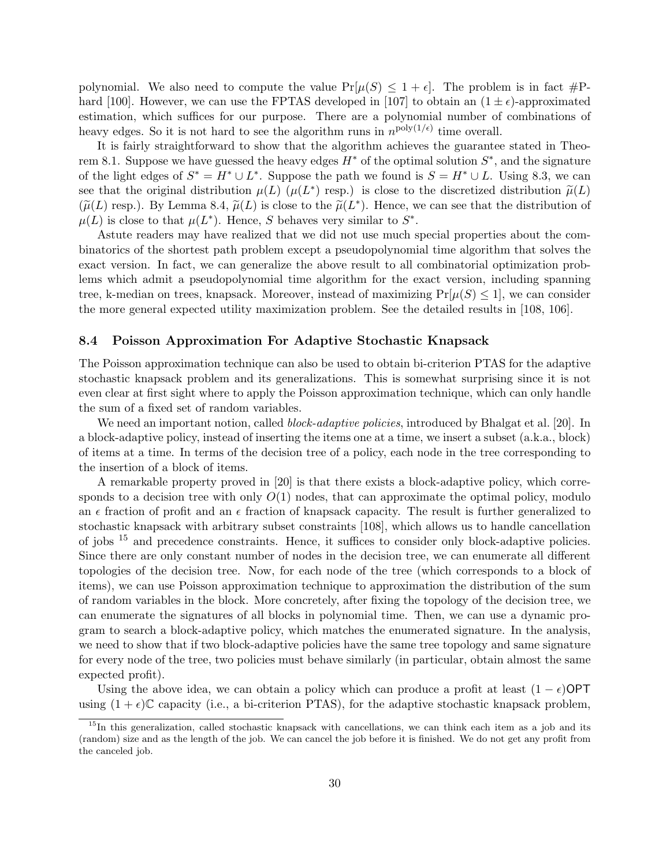polynomial. We also need to compute the value  $Pr[\mu(S) \leq 1 + \epsilon]$ . The problem is in fact #Phard [100]. However, we can use the FPTAS developed in [107] to obtain an  $(1 \pm \epsilon)$ -approximated estimation, which suffices for our purpose. There are a polynomial number of combinations of heavy edges. So it is not hard to see the algorithm runs in  $n^{\text{poly}(1/\epsilon)}$  time overall.

It is fairly straightforward to show that the algorithm achieves the guarantee stated in Theorem 8.1. Suppose we have guessed the heavy edges  $H^*$  of the optimal solution  $S^*$ , and the signature of the light edges of  $S^* = H^* \cup L^*$ . Suppose the path we found is  $S = H^* \cup L$ . Using 8.3, we can see that the original distribution  $\mu(L)$  ( $\mu(L^*)$  resp.) is close to the discretized distribution  $\tilde{\mu}(L)$  $(\widetilde{\mu}(L)$  resp.). By Lemma 8.4,  $\widetilde{\mu}(L)$  is close to the  $\widetilde{\mu}(L^*)$ . Hence, we can see that the distribution of  $\mu(L)$  is close to that  $\mu(L^*)$ . Hence, S behaves very similar to  $S^*$ .

Astute readers may have realized that we did not use much special properties about the combinatorics of the shortest path problem except a pseudopolynomial time algorithm that solves the exact version. In fact, we can generalize the above result to all combinatorial optimization problems which admit a pseudopolynomial time algorithm for the exact version, including spanning tree, k-median on trees, knapsack. Moreover, instead of maximizing  $Pr[\mu(S) \leq 1]$ , we can consider the more general expected utility maximization problem. See the detailed results in [108, 106].

#### 8.4 Poisson Approximation For Adaptive Stochastic Knapsack

The Poisson approximation technique can also be used to obtain bi-criterion PTAS for the adaptive stochastic knapsack problem and its generalizations. This is somewhat surprising since it is not even clear at first sight where to apply the Poisson approximation technique, which can only handle the sum of a fixed set of random variables.

We need an important notion, called *block-adaptive policies*, introduced by Bhalgat et al. [20]. In a block-adaptive policy, instead of inserting the items one at a time, we insert a subset (a.k.a., block) of items at a time. In terms of the decision tree of a policy, each node in the tree corresponding to the insertion of a block of items.

A remarkable property proved in [20] is that there exists a block-adaptive policy, which corresponds to a decision tree with only  $O(1)$  nodes, that can approximate the optimal policy, modulo an  $\epsilon$  fraction of profit and an  $\epsilon$  fraction of knapsack capacity. The result is further generalized to stochastic knapsack with arbitrary subset constraints [108], which allows us to handle cancellation of jobs <sup>15</sup> and precedence constraints. Hence, it suffices to consider only block-adaptive policies. Since there are only constant number of nodes in the decision tree, we can enumerate all different topologies of the decision tree. Now, for each node of the tree (which corresponds to a block of items), we can use Poisson approximation technique to approximation the distribution of the sum of random variables in the block. More concretely, after fixing the topology of the decision tree, we can enumerate the signatures of all blocks in polynomial time. Then, we can use a dynamic program to search a block-adaptive policy, which matches the enumerated signature. In the analysis, we need to show that if two block-adaptive policies have the same tree topology and same signature for every node of the tree, two policies must behave similarly (in particular, obtain almost the same expected profit).

Using the above idea, we can obtain a policy which can produce a profit at least  $(1 - \epsilon)$ OPT using  $(1 + \epsilon)$ C capacity (i.e., a bi-criterion PTAS), for the adaptive stochastic knapsack problem,

 $15$ In this generalization, called stochastic knapsack with cancellations, we can think each item as a job and its (random) size and as the length of the job. We can cancel the job before it is finished. We do not get any profit from the canceled job.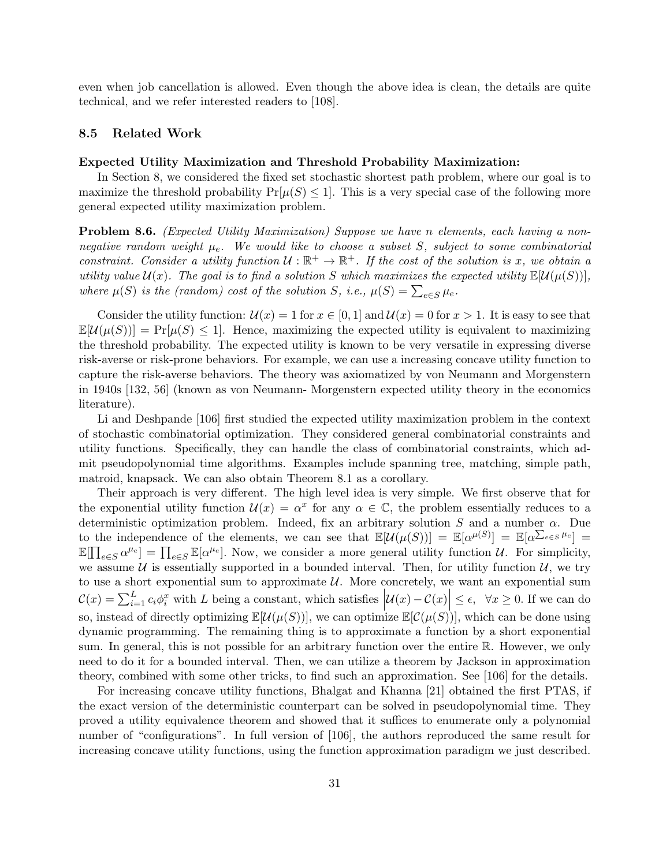even when job cancellation is allowed. Even though the above idea is clean, the details are quite technical, and we refer interested readers to [108].

#### 8.5 Related Work

#### Expected Utility Maximization and Threshold Probability Maximization:

In Section 8, we considered the fixed set stochastic shortest path problem, where our goal is to maximize the threshold probability  $Pr[\mu(S) \leq 1]$ . This is a very special case of the following more general expected utility maximization problem.

Problem 8.6. (Expected Utility Maximization) Suppose we have n elements, each having a nonnegative random weight  $\mu_e$ . We would like to choose a subset S, subject to some combinatorial constraint. Consider a utility function  $\mathcal{U}: \mathbb{R}^+ \to \mathbb{R}^+$ . If the cost of the solution is x, we obtain a utility value  $\mathcal{U}(x)$ . The goal is to find a solution S which maximizes the expected utility  $\mathbb{E}[\mathcal{U}(\mu(S))]$ , where  $\mu(S)$  is the (random) cost of the solution S, i.e.,  $\mu(S) = \sum_{e \in S} \mu_e$ .

Consider the utility function:  $\mathcal{U}(x) = 1$  for  $x \in [0, 1]$  and  $\mathcal{U}(x) = 0$  for  $x > 1$ . It is easy to see that  $\mathbb{E}[\mathcal{U}(\mu(S))] = \Pr[\mu(S) \leq 1].$  Hence, maximizing the expected utility is equivalent to maximizing the threshold probability. The expected utility is known to be very versatile in expressing diverse risk-averse or risk-prone behaviors. For example, we can use a increasing concave utility function to capture the risk-averse behaviors. The theory was axiomatized by von Neumann and Morgenstern in 1940s [132, 56] (known as von Neumann- Morgenstern expected utility theory in the economics literature).

Li and Deshpande [106] first studied the expected utility maximization problem in the context of stochastic combinatorial optimization. They considered general combinatorial constraints and utility functions. Specifically, they can handle the class of combinatorial constraints, which admit pseudopolynomial time algorithms. Examples include spanning tree, matching, simple path, matroid, knapsack. We can also obtain Theorem 8.1 as a corollary.

Their approach is very different. The high level idea is very simple. We first observe that for the exponential utility function  $\mathcal{U}(x) = \alpha^x$  for any  $\alpha \in \mathbb{C}$ , the problem essentially reduces to a deterministic optimization problem. Indeed, fix an arbitrary solution S and a number  $\alpha$ . Due to the independence of the elements, we can see that  $\mathbb{E}[\mathcal{U}(\mu(S))] = \mathbb{E}[\alpha^{\mu(S)}] = \mathbb{E}[\alpha^{\sum_{e \in S} \mu_e}] =$  $\mathbb{E}[\prod_{e\in S} \alpha^{\mu_e}] = \prod_{e\in S} \mathbb{E}[\alpha^{\mu_e}]$ . Now, we consider a more general utility function U. For simplicity, we assume  $U$  is essentially supported in a bounded interval. Then, for utility function  $U$ , we try to use a short exponential sum to approximate  $U$ . More concretely, we want an exponential sum  $\mathcal{C}(x) = \sum_{i=1}^L c_i \phi_i^x$  with L being a constant, which satisfies  $|\mathcal{U}(x) - \mathcal{C}(x)| \leq \epsilon$ ,  $\forall x \geq 0$ . If we can do so, instead of directly optimizing  $\mathbb{E}[\mathcal{U}(\mu(S))]$ , we can optimize  $\mathbb{E}[\mathcal{C}(\mu(S))]$ , which can be done using dynamic programming. The remaining thing is to approximate a function by a short exponential sum. In general, this is not possible for an arbitrary function over the entire R. However, we only need to do it for a bounded interval. Then, we can utilize a theorem by Jackson in approximation theory, combined with some other tricks, to find such an approximation. See [106] for the details.

For increasing concave utility functions, Bhalgat and Khanna [21] obtained the first PTAS, if the exact version of the deterministic counterpart can be solved in pseudopolynomial time. They proved a utility equivalence theorem and showed that it suffices to enumerate only a polynomial number of "configurations". In full version of [106], the authors reproduced the same result for increasing concave utility functions, using the function approximation paradigm we just described.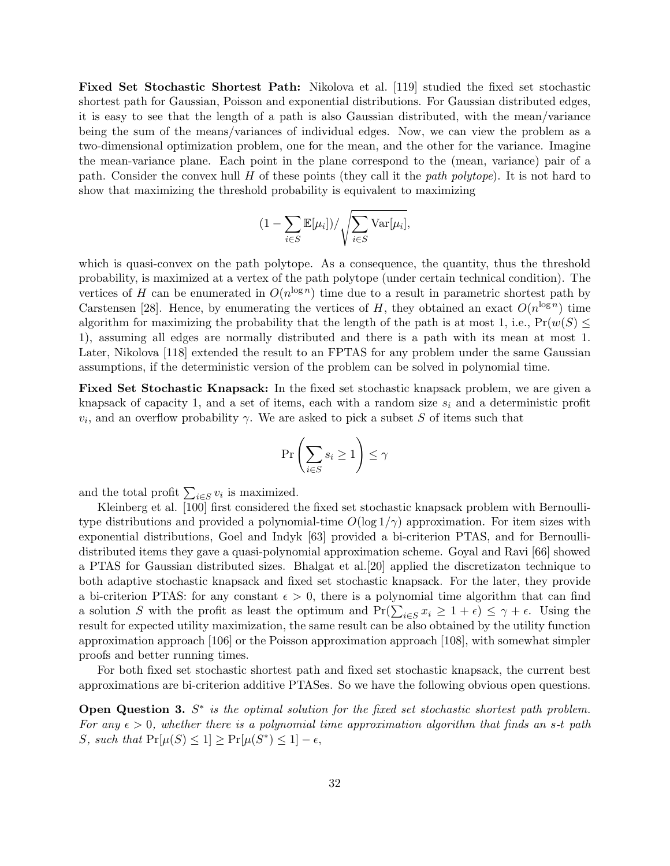Fixed Set Stochastic Shortest Path: Nikolova et al. [119] studied the fixed set stochastic shortest path for Gaussian, Poisson and exponential distributions. For Gaussian distributed edges, it is easy to see that the length of a path is also Gaussian distributed, with the mean/variance being the sum of the means/variances of individual edges. Now, we can view the problem as a two-dimensional optimization problem, one for the mean, and the other for the variance. Imagine the mean-variance plane. Each point in the plane correspond to the (mean, variance) pair of a path. Consider the convex hull H of these points (they call it the path polytope). It is not hard to show that maximizing the threshold probability is equivalent to maximizing

$$
(1 - \sum_{i \in S} \mathbb{E}[\mu_i]) / \sqrt{\sum_{i \in S} \text{Var}[\mu_i]},
$$

which is quasi-convex on the path polytope. As a consequence, the quantity, thus the threshold probability, is maximized at a vertex of the path polytope (under certain technical condition). The vertices of H can be enumerated in  $O(n^{\log n})$  time due to a result in parametric shortest path by Carstensen [28]. Hence, by enumerating the vertices of H, they obtained an exact  $O(n^{\log n})$  time algorithm for maximizing the probability that the length of the path is at most 1, i.e.,  $Pr(w(S) \leq$ 1), assuming all edges are normally distributed and there is a path with its mean at most 1. Later, Nikolova [118] extended the result to an FPTAS for any problem under the same Gaussian assumptions, if the deterministic version of the problem can be solved in polynomial time.

Fixed Set Stochastic Knapsack: In the fixed set stochastic knapsack problem, we are given a knapsack of capacity 1, and a set of items, each with a random size  $s_i$  and a deterministic profit  $v_i$ , and an overflow probability  $\gamma$ . We are asked to pick a subset S of items such that

$$
\Pr\left(\sum_{i\in S}s_i\geq 1\right)\leq \gamma
$$

and the total profit  $\sum_{i \in S} v_i$  is maximized.

Kleinberg et al. [100] first considered the fixed set stochastic knapsack problem with Bernoullitype distributions and provided a polynomial-time  $O(\log 1/\gamma)$  approximation. For item sizes with exponential distributions, Goel and Indyk [63] provided a bi-criterion PTAS, and for Bernoullidistributed items they gave a quasi-polynomial approximation scheme. Goyal and Ravi [66] showed a PTAS for Gaussian distributed sizes. Bhalgat et al.[20] applied the discretizaton technique to both adaptive stochastic knapsack and fixed set stochastic knapsack. For the later, they provide a bi-criterion PTAS: for any constant  $\epsilon > 0$ , there is a polynomial time algorithm that can find a solution S with the profit as least the optimum and  $Pr(\sum_{i \in S} x_i \ge 1 + \epsilon) \le \gamma + \epsilon$ . Using the result for expected utility maximization, the same result can be also obtained by the utility function approximation approach [106] or the Poisson approximation approach [108], with somewhat simpler proofs and better running times.

For both fixed set stochastic shortest path and fixed set stochastic knapsack, the current best approximations are bi-criterion additive PTASes. So we have the following obvious open questions.

Open Question 3.  $S^*$  is the optimal solution for the fixed set stochastic shortest path problem. For any  $\epsilon > 0$ , whether there is a polynomial time approximation algorithm that finds an s-t path S, such that  $Pr[\mu(S) \leq 1] \geq Pr[\mu(S^*) \leq 1] - \epsilon$ ,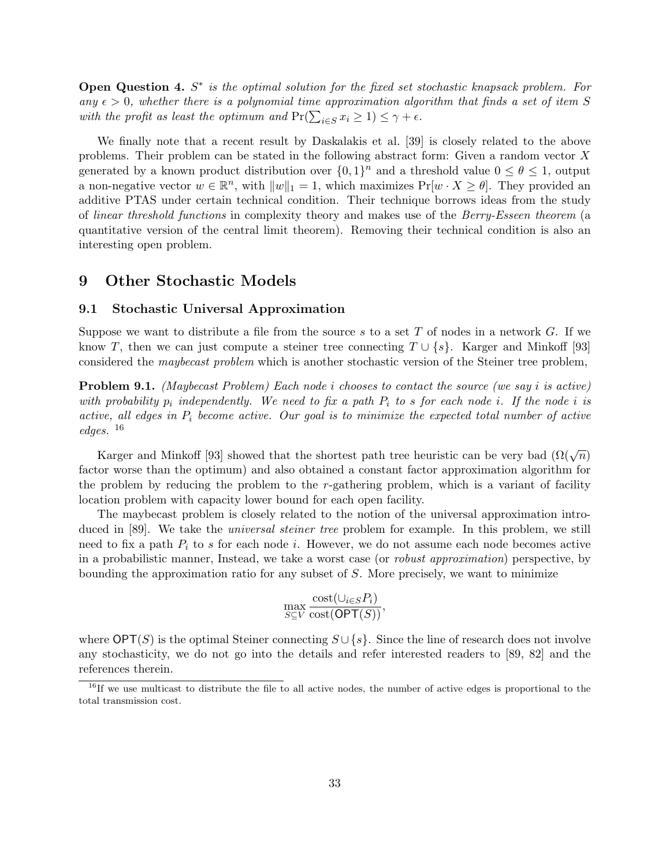**Open Question 4.**  $S^*$  is the optimal solution for the fixed set stochastic knapsack problem. For any  $\epsilon > 0$ , whether there is a polynomial time approximation algorithm that finds a set of item S with the profit as least the optimum and  $Pr(\sum_{i \in S} x_i \geq 1) \leq \gamma + \epsilon$ .

We finally note that a recent result by Daskalakis et al. [39] is closely related to the above problems. Their problem can be stated in the following abstract form: Given a random vector X generated by a known product distribution over  $\{0,1\}^n$  and a threshold value  $0 \le \theta \le 1$ , output a non-negative vector  $w \in \mathbb{R}^n$ , with  $||w||_1 = 1$ , which maximizes  $Pr[w \cdot X \ge \theta]$ . They provided an additive PTAS under certain technical condition. Their technique borrows ideas from the study of linear threshold functions in complexity theory and makes use of the Berry-Esseen theorem (a quantitative version of the central limit theorem). Removing their technical condition is also an interesting open problem.

### 9 Other Stochastic Models

#### 9.1 Stochastic Universal Approximation

Suppose we want to distribute a file from the source s to a set T of nodes in a network  $G$ . If we know T, then we can just compute a steiner tree connecting  $T \cup \{s\}$ . Karger and Minkoff [93] considered the maybecast problem which is another stochastic version of the Steiner tree problem,

**Problem 9.1.** (Maybecast Problem) Each node *i* chooses to contact the source (we say *i* is active) with probability  $p_i$  independently. We need to fix a path  $P_i$  to s for each node i. If the node i is active, all edges in  $P_i$  become active. Our goal is to minimize the expected total number of active edges. <sup>16</sup>

Karger and Minkoff [93] showed that the shortest path tree heuristic can be very bad  $(\Omega(\sqrt{n}))$ factor worse than the optimum) and also obtained a constant factor approximation algorithm for the problem by reducing the problem to the r-gathering problem, which is a variant of facility location problem with capacity lower bound for each open facility.

The maybecast problem is closely related to the notion of the universal approximation introduced in [89]. We take the *universal steiner tree* problem for example. In this problem, we still need to fix a path  $P_i$  to s for each node i. However, we do not assume each node becomes active in a probabilistic manner, Instead, we take a worst case (or robust approximation) perspective, by bounding the approximation ratio for any subset of  $S$ . More precisely, we want to minimize

$$
\max_{S \subseteq V} \frac{\text{cost}(\cup_{i \in S} P_i)}{\text{cost}(\text{OPT}(S))},
$$

where  $\mathsf{OPT}(S)$  is the optimal Steiner connecting  $S \cup \{s\}$ . Since the line of research does not involve any stochasticity, we do not go into the details and refer interested readers to [89, 82] and the references therein.

 $16$ If we use multicast to distribute the file to all active nodes, the number of active edges is proportional to the total transmission cost.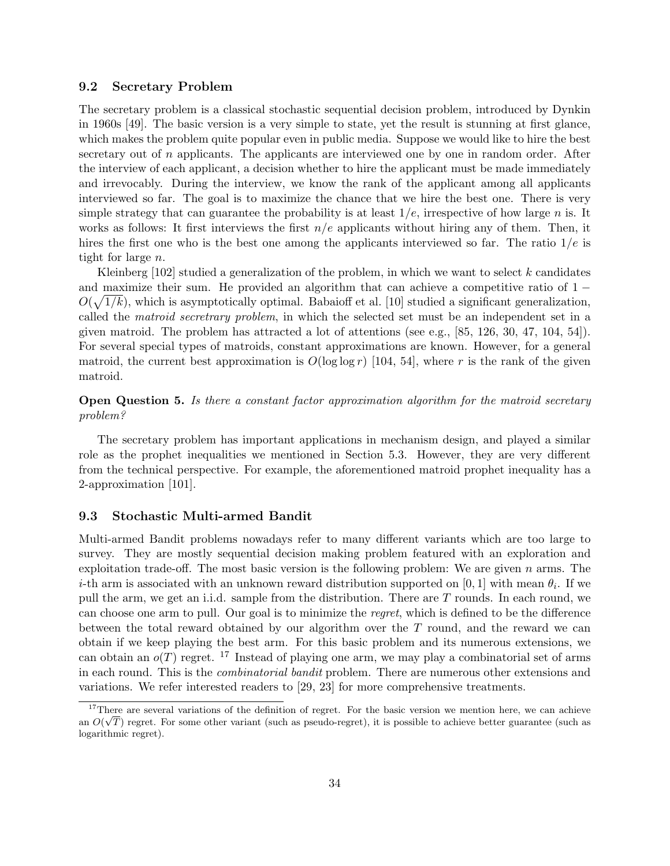#### 9.2 Secretary Problem

The secretary problem is a classical stochastic sequential decision problem, introduced by Dynkin in 1960s [49]. The basic version is a very simple to state, yet the result is stunning at first glance, which makes the problem quite popular even in public media. Suppose we would like to hire the best secretary out of  $n$  applicants. The applicants are interviewed one by one in random order. After the interview of each applicant, a decision whether to hire the applicant must be made immediately and irrevocably. During the interview, we know the rank of the applicant among all applicants interviewed so far. The goal is to maximize the chance that we hire the best one. There is very simple strategy that can guarantee the probability is at least  $1/e$ , irrespective of how large n is. It works as follows: It first interviews the first  $n/e$  applicants without hiring any of them. Then, it hires the first one who is the best one among the applicants interviewed so far. The ratio  $1/e$  is tight for large n.

Kleinberg  $[102]$  studied a generalization of the problem, in which we want to select k candidates and maximize their sum. He provided an algorithm that can achieve a competitive ratio of 1 −  $O(\sqrt{1/k})$ , which is asymptotically optimal. Babaioff et al. [10] studied a significant generalization, called the matroid secretrary problem, in which the selected set must be an independent set in a given matroid. The problem has attracted a lot of attentions (see e.g.,  $[85, 126, 30, 47, 104, 54]$ ). For several special types of matroids, constant approximations are known. However, for a general matroid, the current best approximation is  $O(\log \log r)$  [104, 54], where r is the rank of the given matroid.

### **Open Question 5.** Is there a constant factor approximation algorithm for the matroid secretary problem?

The secretary problem has important applications in mechanism design, and played a similar role as the prophet inequalities we mentioned in Section 5.3. However, they are very different from the technical perspective. For example, the aforementioned matroid prophet inequality has a 2-approximation [101].

#### 9.3 Stochastic Multi-armed Bandit

Multi-armed Bandit problems nowadays refer to many different variants which are too large to survey. They are mostly sequential decision making problem featured with an exploration and exploitation trade-off. The most basic version is the following problem: We are given  $n$  arms. The *i*-th arm is associated with an unknown reward distribution supported on [0, 1] with mean  $\theta_i$ . If we pull the arm, we get an i.i.d. sample from the distribution. There are  $T$  rounds. In each round, we can choose one arm to pull. Our goal is to minimize the regret, which is defined to be the difference between the total reward obtained by our algorithm over the T round, and the reward we can obtain if we keep playing the best arm. For this basic problem and its numerous extensions, we can obtain an  $o(T)$  regret. <sup>17</sup> Instead of playing one arm, we may play a combinatorial set of arms in each round. This is the combinatorial bandit problem. There are numerous other extensions and variations. We refer interested readers to [29, 23] for more comprehensive treatments.

<sup>&</sup>lt;sup>17</sup>There are several variations of the definition of regret. For the basic version we mention here, we can achieve an  $O(\sqrt{T})$  regret. For some other variant (such as pseudo-regret), it is possible to achieve better guarantee (such as logarithmic regret).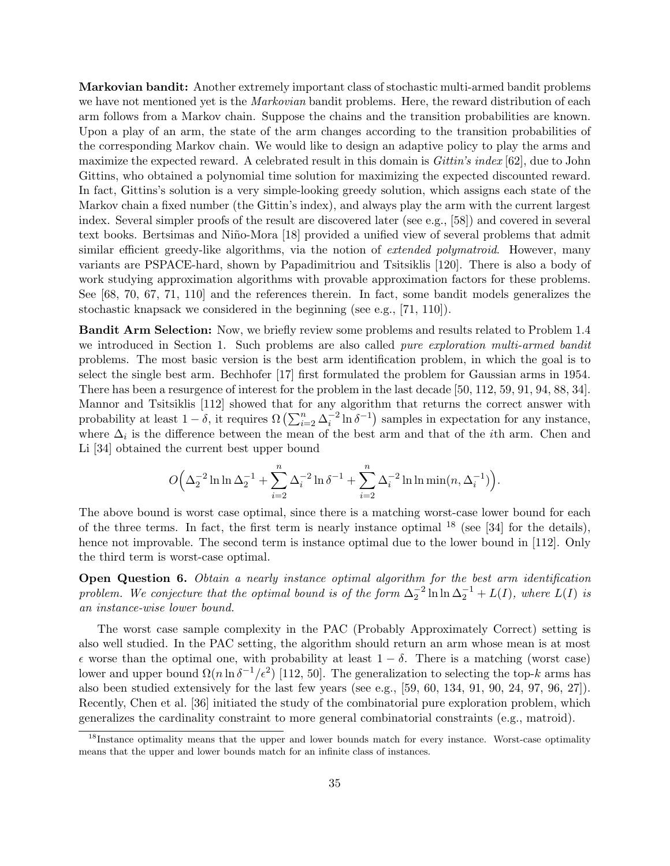Markovian bandit: Another extremely important class of stochastic multi-armed bandit problems we have not mentioned yet is the *Markovian* bandit problems. Here, the reward distribution of each arm follows from a Markov chain. Suppose the chains and the transition probabilities are known. Upon a play of an arm, the state of the arm changes according to the transition probabilities of the corresponding Markov chain. We would like to design an adaptive policy to play the arms and maximize the expected reward. A celebrated result in this domain is  $Gittin's index [62]$ , due to John Gittins, who obtained a polynomial time solution for maximizing the expected discounted reward. In fact, Gittins's solution is a very simple-looking greedy solution, which assigns each state of the Markov chain a fixed number (the Gittin's index), and always play the arm with the current largest index. Several simpler proofs of the result are discovered later (see e.g., [58]) and covered in several text books. Bertsimas and Niño-Mora [18] provided a unified view of several problems that admit similar efficient greedy-like algorithms, via the notion of *extended polymatroid*. However, many variants are PSPACE-hard, shown by Papadimitriou and Tsitsiklis [120]. There is also a body of work studying approximation algorithms with provable approximation factors for these problems. See [68, 70, 67, 71, 110] and the references therein. In fact, some bandit models generalizes the stochastic knapsack we considered in the beginning (see e.g., [71, 110]).

Bandit Arm Selection: Now, we briefly review some problems and results related to Problem 1.4 we introduced in Section 1. Such problems are also called *pure exploration multi-armed bandit* problems. The most basic version is the best arm identification problem, in which the goal is to select the single best arm. Bechhofer [17] first formulated the problem for Gaussian arms in 1954. There has been a resurgence of interest for the problem in the last decade [50, 112, 59, 91, 94, 88, 34]. Mannor and Tsitsiklis [112] showed that for any algorithm that returns the correct answer with probability at least  $1 - \delta$ , it requires  $\Omega\left(\sum_{i=2}^n \Delta_i^{-2} \ln \delta^{-1}\right)$  samples in expectation for any instance, where  $\Delta_i$  is the difference between the mean of the best arm and that of the *i*th arm. Chen and Li [34] obtained the current best upper bound

$$
O\Big(\Delta_2^{-2} \ln\ln \Delta_2^{-1} + \sum_{i=2}^n \Delta_i^{-2} \ln \delta^{-1} + \sum_{i=2}^n \Delta_i^{-2} \ln \ln \min(n, \Delta_i^{-1})\Big).
$$

The above bound is worst case optimal, since there is a matching worst-case lower bound for each of the three terms. In fact, the first term is nearly instance optimal  $^{18}$  (see [34] for the details), hence not improvable. The second term is instance optimal due to the lower bound in [112]. Only the third term is worst-case optimal.

Open Question 6. Obtain a nearly instance optimal algorithm for the best arm identification problem. We conjecture that the optimal bound is of the form  $\Delta_2^{-2} \ln \ln \Delta_2^{-1} + L(I)$ , where  $L(I)$  is an instance-wise lower bound.

The worst case sample complexity in the PAC (Probably Approximately Correct) setting is also well studied. In the PAC setting, the algorithm should return an arm whose mean is at most  $\epsilon$  worse than the optimal one, with probability at least  $1 - \delta$ . There is a matching (worst case) lower and upper bound  $\Omega(n \ln \delta^{-1}/\epsilon^2)$  [112, 50]. The generalization to selecting the top-k arms has also been studied extensively for the last few years (see e.g., [59, 60, 134, 91, 90, 24, 97, 96, 27]). Recently, Chen et al. [36] initiated the study of the combinatorial pure exploration problem, which generalizes the cardinality constraint to more general combinatorial constraints (e.g., matroid).

<sup>&</sup>lt;sup>18</sup>Instance optimality means that the upper and lower bounds match for every instance. Worst-case optimality means that the upper and lower bounds match for an infinite class of instances.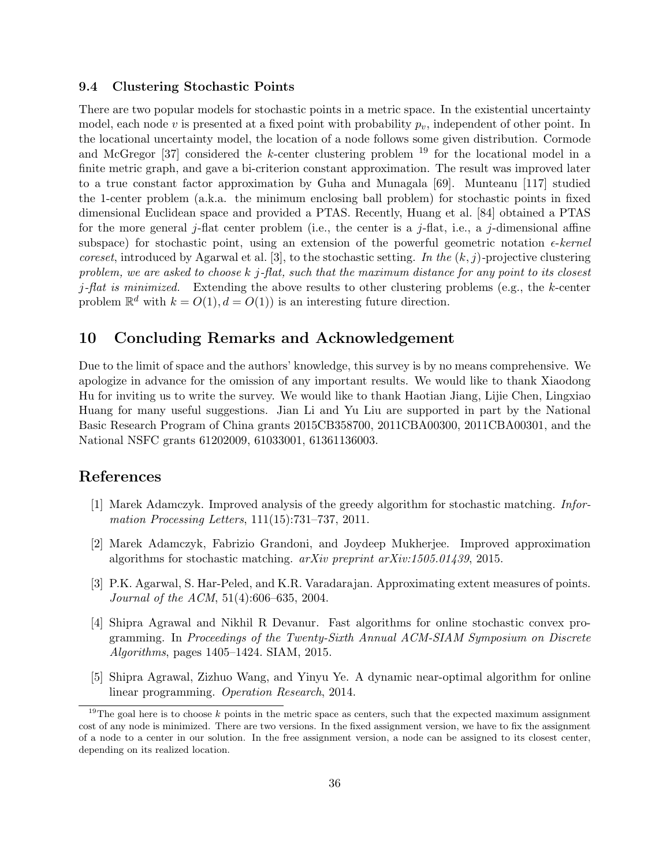#### 9.4 Clustering Stochastic Points

There are two popular models for stochastic points in a metric space. In the existential uncertainty model, each node v is presented at a fixed point with probability  $p_v$ , independent of other point. In the locational uncertainty model, the location of a node follows some given distribution. Cormode and McGregor [37] considered the k-center clustering problem  $^{19}$  for the locational model in a finite metric graph, and gave a bi-criterion constant approximation. The result was improved later to a true constant factor approximation by Guha and Munagala [69]. Munteanu [117] studied the 1-center problem (a.k.a. the minimum enclosing ball problem) for stochastic points in fixed dimensional Euclidean space and provided a PTAS. Recently, Huang et al. [84] obtained a PTAS for the more general j-flat center problem (i.e., the center is a j-flat, i.e., a j-dimensional affine subspace) for stochastic point, using an extension of the powerful geometric notation  $\epsilon$ -kernel coreset, introduced by Agarwal et al. [3], to the stochastic setting. In the  $(k, j)$ -projective clustering problem, we are asked to choose  $k$  j-flat, such that the maximum distance for any point to its closest j-flat is minimized. Extending the above results to other clustering problems (e.g., the k-center problem  $\mathbb{R}^d$  with  $k = O(1), d = O(1)$  is an interesting future direction.

# 10 Concluding Remarks and Acknowledgement

Due to the limit of space and the authors' knowledge, this survey is by no means comprehensive. We apologize in advance for the omission of any important results. We would like to thank Xiaodong Hu for inviting us to write the survey. We would like to thank Haotian Jiang, Lijie Chen, Lingxiao Huang for many useful suggestions. Jian Li and Yu Liu are supported in part by the National Basic Research Program of China grants 2015CB358700, 2011CBA00300, 2011CBA00301, and the National NSFC grants 61202009, 61033001, 61361136003.

### References

- [1] Marek Adamczyk. Improved analysis of the greedy algorithm for stochastic matching. Information Processing Letters, 111(15):731–737, 2011.
- [2] Marek Adamczyk, Fabrizio Grandoni, and Joydeep Mukherjee. Improved approximation algorithms for stochastic matching. arXiv preprint arXiv:1505.01439, 2015.
- [3] P.K. Agarwal, S. Har-Peled, and K.R. Varadarajan. Approximating extent measures of points. Journal of the ACM, 51(4):606–635, 2004.
- [4] Shipra Agrawal and Nikhil R Devanur. Fast algorithms for online stochastic convex programming. In Proceedings of the Twenty-Sixth Annual ACM-SIAM Symposium on Discrete Algorithms, pages 1405–1424. SIAM, 2015.
- [5] Shipra Agrawal, Zizhuo Wang, and Yinyu Ye. A dynamic near-optimal algorithm for online linear programming. Operation Research, 2014.

<sup>&</sup>lt;sup>19</sup>The goal here is to choose  $k$  points in the metric space as centers, such that the expected maximum assignment cost of any node is minimized. There are two versions. In the fixed assignment version, we have to fix the assignment of a node to a center in our solution. In the free assignment version, a node can be assigned to its closest center, depending on its realized location.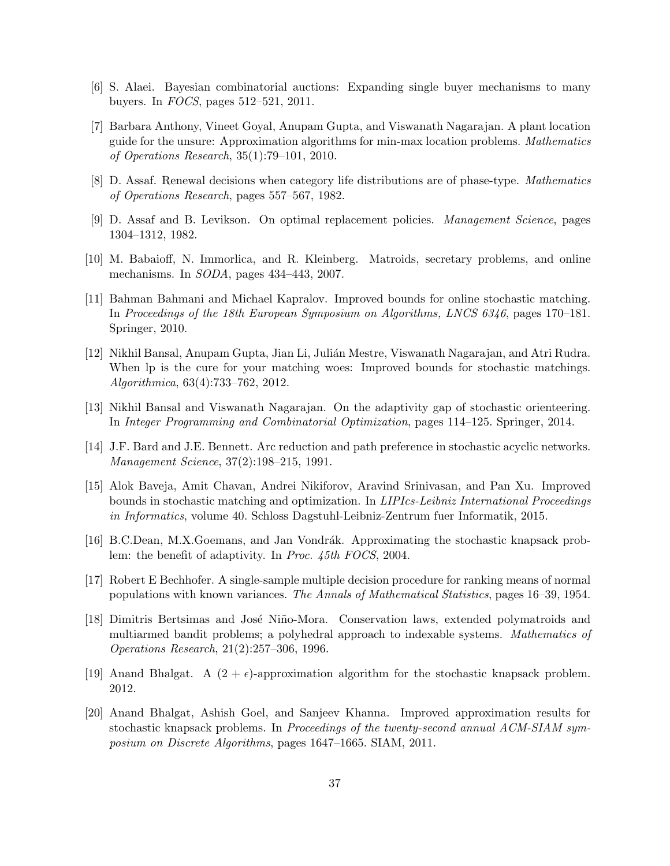- [6] S. Alaei. Bayesian combinatorial auctions: Expanding single buyer mechanisms to many buyers. In FOCS, pages 512–521, 2011.
- [7] Barbara Anthony, Vineet Goyal, Anupam Gupta, and Viswanath Nagarajan. A plant location guide for the unsure: Approximation algorithms for min-max location problems. Mathematics of Operations Research, 35(1):79–101, 2010.
- [8] D. Assaf. Renewal decisions when category life distributions are of phase-type. Mathematics of Operations Research, pages 557–567, 1982.
- [9] D. Assaf and B. Levikson. On optimal replacement policies. Management Science, pages 1304–1312, 1982.
- [10] M. Babaioff, N. Immorlica, and R. Kleinberg. Matroids, secretary problems, and online mechanisms. In SODA, pages 434–443, 2007.
- [11] Bahman Bahmani and Michael Kapralov. Improved bounds for online stochastic matching. In Proceedings of the 18th European Symposium on Algorithms, LNCS 6346, pages 170–181. Springer, 2010.
- [12] Nikhil Bansal, Anupam Gupta, Jian Li, Juli´an Mestre, Viswanath Nagarajan, and Atri Rudra. When lp is the cure for your matching woes: Improved bounds for stochastic matchings. Algorithmica, 63(4):733–762, 2012.
- [13] Nikhil Bansal and Viswanath Nagarajan. On the adaptivity gap of stochastic orienteering. In Integer Programming and Combinatorial Optimization, pages 114–125. Springer, 2014.
- [14] J.F. Bard and J.E. Bennett. Arc reduction and path preference in stochastic acyclic networks. Management Science, 37(2):198–215, 1991.
- [15] Alok Baveja, Amit Chavan, Andrei Nikiforov, Aravind Srinivasan, and Pan Xu. Improved bounds in stochastic matching and optimization. In LIPIcs-Leibniz International Proceedings in Informatics, volume 40. Schloss Dagstuhl-Leibniz-Zentrum fuer Informatik, 2015.
- [16] B.C.Dean, M.X.Goemans, and Jan Vondrák. Approximating the stochastic knapsack problem: the benefit of adaptivity. In Proc. 45th FOCS, 2004.
- [17] Robert E Bechhofer. A single-sample multiple decision procedure for ranking means of normal populations with known variances. The Annals of Mathematical Statistics, pages 16–39, 1954.
- [18] Dimitris Bertsimas and José Niño-Mora. Conservation laws, extended polymatroids and multiarmed bandit problems; a polyhedral approach to indexable systems. Mathematics of Operations Research, 21(2):257–306, 1996.
- [19] Anand Bhalgat. A  $(2 + \epsilon)$ -approximation algorithm for the stochastic knapsack problem. 2012.
- [20] Anand Bhalgat, Ashish Goel, and Sanjeev Khanna. Improved approximation results for stochastic knapsack problems. In *Proceedings of the twenty-second annual ACM-SIAM sym*posium on Discrete Algorithms, pages 1647–1665. SIAM, 2011.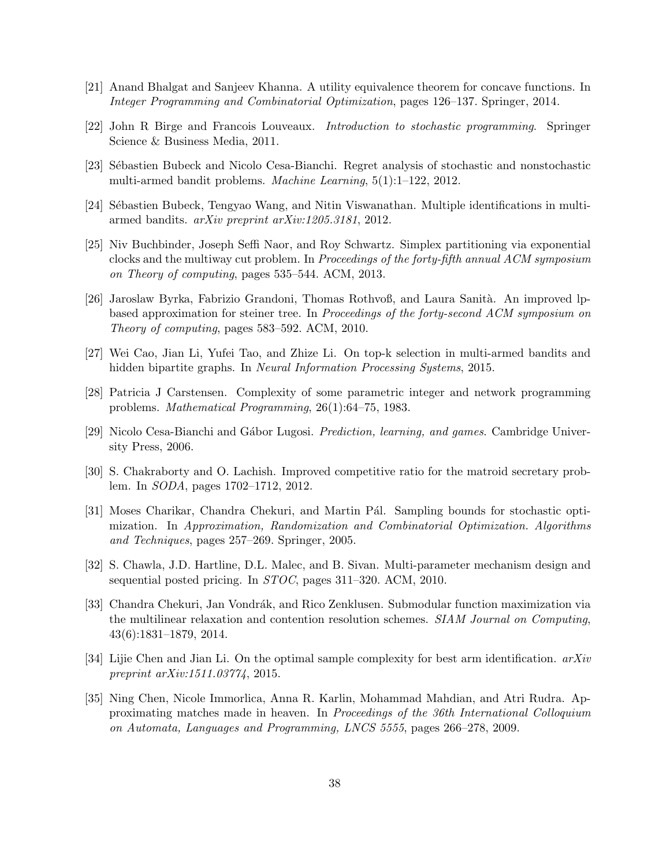- [21] Anand Bhalgat and Sanjeev Khanna. A utility equivalence theorem for concave functions. In Integer Programming and Combinatorial Optimization, pages 126–137. Springer, 2014.
- [22] John R Birge and Francois Louveaux. Introduction to stochastic programming. Springer Science & Business Media, 2011.
- [23] S´ebastien Bubeck and Nicolo Cesa-Bianchi. Regret analysis of stochastic and nonstochastic multi-armed bandit problems. Machine Learning, 5(1):1–122, 2012.
- [24] Sébastien Bubeck, Tengyao Wang, and Nitin Viswanathan. Multiple identifications in multiarmed bandits. arXiv preprint arXiv:1205.3181, 2012.
- [25] Niv Buchbinder, Joseph Seffi Naor, and Roy Schwartz. Simplex partitioning via exponential clocks and the multiway cut problem. In Proceedings of the forty-fifth annual ACM symposium on Theory of computing, pages 535–544. ACM, 2013.
- [26] Jaroslaw Byrka, Fabrizio Grandoni, Thomas Rothvoß, and Laura Sanità. An improved lpbased approximation for steiner tree. In Proceedings of the forty-second ACM symposium on Theory of computing, pages 583–592. ACM, 2010.
- [27] Wei Cao, Jian Li, Yufei Tao, and Zhize Li. On top-k selection in multi-armed bandits and hidden bipartite graphs. In Neural Information Processing Systems, 2015.
- [28] Patricia J Carstensen. Complexity of some parametric integer and network programming problems. Mathematical Programming, 26(1):64–75, 1983.
- [29] Nicolo Cesa-Bianchi and Gábor Lugosi. *Prediction, learning, and games*. Cambridge University Press, 2006.
- [30] S. Chakraborty and O. Lachish. Improved competitive ratio for the matroid secretary problem. In SODA, pages 1702–1712, 2012.
- [31] Moses Charikar, Chandra Chekuri, and Martin Pál. Sampling bounds for stochastic optimization. In Approximation, Randomization and Combinatorial Optimization. Algorithms and Techniques, pages 257–269. Springer, 2005.
- [32] S. Chawla, J.D. Hartline, D.L. Malec, and B. Sivan. Multi-parameter mechanism design and sequential posted pricing. In STOC, pages 311–320. ACM, 2010.
- [33] Chandra Chekuri, Jan Vondrák, and Rico Zenklusen. Submodular function maximization via the multilinear relaxation and contention resolution schemes. SIAM Journal on Computing, 43(6):1831–1879, 2014.
- [34] Lijie Chen and Jian Li. On the optimal sample complexity for best arm identification.  $arXiv$ preprint arXiv:1511.03774, 2015.
- [35] Ning Chen, Nicole Immorlica, Anna R. Karlin, Mohammad Mahdian, and Atri Rudra. Approximating matches made in heaven. In Proceedings of the 36th International Colloquium on Automata, Languages and Programming, LNCS 5555, pages 266–278, 2009.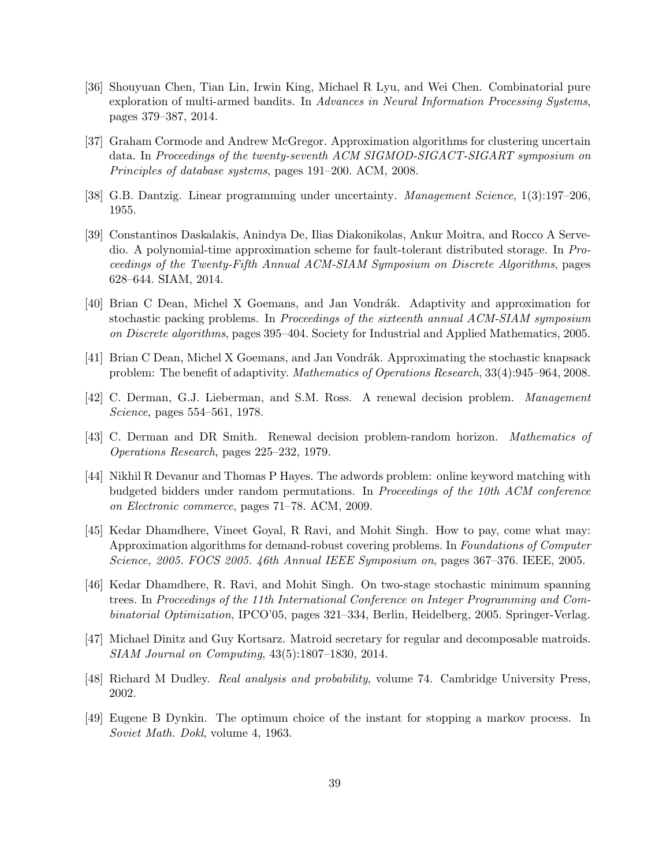- [36] Shouyuan Chen, Tian Lin, Irwin King, Michael R Lyu, and Wei Chen. Combinatorial pure exploration of multi-armed bandits. In Advances in Neural Information Processing Systems, pages 379–387, 2014.
- [37] Graham Cormode and Andrew McGregor. Approximation algorithms for clustering uncertain data. In Proceedings of the twenty-seventh ACM SIGMOD-SIGACT-SIGART symposium on Principles of database systems, pages 191–200. ACM, 2008.
- [38] G.B. Dantzig. Linear programming under uncertainty. Management Science, 1(3):197–206, 1955.
- [39] Constantinos Daskalakis, Anindya De, Ilias Diakonikolas, Ankur Moitra, and Rocco A Servedio. A polynomial-time approximation scheme for fault-tolerant distributed storage. In Proceedings of the Twenty-Fifth Annual ACM-SIAM Symposium on Discrete Algorithms, pages 628–644. SIAM, 2014.
- [40] Brian C Dean, Michel X Goemans, and Jan Vondrák. Adaptivity and approximation for stochastic packing problems. In *Proceedings of the sixteenth annual ACM-SIAM symposium* on Discrete algorithms, pages 395–404. Society for Industrial and Applied Mathematics, 2005.
- [41] Brian C Dean, Michel X Goemans, and Jan Vondrák. Approximating the stochastic knapsack problem: The benefit of adaptivity. Mathematics of Operations Research, 33(4):945–964, 2008.
- [42] C. Derman, G.J. Lieberman, and S.M. Ross. A renewal decision problem. Management Science, pages 554–561, 1978.
- [43] C. Derman and DR Smith. Renewal decision problem-random horizon. Mathematics of Operations Research, pages 225–232, 1979.
- [44] Nikhil R Devanur and Thomas P Hayes. The adwords problem: online keyword matching with budgeted bidders under random permutations. In Proceedings of the 10th ACM conference on Electronic commerce, pages 71–78. ACM, 2009.
- [45] Kedar Dhamdhere, Vineet Goyal, R Ravi, and Mohit Singh. How to pay, come what may: Approximation algorithms for demand-robust covering problems. In Foundations of Computer Science, 2005. FOCS 2005. 46th Annual IEEE Symposium on, pages 367–376. IEEE, 2005.
- [46] Kedar Dhamdhere, R. Ravi, and Mohit Singh. On two-stage stochastic minimum spanning trees. In Proceedings of the 11th International Conference on Integer Programming and Combinatorial Optimization, IPCO'05, pages 321–334, Berlin, Heidelberg, 2005. Springer-Verlag.
- [47] Michael Dinitz and Guy Kortsarz. Matroid secretary for regular and decomposable matroids. SIAM Journal on Computing, 43(5):1807–1830, 2014.
- [48] Richard M Dudley. Real analysis and probability, volume 74. Cambridge University Press, 2002.
- [49] Eugene B Dynkin. The optimum choice of the instant for stopping a markov process. In Soviet Math. Dokl, volume 4, 1963.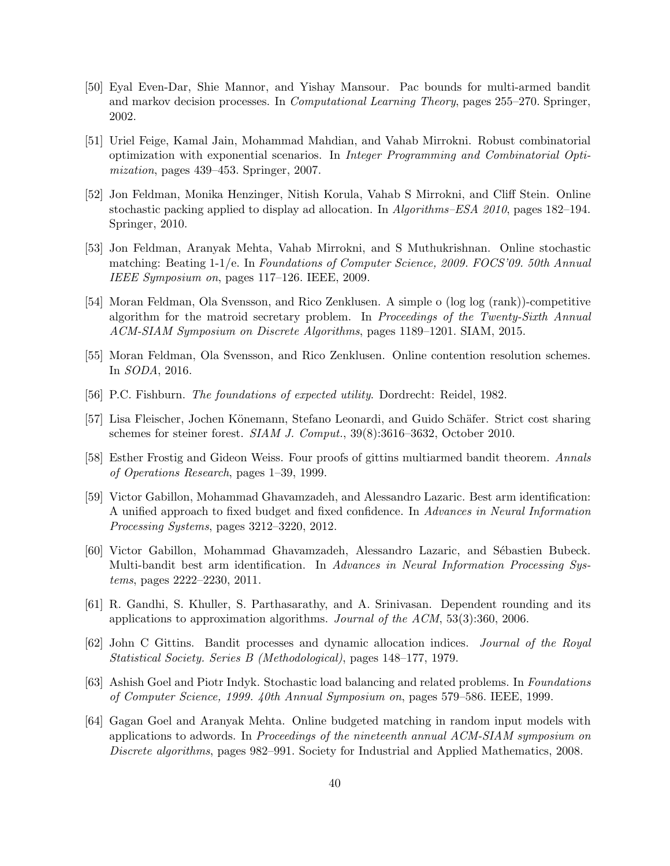- [50] Eyal Even-Dar, Shie Mannor, and Yishay Mansour. Pac bounds for multi-armed bandit and markov decision processes. In Computational Learning Theory, pages 255–270. Springer, 2002.
- [51] Uriel Feige, Kamal Jain, Mohammad Mahdian, and Vahab Mirrokni. Robust combinatorial optimization with exponential scenarios. In Integer Programming and Combinatorial Optimization, pages 439–453. Springer, 2007.
- [52] Jon Feldman, Monika Henzinger, Nitish Korula, Vahab S Mirrokni, and Cliff Stein. Online stochastic packing applied to display ad allocation. In Algorithms–ESA 2010, pages 182–194. Springer, 2010.
- [53] Jon Feldman, Aranyak Mehta, Vahab Mirrokni, and S Muthukrishnan. Online stochastic matching: Beating 1-1/e. In Foundations of Computer Science, 2009. FOCS'09. 50th Annual IEEE Symposium on, pages 117–126. IEEE, 2009.
- [54] Moran Feldman, Ola Svensson, and Rico Zenklusen. A simple o (log log (rank))-competitive algorithm for the matroid secretary problem. In Proceedings of the Twenty-Sixth Annual ACM-SIAM Symposium on Discrete Algorithms, pages 1189–1201. SIAM, 2015.
- [55] Moran Feldman, Ola Svensson, and Rico Zenklusen. Online contention resolution schemes. In SODA, 2016.
- [56] P.C. Fishburn. The foundations of expected utility. Dordrecht: Reidel, 1982.
- [57] Lisa Fleischer, Jochen Könemann, Stefano Leonardi, and Guido Schäfer. Strict cost sharing schemes for steiner forest. SIAM J. Comput., 39(8):3616–3632, October 2010.
- [58] Esther Frostig and Gideon Weiss. Four proofs of gittins multiarmed bandit theorem. Annals of Operations Research, pages 1–39, 1999.
- [59] Victor Gabillon, Mohammad Ghavamzadeh, and Alessandro Lazaric. Best arm identification: A unified approach to fixed budget and fixed confidence. In Advances in Neural Information Processing Systems, pages 3212–3220, 2012.
- [60] Victor Gabillon, Mohammad Ghavamzadeh, Alessandro Lazaric, and Sébastien Bubeck. Multi-bandit best arm identification. In Advances in Neural Information Processing Systems, pages 2222–2230, 2011.
- [61] R. Gandhi, S. Khuller, S. Parthasarathy, and A. Srinivasan. Dependent rounding and its applications to approximation algorithms. Journal of the ACM, 53(3):360, 2006.
- [62] John C Gittins. Bandit processes and dynamic allocation indices. Journal of the Royal Statistical Society. Series B (Methodological), pages 148–177, 1979.
- [63] Ashish Goel and Piotr Indyk. Stochastic load balancing and related problems. In Foundations of Computer Science, 1999. 40th Annual Symposium on, pages 579–586. IEEE, 1999.
- [64] Gagan Goel and Aranyak Mehta. Online budgeted matching in random input models with applications to adwords. In Proceedings of the nineteenth annual  $ACM-SIAM$  symposium on Discrete algorithms, pages 982–991. Society for Industrial and Applied Mathematics, 2008.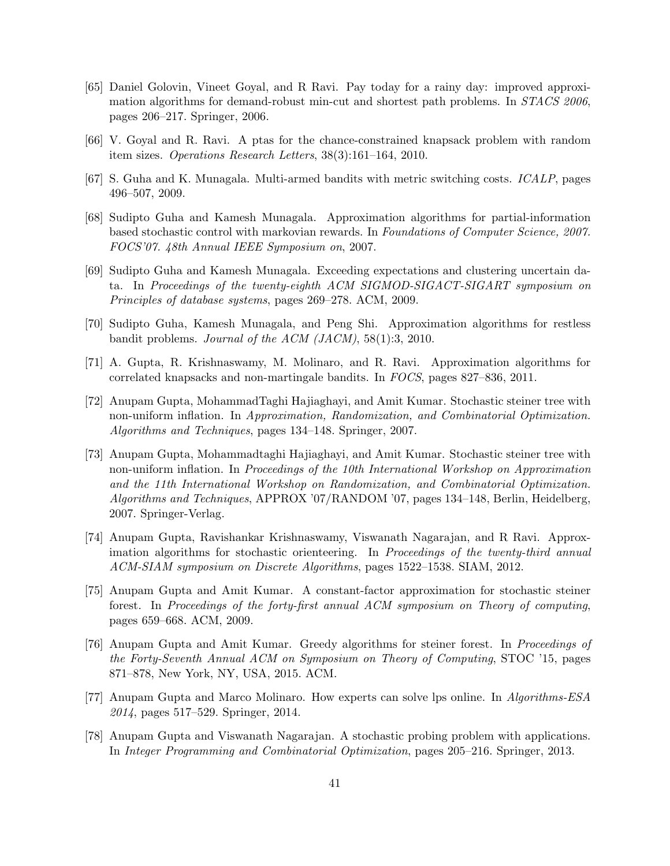- [65] Daniel Golovin, Vineet Goyal, and R Ravi. Pay today for a rainy day: improved approximation algorithms for demand-robust min-cut and shortest path problems. In STACS 2006, pages 206–217. Springer, 2006.
- [66] V. Goyal and R. Ravi. A ptas for the chance-constrained knapsack problem with random item sizes. Operations Research Letters, 38(3):161–164, 2010.
- [67] S. Guha and K. Munagala. Multi-armed bandits with metric switching costs. ICALP, pages 496–507, 2009.
- [68] Sudipto Guha and Kamesh Munagala. Approximation algorithms for partial-information based stochastic control with markovian rewards. In Foundations of Computer Science, 2007. FOCS'07. 48th Annual IEEE Symposium on, 2007.
- [69] Sudipto Guha and Kamesh Munagala. Exceeding expectations and clustering uncertain data. In Proceedings of the twenty-eighth ACM SIGMOD-SIGACT-SIGART symposium on Principles of database systems, pages 269–278. ACM, 2009.
- [70] Sudipto Guha, Kamesh Munagala, and Peng Shi. Approximation algorithms for restless bandit problems. Journal of the ACM (JACM), 58(1):3, 2010.
- [71] A. Gupta, R. Krishnaswamy, M. Molinaro, and R. Ravi. Approximation algorithms for correlated knapsacks and non-martingale bandits. In FOCS, pages 827–836, 2011.
- [72] Anupam Gupta, MohammadTaghi Hajiaghayi, and Amit Kumar. Stochastic steiner tree with non-uniform inflation. In Approximation, Randomization, and Combinatorial Optimization. Algorithms and Techniques, pages 134–148. Springer, 2007.
- [73] Anupam Gupta, Mohammadtaghi Hajiaghayi, and Amit Kumar. Stochastic steiner tree with non-uniform inflation. In Proceedings of the 10th International Workshop on Approximation and the 11th International Workshop on Randomization, and Combinatorial Optimization. Algorithms and Techniques, APPROX '07/RANDOM '07, pages 134–148, Berlin, Heidelberg, 2007. Springer-Verlag.
- [74] Anupam Gupta, Ravishankar Krishnaswamy, Viswanath Nagarajan, and R Ravi. Approximation algorithms for stochastic orienteering. In *Proceedings of the twenty-third annual* ACM-SIAM symposium on Discrete Algorithms, pages 1522–1538. SIAM, 2012.
- [75] Anupam Gupta and Amit Kumar. A constant-factor approximation for stochastic steiner forest. In Proceedings of the forty-first annual ACM symposium on Theory of computing, pages 659–668. ACM, 2009.
- [76] Anupam Gupta and Amit Kumar. Greedy algorithms for steiner forest. In Proceedings of the Forty-Seventh Annual ACM on Symposium on Theory of Computing, STOC '15, pages 871–878, New York, NY, USA, 2015. ACM.
- [77] Anupam Gupta and Marco Molinaro. How experts can solve lps online. In Algorithms-ESA 2014, pages 517–529. Springer, 2014.
- [78] Anupam Gupta and Viswanath Nagarajan. A stochastic probing problem with applications. In Integer Programming and Combinatorial Optimization, pages 205–216. Springer, 2013.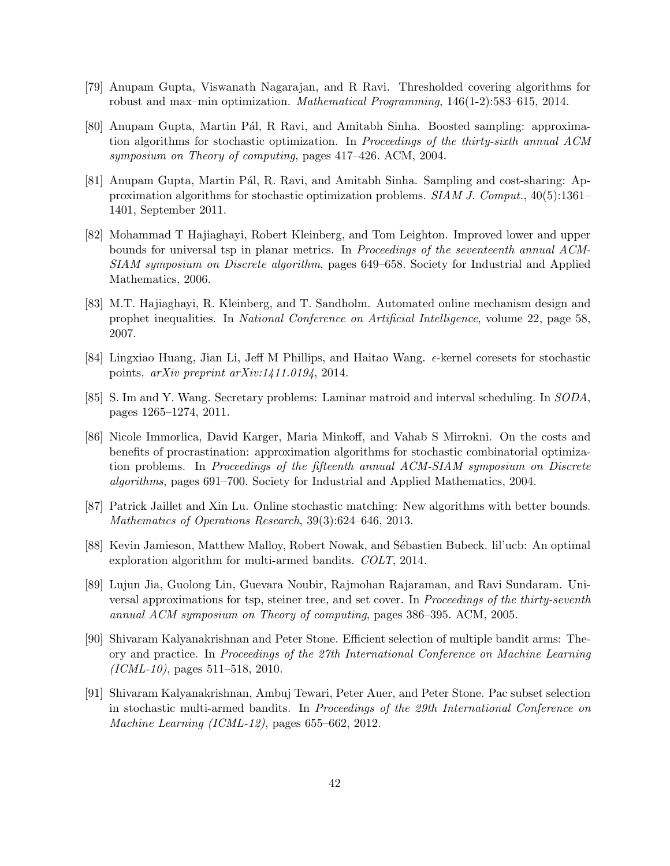- [79] Anupam Gupta, Viswanath Nagarajan, and R Ravi. Thresholded covering algorithms for robust and max–min optimization. Mathematical Programming, 146(1-2):583–615, 2014.
- [80] Anupam Gupta, Martin Pál, R Ravi, and Amitabh Sinha. Boosted sampling: approximation algorithms for stochastic optimization. In Proceedings of the thirty-sixth annual ACM symposium on Theory of computing, pages 417–426. ACM, 2004.
- [81] Anupam Gupta, Martin Pál, R. Ravi, and Amitabh Sinha. Sampling and cost-sharing: Approximation algorithms for stochastic optimization problems. SIAM J. Comput., 40(5):1361– 1401, September 2011.
- [82] Mohammad T Hajiaghayi, Robert Kleinberg, and Tom Leighton. Improved lower and upper bounds for universal tsp in planar metrics. In Proceedings of the seventeenth annual ACM-SIAM symposium on Discrete algorithm, pages 649–658. Society for Industrial and Applied Mathematics, 2006.
- [83] M.T. Hajiaghayi, R. Kleinberg, and T. Sandholm. Automated online mechanism design and prophet inequalities. In National Conference on Artificial Intelligence, volume 22, page 58, 2007.
- [84] Lingxiao Huang, Jian Li, Jeff M Phillips, and Haitao Wang.  $\epsilon$ -kernel coresets for stochastic points. arXiv preprint arXiv:1411.0194, 2014.
- [85] S. Im and Y. Wang. Secretary problems: Laminar matroid and interval scheduling. In SODA, pages 1265–1274, 2011.
- [86] Nicole Immorlica, David Karger, Maria Minkoff, and Vahab S Mirrokni. On the costs and benefits of procrastination: approximation algorithms for stochastic combinatorial optimization problems. In Proceedings of the fifteenth annual ACM-SIAM symposium on Discrete algorithms, pages 691–700. Society for Industrial and Applied Mathematics, 2004.
- [87] Patrick Jaillet and Xin Lu. Online stochastic matching: New algorithms with better bounds. Mathematics of Operations Research, 39(3):624–646, 2013.
- [88] Kevin Jamieson, Matthew Malloy, Robert Nowak, and Sébastien Bubeck. lil'ucb: An optimal exploration algorithm for multi-armed bandits. COLT, 2014.
- [89] Lujun Jia, Guolong Lin, Guevara Noubir, Rajmohan Rajaraman, and Ravi Sundaram. Universal approximations for tsp, steiner tree, and set cover. In Proceedings of the thirty-seventh annual ACM symposium on Theory of computing, pages 386–395. ACM, 2005.
- [90] Shivaram Kalyanakrishnan and Peter Stone. Efficient selection of multiple bandit arms: Theory and practice. In Proceedings of the 27th International Conference on Machine Learning  $(ICML-10)$ , pages 511–518, 2010.
- [91] Shivaram Kalyanakrishnan, Ambuj Tewari, Peter Auer, and Peter Stone. Pac subset selection in stochastic multi-armed bandits. In Proceedings of the 29th International Conference on Machine Learning (ICML-12), pages 655–662, 2012.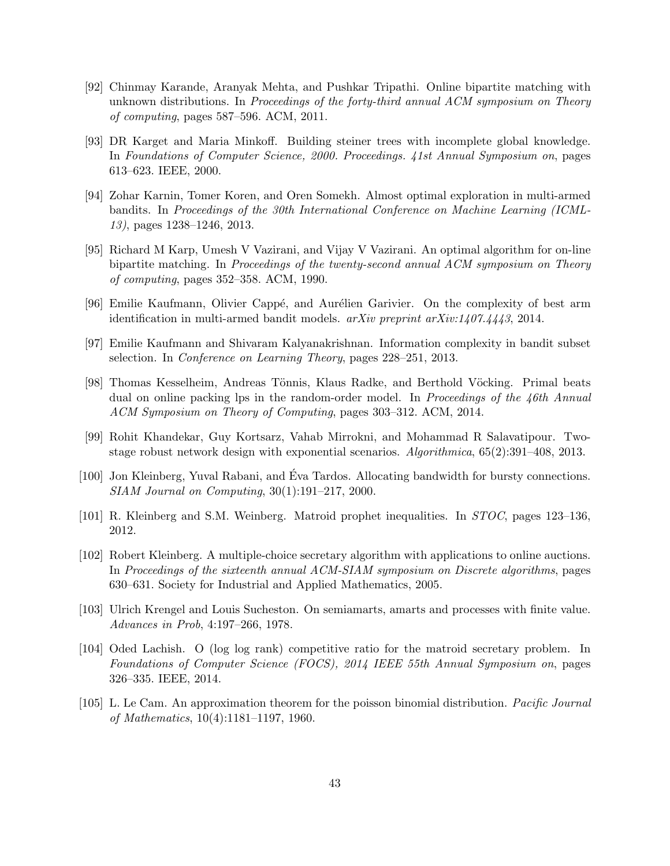- [92] Chinmay Karande, Aranyak Mehta, and Pushkar Tripathi. Online bipartite matching with unknown distributions. In Proceedings of the forty-third annual  $ACM$  symposium on Theory of computing, pages 587–596. ACM, 2011.
- [93] DR Karget and Maria Minkoff. Building steiner trees with incomplete global knowledge. In Foundations of Computer Science, 2000. Proceedings. 41st Annual Symposium on, pages 613–623. IEEE, 2000.
- [94] Zohar Karnin, Tomer Koren, and Oren Somekh. Almost optimal exploration in multi-armed bandits. In Proceedings of the 30th International Conference on Machine Learning (ICML-13), pages 1238–1246, 2013.
- [95] Richard M Karp, Umesh V Vazirani, and Vijay V Vazirani. An optimal algorithm for on-line bipartite matching. In Proceedings of the twenty-second annual ACM symposium on Theory of computing, pages 352–358. ACM, 1990.
- [96] Emilie Kaufmann, Olivier Cappé, and Aurélien Garivier. On the complexity of best arm identification in multi-armed bandit models. arXiv preprint arXiv:1407.4443, 2014.
- [97] Emilie Kaufmann and Shivaram Kalyanakrishnan. Information complexity in bandit subset selection. In Conference on Learning Theory, pages 228–251, 2013.
- [98] Thomas Kesselheim, Andreas Tönnis, Klaus Radke, and Berthold Vöcking. Primal beats dual on online packing lps in the random-order model. In Proceedings of the 46th Annual ACM Symposium on Theory of Computing, pages 303–312. ACM, 2014.
- [99] Rohit Khandekar, Guy Kortsarz, Vahab Mirrokni, and Mohammad R Salavatipour. Twostage robust network design with exponential scenarios. Algorithmica, 65(2):391–408, 2013.
- [100] Jon Kleinberg, Yuval Rabani, and Eva Tardos. Allocating bandwidth for bursty connections. ´ SIAM Journal on Computing, 30(1):191–217, 2000.
- [101] R. Kleinberg and S.M. Weinberg. Matroid prophet inequalities. In STOC, pages 123–136, 2012.
- [102] Robert Kleinberg. A multiple-choice secretary algorithm with applications to online auctions. In Proceedings of the sixteenth annual ACM-SIAM symposium on Discrete algorithms, pages 630–631. Society for Industrial and Applied Mathematics, 2005.
- [103] Ulrich Krengel and Louis Sucheston. On semiamarts, amarts and processes with finite value. Advances in Prob, 4:197–266, 1978.
- [104] Oded Lachish. O (log log rank) competitive ratio for the matroid secretary problem. In Foundations of Computer Science (FOCS), 2014 IEEE 55th Annual Symposium on, pages 326–335. IEEE, 2014.
- [105] L. Le Cam. An approximation theorem for the poisson binomial distribution. Pacific Journal of Mathematics, 10(4):1181–1197, 1960.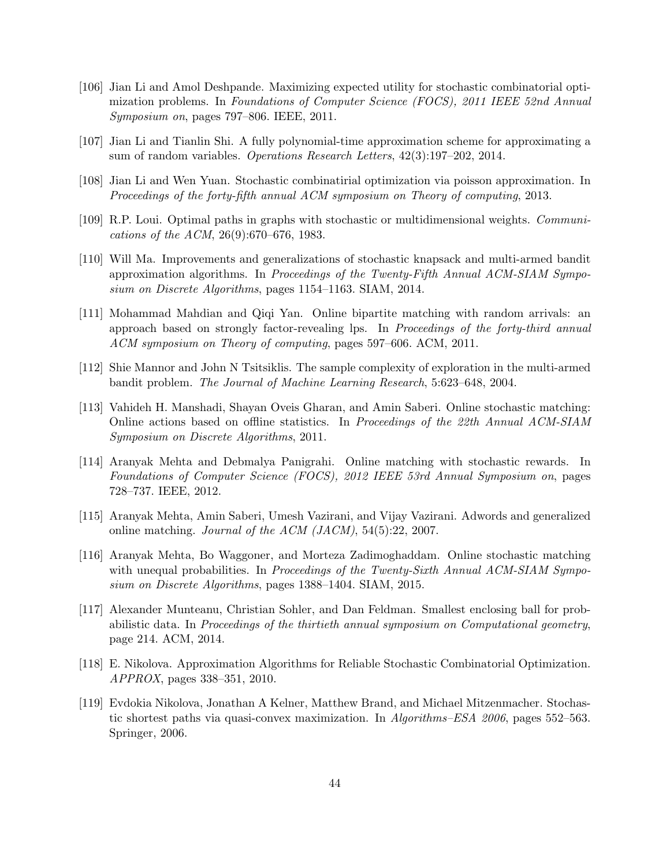- [106] Jian Li and Amol Deshpande. Maximizing expected utility for stochastic combinatorial optimization problems. In Foundations of Computer Science (FOCS), 2011 IEEE 52nd Annual Symposium on, pages 797–806. IEEE, 2011.
- [107] Jian Li and Tianlin Shi. A fully polynomial-time approximation scheme for approximating a sum of random variables. Operations Research Letters, 42(3):197–202, 2014.
- [108] Jian Li and Wen Yuan. Stochastic combinatirial optimization via poisson approximation. In Proceedings of the forty-fifth annual ACM symposium on Theory of computing, 2013.
- [109] R.P. Loui. Optimal paths in graphs with stochastic or multidimensional weights. Communications of the ACM, 26(9):670–676, 1983.
- [110] Will Ma. Improvements and generalizations of stochastic knapsack and multi-armed bandit approximation algorithms. In Proceedings of the Twenty-Fifth Annual ACM-SIAM Symposium on Discrete Algorithms, pages 1154–1163. SIAM, 2014.
- [111] Mohammad Mahdian and Qiqi Yan. Online bipartite matching with random arrivals: an approach based on strongly factor-revealing lps. In Proceedings of the forty-third annual ACM symposium on Theory of computing, pages 597–606. ACM, 2011.
- [112] Shie Mannor and John N Tsitsiklis. The sample complexity of exploration in the multi-armed bandit problem. The Journal of Machine Learning Research, 5:623–648, 2004.
- [113] Vahideh H. Manshadi, Shayan Oveis Gharan, and Amin Saberi. Online stochastic matching: Online actions based on offline statistics. In Proceedings of the 22th Annual ACM-SIAM Symposium on Discrete Algorithms, 2011.
- [114] Aranyak Mehta and Debmalya Panigrahi. Online matching with stochastic rewards. In Foundations of Computer Science (FOCS), 2012 IEEE 53rd Annual Symposium on, pages 728–737. IEEE, 2012.
- [115] Aranyak Mehta, Amin Saberi, Umesh Vazirani, and Vijay Vazirani. Adwords and generalized online matching. Journal of the ACM (JACM), 54(5):22, 2007.
- [116] Aranyak Mehta, Bo Waggoner, and Morteza Zadimoghaddam. Online stochastic matching with unequal probabilities. In Proceedings of the Twenty-Sixth Annual ACM-SIAM Symposium on Discrete Algorithms, pages 1388–1404. SIAM, 2015.
- [117] Alexander Munteanu, Christian Sohler, and Dan Feldman. Smallest enclosing ball for probabilistic data. In Proceedings of the thirtieth annual symposium on Computational geometry, page 214. ACM, 2014.
- [118] E. Nikolova. Approximation Algorithms for Reliable Stochastic Combinatorial Optimization. APPROX, pages 338–351, 2010.
- [119] Evdokia Nikolova, Jonathan A Kelner, Matthew Brand, and Michael Mitzenmacher. Stochastic shortest paths via quasi-convex maximization. In *Algorithms–ESA 2006*, pages 552–563. Springer, 2006.